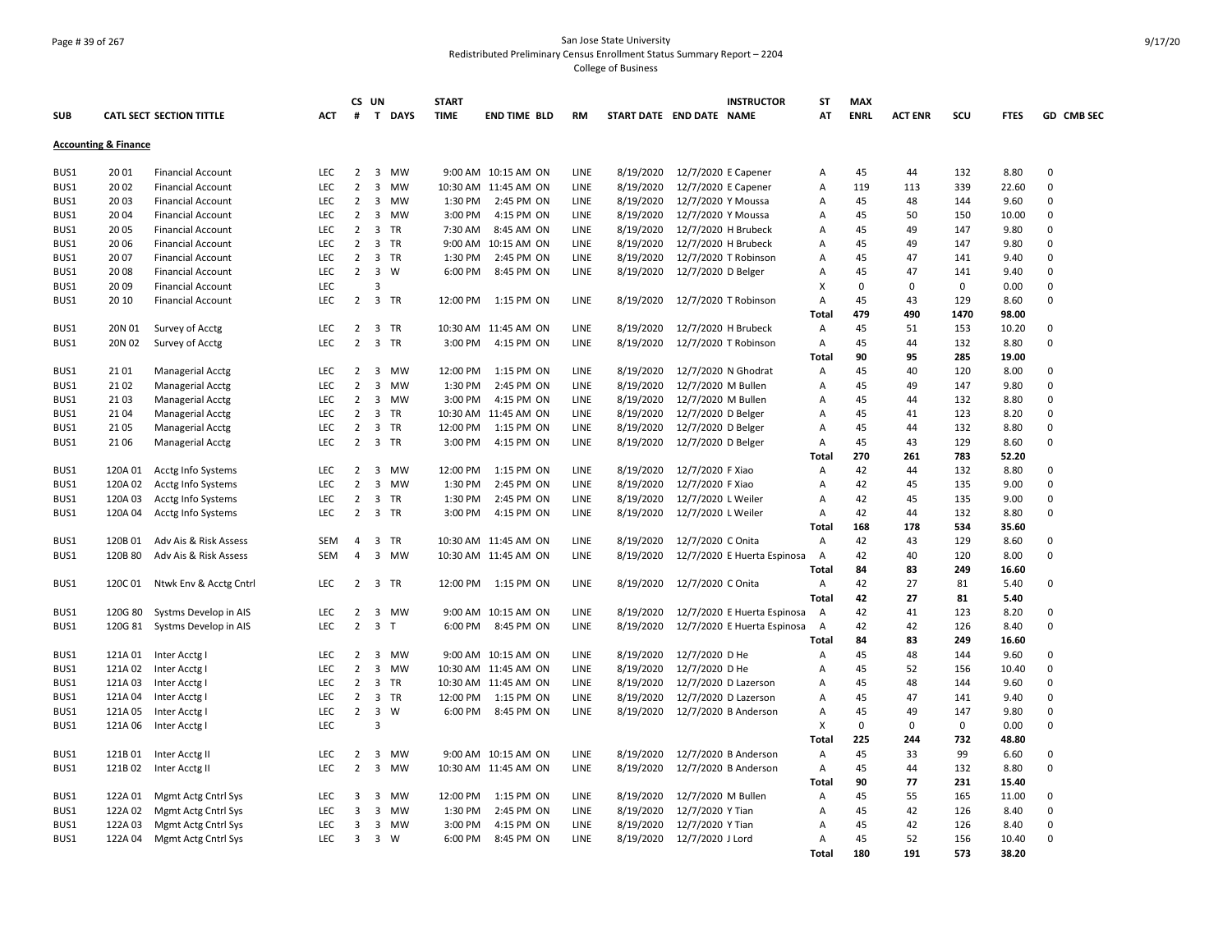#### Page # 39 of 267 San Jose State University Redistributed Preliminary Census Enrollment Status Summary Report – 2204 College of Business

| GD CMB SEC<br><b>SUB</b><br><b>CATL SECT SECTION TITTLE</b><br><b>ACT</b><br>#<br>$\mathbf{T}$<br><b>DAYS</b><br><b>TIME</b><br><b>END TIME BLD</b><br>START DATE END DATE NAME<br>AT<br><b>ENRL</b><br><b>ACT ENR</b><br>SCU<br><b>FTES</b><br><b>RM</b><br><b>Accounting &amp; Finance</b><br>12/7/2020 E Capener<br>8.80<br>0<br>BUS1<br>2001<br><b>LEC</b><br>2<br>3 MW<br>9:00 AM 10:15 AM ON<br>LINE<br>8/19/2020<br>45<br>132<br><b>Financial Account</b><br>44<br>Α<br>$\overline{2}$<br>3<br>$\mathbf 0$<br>BUS1<br>2002<br><b>Financial Account</b><br><b>LEC</b><br>MW<br>10:30 AM 11:45 AM ON<br>LINE<br>8/19/2020<br>12/7/2020 E Capener<br>119<br>113<br>339<br>22.60<br>Α<br><b>LEC</b><br>$\overline{2}$<br>3 MW<br>1:30 PM<br>8/19/2020<br>12/7/2020 Y Moussa<br>45<br>$\mathbf 0$<br>BUS1<br>2003<br><b>Financial Account</b><br>2:45 PM ON<br>LINE<br>48<br>144<br>9.60<br>Α<br><b>LEC</b><br>$\overline{2}$<br>3<br>3:00 PM<br>4:15 PM ON<br>8/19/2020<br>12/7/2020 Y Moussa<br>45<br>0<br>BUS1<br>20 04<br><b>Financial Account</b><br>MW<br>LINE<br>50<br>150<br>10.00<br>Α<br>$\overline{2}$<br>12/7/2020 H Brubeck<br>0<br>BUS1<br>20 05<br><b>LEC</b><br>$\overline{3}$<br>TR<br>7:30 AM<br>8:45 AM ON<br>LINE<br>8/19/2020<br>45<br>49<br>147<br>9.80<br><b>Financial Account</b><br>Α<br>3 TR<br>2006<br><b>Financial Account</b><br><b>LEC</b><br>2<br>9:00 AM 10:15 AM ON<br>LINE<br>8/19/2020<br>12/7/2020 H Brubeck<br>45<br>49<br>147<br>9.80<br>0<br>BUS1<br>Α<br>$\mathbf 0$<br>$\overline{2}$<br>3 TR<br>LINE<br>8/19/2020<br>12/7/2020 T Robinson<br>45<br>BUS1<br>2007<br><b>Financial Account</b><br><b>LEC</b><br>1:30 PM<br>2:45 PM ON<br>47<br>141<br>9.40<br>A<br>$\overline{2}$<br>$\overline{3}$<br>2008<br><b>LEC</b><br>W<br>6:00 PM<br>8:45 PM ON<br>LINE<br>8/19/2020<br>12/7/2020 D Belger<br>45<br>47<br>$\Omega$<br>BUS1<br><b>Financial Account</b><br>Α<br>141<br>9.40<br>LEC<br>$\overline{3}$<br>$\mathbf 0$<br>0<br>BUS1<br>2009<br>X<br>$\mathbf 0$<br>0<br>0.00<br><b>Financial Account</b><br>3 TR<br>0<br>BUS1<br>20 10<br><b>Financial Account</b><br><b>LEC</b><br>2<br>12:00 PM<br>1:15 PM ON<br>LINE<br>8/19/2020<br>12/7/2020 T Robinson<br>45<br>43<br>129<br>8.60<br>Α<br>479<br>490<br>1470<br>98.00<br>Total<br>LEC<br>$\overline{2}$<br>3 TR<br>8/19/2020<br>12/7/2020 H Brubeck<br>45<br>0<br>BUS1<br>20N 01<br>Survey of Acctg<br>10:30 AM 11:45 AM ON<br>LINE<br>Α<br>51<br>153<br>10.20<br>$\overline{2}$<br>3 TR<br>12/7/2020 T Robinson<br>0<br>20N 02<br>LEC<br>3:00 PM<br>4:15 PM ON<br>LINE<br>8/19/2020<br>45<br>132<br>8.80<br>BUS1<br>Survey of Acctg<br>Α<br>44<br>90<br>Total<br>95<br>285<br>19.00<br>12/7/2020 N Ghodrat<br>45<br>$\mathbf 0$<br>BUS1<br>2101<br><b>Managerial Acctg</b><br><b>LEC</b><br>2<br>$\overline{3}$<br>MW<br>12:00 PM<br>1:15 PM ON<br>LINE<br>8/19/2020<br>40<br>120<br>8.00<br>Α<br>LEC.<br>$\overline{2}$<br>$\overline{\mathbf{3}}$<br>MW<br>1:30 PM<br>2:45 PM ON<br>LINE<br>8/19/2020<br>12/7/2020 M Bullen<br>45<br>147<br>$\Omega$<br>BUS1<br>2102<br><b>Managerial Acctg</b><br>Α<br>49<br>9.80<br>$\overline{2}$<br>45<br>0<br>LEC<br>3<br>LINE<br>8/19/2020<br>12/7/2020 M Bullen<br>8.80<br>BUS1<br>2103<br>Managerial Acctg<br>MW<br>3:00 PM<br>4:15 PM ON<br>Α<br>44<br>132<br>$\overline{2}$<br>0<br>BUS1<br>21 04<br>Managerial Acctg<br><b>LEC</b><br>$\overline{\mathbf{3}}$<br>TR<br>10:30 AM 11:45 AM ON<br>LINE<br>8/19/2020<br>12/7/2020 D Belger<br>45<br>41<br>123<br>8.20<br>Α<br>$\overline{2}$<br>3 TR<br>45<br>$\mathbf 0$<br><b>LEC</b><br>12:00 PM<br>1:15 PM ON<br>LINE<br>8/19/2020<br>12/7/2020 D Belger<br>44<br>132<br>8.80<br>BUS1<br>21 05<br><b>Managerial Acctg</b><br>Α<br>LEC<br>$\overline{2}$<br>3 TR<br>3:00 PM<br>4:15 PM ON<br>LINE<br>8/19/2020<br>12/7/2020 D Belger<br>45<br>43<br>129<br>8.60<br>$\mathbf 0$<br>BUS1<br>21 06<br><b>Managerial Acctg</b><br>Α<br>783<br>270<br>Total<br>261<br>52.20<br>BUS1<br>120A 01<br>Acctg Info Systems<br><b>LEC</b><br>2<br>3 MW<br>12:00 PM<br>1:15 PM ON<br>LINE<br>8/19/2020<br>12/7/2020 F Xiao<br>Α<br>42<br>44<br>132<br>8.80<br>0<br>$\overline{2}$<br>$\overline{3}$<br>42<br>$\mathbf 0$<br>BUS1<br>120A 02<br><b>Acctg Info Systems</b><br><b>LEC</b><br>MW<br>1:30 PM<br>2:45 PM ON<br>LINE<br>8/19/2020<br>12/7/2020 F Xiao<br>A<br>45<br>135<br>9.00<br>120A 03<br>LEC<br>$\overline{2}$<br>3 TR<br>1:30 PM<br>2:45 PM ON<br>LINE<br>8/19/2020<br>12/7/2020 L Weiler<br>42<br>45<br>135<br>9.00<br>0<br>BUS1<br>Acctg Info Systems<br>Α<br>42<br>0<br>LEC<br>$\overline{2}$<br>3 TR<br>8/19/2020<br>12/7/2020 L Weiler<br>BUS1<br>120A 04<br>Acctg Info Systems<br>3:00 PM<br>4:15 PM ON<br>LINE<br>Α<br>44<br>132<br>8.80<br>168<br>178<br>534<br>35.60<br>Total<br>42<br>BUS1<br>120B 01<br>Adv Ais & Risk Assess<br><b>SEM</b><br>$\overline{4}$<br>3 TR<br>10:30 AM 11:45 AM ON<br>LINE<br>8/19/2020<br>12/7/2020 C Onita<br>43<br>129<br>8.60<br>0<br>$\overline{A}$<br>120B 80<br>$\overline{4}$<br>3 MW<br>LINE<br>8/19/2020<br>12/7/2020 E Huerta Espinosa<br>42<br>120<br>8.00<br>0<br>BUS1<br>Adv Ais & Risk Assess<br><b>SEM</b><br>10:30 AM 11:45 AM ON<br>A<br>40<br>84<br>83<br>249<br>16.60<br>Total<br>42<br>27<br>0<br>BUS1<br>120C 01<br>Ntwk Env & Acctg Cntrl<br><b>LEC</b><br>2<br>3 TR<br>12:00 PM<br>1:15 PM ON<br>LINE<br>8/19/2020<br>12/7/2020 C Onita<br>Α<br>81<br>5.40<br>42<br>Total<br>27<br>81<br>5.40<br>42<br>LEC<br>$\overline{2}$<br>3 MW<br>LINE<br>8/19/2020<br>123<br>0<br>BUS1<br>120G 80<br>Systms Develop in AIS<br>9:00 AM 10:15 AM ON<br>12/7/2020 E Huerta Espinosa<br>41<br>8.20<br>A<br>$\overline{2}$<br>120G 81<br>Systms Develop in AIS<br><b>LEC</b><br>$\overline{\mathbf{3}}$<br>$\mathsf{T}$<br>6:00 PM<br>8:45 PM ON<br>LINE<br>8/19/2020<br>12/7/2020 E Huerta Espinosa<br>A<br>42<br>42<br>126<br>8.40<br>0<br>BUS1<br>84<br>83<br>Total<br>249<br>16.60<br>45<br>BUS1<br>121A 01 Inter Acctg I<br><b>LEC</b><br>2<br>3 MW<br>9:00 AM 10:15 AM ON<br>LINE<br>8/19/2020<br>12/7/2020 D He<br>48<br>144<br>9.60<br>0<br>Α<br>0<br>121A 02<br>LEC<br>$\overline{2}$<br>3<br>8/19/2020<br>12/7/2020 D He<br>45<br>52<br>BUS1<br>Inter Acctg<br>MW<br>10:30 AM 11:45 AM ON<br>LINE<br>156<br>10.40<br>Α<br><b>LEC</b><br>$\overline{2}$<br>3 TR<br>10:30 AM 11:45 AM ON<br>LINE<br>8/19/2020<br>12/7/2020 D Lazerson<br>45<br>48<br>0<br>BUS1<br>121A 03<br>Inter Acctg<br>Α<br>144<br>9.60<br>8/19/2020<br>45<br>0<br>BUS1<br>121A 04<br>LEC<br>2<br>3 TR<br>12:00 PM<br>1:15 PM ON<br>LINE<br>12/7/2020 D Lazerson<br>47<br>Inter Acctg I<br>A<br>141<br>9.40<br>$\overline{2}$<br>$\overline{\mathbf{3}}$<br>W<br>45<br>$\mathbf 0$<br>BUS1<br>121A 05<br>Inter Acctg<br><b>LEC</b><br>6:00 PM<br>8:45 PM ON<br>LINE<br>8/19/2020<br>12/7/2020 B Anderson<br>Α<br>49<br>147<br>9.80<br>$\overline{3}$<br>$\mathbf 0$<br>LEC<br>$\mathbf 0$<br>$\Omega$<br>BUS1<br>121A 06<br>Inter Acctg<br>X<br>$\mathbf 0$<br>0.00<br>225<br>732<br>Total<br>244<br>48.80<br>45<br>99<br>BUS1<br>LEC<br>2<br>LINE<br>8/19/2020<br>12/7/2020 B Anderson<br>A<br>33<br>0<br>121B 01<br>Inter Acctg II<br>3 MW<br>9:00 AM 10:15 AM ON<br>6.60<br>$\overline{2}$<br>$\overline{3}$<br>45<br>0<br>BUS1<br>121B 02<br>Inter Acctg II<br><b>LEC</b><br>MW<br>10:30 AM 11:45 AM ON<br>LINE<br>8/19/2020<br>12/7/2020 B Anderson<br>44<br>132<br>8.80<br>Α<br>90<br>77<br>231<br>Total<br>15.40<br>122A 01<br>Mgmt Actg Cntrl Sys<br>LEC<br>3<br>3 MW<br>12:00 PM<br>1:15 PM ON<br>LINE<br>8/19/2020<br>12/7/2020 M Bullen<br>45<br>55<br>165<br>11.00<br>0<br>BUS1<br>Α<br>12/7/2020 Y Tian<br>0<br>122A 02<br>Mgmt Actg Cntrl Sys<br>LEC<br>3<br>3<br>LINE<br>8/19/2020<br>45<br>42<br>BUS1<br>MW<br>1:30 PM<br>2:45 PM ON<br>Α<br>126<br>8.40<br>0<br>BUS1<br>122A 03<br>Mgmt Actg Cntrl Sys<br><b>LEC</b><br>3<br>3 MW<br>3:00 PM<br>4:15 PM ON<br>LINE<br>8/19/2020<br>12/7/2020 Y Tian<br>45<br>42<br>126<br>8.40<br>Α<br>3<br>3 W<br>45<br>52<br>$\mathbf 0$<br>BUS1<br>122A 04 Mgmt Actg Cntrl Sys<br><b>LEC</b><br>6:00 PM<br>8:45 PM ON<br>LINE<br>8/19/2020<br>12/7/2020 J Lord<br>156<br>10.40<br>A<br>180<br>191<br>573<br>38.20<br>Total |  |  | CS UN |  | <b>START</b> |  |  | <b>INSTRUCTOR</b> | ST | <b>MAX</b> |  |  |
|---------------------------------------------------------------------------------------------------------------------------------------------------------------------------------------------------------------------------------------------------------------------------------------------------------------------------------------------------------------------------------------------------------------------------------------------------------------------------------------------------------------------------------------------------------------------------------------------------------------------------------------------------------------------------------------------------------------------------------------------------------------------------------------------------------------------------------------------------------------------------------------------------------------------------------------------------------------------------------------------------------------------------------------------------------------------------------------------------------------------------------------------------------------------------------------------------------------------------------------------------------------------------------------------------------------------------------------------------------------------------------------------------------------------------------------------------------------------------------------------------------------------------------------------------------------------------------------------------------------------------------------------------------------------------------------------------------------------------------------------------------------------------------------------------------------------------------------------------------------------------------------------------------------------------------------------------------------------------------------------------------------------------------------------------------------------------------------------------------------------------------------------------------------------------------------------------------------------------------------------------------------------------------------------------------------------------------------------------------------------------------------------------------------------------------------------------------------------------------------------------------------------------------------------------------------------------------------------------------------------------------------------------------------------------------------------------------------------------------------------------------------------------------------------------------------------------------------------------------------------------------------------------------------------------------------------------------------------------------------------------------------------------------------------------------------------------------------------------------------------------------------------------------------------------------------------------------------------------------------------------------------------------------------------------------------------------------------------------------------------------------------------------------------------------------------------------------------------------------------------------------------------------------------------------------------------------------------------------------------------------------------------------------------------------------------------------------------------------------------------------------------------------------------------------------------------------------------------------------------------------------------------------------------------------------------------------------------------------------------------------------------------------------------------------------------------------------------------------------------------------------------------------------------------------------------------------------------------------------------------------------------------------------------------------------------------------------------------------------------------------------------------------------------------------------------------------------------------------------------------------------------------------------------------------------------------------------------------------------------------------------------------------------------------------------------------------------------------------------------------------------------------------------------------------------------------------------------------------------------------------------------------------------------------------------------------------------------------------------------------------------------------------------------------------------------------------------------------------------------------------------------------------------------------------------------------------------------------------------------------------------------------------------------------------------------------------------------------------------------------------------------------------------------------------------------------------------------------------------------------------------------------------------------------------------------------------------------------------------------------------------------------------------------------------------------------------------------------------------------------------------------------------------------------------------------------------------------------------------------------------------------------------------------------------------------------------------------------------------------------------------------------------------------------------------------------------------------------------------------------------------------------------------------------------------------------------------------------------------------------------------------------------------------------------------------------------------------------------------------------------------------------------------------------------------------------------------------------------------------------------------------------------------------------------------------------------------------------------------------------------------------------------------------------------------------------------------------------------------------------------------------------------------------------------------------------------------------------------------------------------------------------------------------------------------------------------------------------------------------------------------------------------------------------------------------------------------------------------------------------------------------------------------------------------------------------------------------------------------------------------------------------------------------------------------------------------------------------------------------------------------------------------------------------------------------------------------------------------------------------------------------------------------------------------------------------------------------------------------------------------------------------------------------------------------------------------------------------------------------------------------------------------------------------------------------------------------------------------------------------------------------------------------------------------------------------------------------------------------------------------------------------------------------------------------------------------------------------------------------------------------------------------------------------------------------------------------------|--|--|-------|--|--------------|--|--|-------------------|----|------------|--|--|
|                                                                                                                                                                                                                                                                                                                                                                                                                                                                                                                                                                                                                                                                                                                                                                                                                                                                                                                                                                                                                                                                                                                                                                                                                                                                                                                                                                                                                                                                                                                                                                                                                                                                                                                                                                                                                                                                                                                                                                                                                                                                                                                                                                                                                                                                                                                                                                                                                                                                                                                                                                                                                                                                                                                                                                                                                                                                                                                                                                                                                                                                                                                                                                                                                                                                                                                                                                                                                                                                                                                                                                                                                                                                                                                                                                                                                                                                                                                                                                                                                                                                                                                                                                                                                                                                                                                                                                                                                                                                                                                                                                                                                                                                                                                                                                                                                                                                                                                                                                                                                                                                                                                                                                                                                                                                                                                                                                                                                                                                                                                                                                                                                                                                                                                                                                                                                                                                                                                                                                                                                                                                                                                                                                                                                                                                                                                                                                                                                                                                                                                                                                                                                                                                                                                                                                                                                                                                                                                                                                                                                                                                                                                                                                                                                                                                                                                                                                                                                                                                                                                                                                                                                                                                                                                                                                                                                                                                                                                                                                                                                                                                                                                                                                                                               |  |  |       |  |              |  |  |                   |    |            |  |  |
|                                                                                                                                                                                                                                                                                                                                                                                                                                                                                                                                                                                                                                                                                                                                                                                                                                                                                                                                                                                                                                                                                                                                                                                                                                                                                                                                                                                                                                                                                                                                                                                                                                                                                                                                                                                                                                                                                                                                                                                                                                                                                                                                                                                                                                                                                                                                                                                                                                                                                                                                                                                                                                                                                                                                                                                                                                                                                                                                                                                                                                                                                                                                                                                                                                                                                                                                                                                                                                                                                                                                                                                                                                                                                                                                                                                                                                                                                                                                                                                                                                                                                                                                                                                                                                                                                                                                                                                                                                                                                                                                                                                                                                                                                                                                                                                                                                                                                                                                                                                                                                                                                                                                                                                                                                                                                                                                                                                                                                                                                                                                                                                                                                                                                                                                                                                                                                                                                                                                                                                                                                                                                                                                                                                                                                                                                                                                                                                                                                                                                                                                                                                                                                                                                                                                                                                                                                                                                                                                                                                                                                                                                                                                                                                                                                                                                                                                                                                                                                                                                                                                                                                                                                                                                                                                                                                                                                                                                                                                                                                                                                                                                                                                                                                                               |  |  |       |  |              |  |  |                   |    |            |  |  |
|                                                                                                                                                                                                                                                                                                                                                                                                                                                                                                                                                                                                                                                                                                                                                                                                                                                                                                                                                                                                                                                                                                                                                                                                                                                                                                                                                                                                                                                                                                                                                                                                                                                                                                                                                                                                                                                                                                                                                                                                                                                                                                                                                                                                                                                                                                                                                                                                                                                                                                                                                                                                                                                                                                                                                                                                                                                                                                                                                                                                                                                                                                                                                                                                                                                                                                                                                                                                                                                                                                                                                                                                                                                                                                                                                                                                                                                                                                                                                                                                                                                                                                                                                                                                                                                                                                                                                                                                                                                                                                                                                                                                                                                                                                                                                                                                                                                                                                                                                                                                                                                                                                                                                                                                                                                                                                                                                                                                                                                                                                                                                                                                                                                                                                                                                                                                                                                                                                                                                                                                                                                                                                                                                                                                                                                                                                                                                                                                                                                                                                                                                                                                                                                                                                                                                                                                                                                                                                                                                                                                                                                                                                                                                                                                                                                                                                                                                                                                                                                                                                                                                                                                                                                                                                                                                                                                                                                                                                                                                                                                                                                                                                                                                                                                               |  |  |       |  |              |  |  |                   |    |            |  |  |
|                                                                                                                                                                                                                                                                                                                                                                                                                                                                                                                                                                                                                                                                                                                                                                                                                                                                                                                                                                                                                                                                                                                                                                                                                                                                                                                                                                                                                                                                                                                                                                                                                                                                                                                                                                                                                                                                                                                                                                                                                                                                                                                                                                                                                                                                                                                                                                                                                                                                                                                                                                                                                                                                                                                                                                                                                                                                                                                                                                                                                                                                                                                                                                                                                                                                                                                                                                                                                                                                                                                                                                                                                                                                                                                                                                                                                                                                                                                                                                                                                                                                                                                                                                                                                                                                                                                                                                                                                                                                                                                                                                                                                                                                                                                                                                                                                                                                                                                                                                                                                                                                                                                                                                                                                                                                                                                                                                                                                                                                                                                                                                                                                                                                                                                                                                                                                                                                                                                                                                                                                                                                                                                                                                                                                                                                                                                                                                                                                                                                                                                                                                                                                                                                                                                                                                                                                                                                                                                                                                                                                                                                                                                                                                                                                                                                                                                                                                                                                                                                                                                                                                                                                                                                                                                                                                                                                                                                                                                                                                                                                                                                                                                                                                                                               |  |  |       |  |              |  |  |                   |    |            |  |  |
|                                                                                                                                                                                                                                                                                                                                                                                                                                                                                                                                                                                                                                                                                                                                                                                                                                                                                                                                                                                                                                                                                                                                                                                                                                                                                                                                                                                                                                                                                                                                                                                                                                                                                                                                                                                                                                                                                                                                                                                                                                                                                                                                                                                                                                                                                                                                                                                                                                                                                                                                                                                                                                                                                                                                                                                                                                                                                                                                                                                                                                                                                                                                                                                                                                                                                                                                                                                                                                                                                                                                                                                                                                                                                                                                                                                                                                                                                                                                                                                                                                                                                                                                                                                                                                                                                                                                                                                                                                                                                                                                                                                                                                                                                                                                                                                                                                                                                                                                                                                                                                                                                                                                                                                                                                                                                                                                                                                                                                                                                                                                                                                                                                                                                                                                                                                                                                                                                                                                                                                                                                                                                                                                                                                                                                                                                                                                                                                                                                                                                                                                                                                                                                                                                                                                                                                                                                                                                                                                                                                                                                                                                                                                                                                                                                                                                                                                                                                                                                                                                                                                                                                                                                                                                                                                                                                                                                                                                                                                                                                                                                                                                                                                                                                                               |  |  |       |  |              |  |  |                   |    |            |  |  |
|                                                                                                                                                                                                                                                                                                                                                                                                                                                                                                                                                                                                                                                                                                                                                                                                                                                                                                                                                                                                                                                                                                                                                                                                                                                                                                                                                                                                                                                                                                                                                                                                                                                                                                                                                                                                                                                                                                                                                                                                                                                                                                                                                                                                                                                                                                                                                                                                                                                                                                                                                                                                                                                                                                                                                                                                                                                                                                                                                                                                                                                                                                                                                                                                                                                                                                                                                                                                                                                                                                                                                                                                                                                                                                                                                                                                                                                                                                                                                                                                                                                                                                                                                                                                                                                                                                                                                                                                                                                                                                                                                                                                                                                                                                                                                                                                                                                                                                                                                                                                                                                                                                                                                                                                                                                                                                                                                                                                                                                                                                                                                                                                                                                                                                                                                                                                                                                                                                                                                                                                                                                                                                                                                                                                                                                                                                                                                                                                                                                                                                                                                                                                                                                                                                                                                                                                                                                                                                                                                                                                                                                                                                                                                                                                                                                                                                                                                                                                                                                                                                                                                                                                                                                                                                                                                                                                                                                                                                                                                                                                                                                                                                                                                                                                               |  |  |       |  |              |  |  |                   |    |            |  |  |
|                                                                                                                                                                                                                                                                                                                                                                                                                                                                                                                                                                                                                                                                                                                                                                                                                                                                                                                                                                                                                                                                                                                                                                                                                                                                                                                                                                                                                                                                                                                                                                                                                                                                                                                                                                                                                                                                                                                                                                                                                                                                                                                                                                                                                                                                                                                                                                                                                                                                                                                                                                                                                                                                                                                                                                                                                                                                                                                                                                                                                                                                                                                                                                                                                                                                                                                                                                                                                                                                                                                                                                                                                                                                                                                                                                                                                                                                                                                                                                                                                                                                                                                                                                                                                                                                                                                                                                                                                                                                                                                                                                                                                                                                                                                                                                                                                                                                                                                                                                                                                                                                                                                                                                                                                                                                                                                                                                                                                                                                                                                                                                                                                                                                                                                                                                                                                                                                                                                                                                                                                                                                                                                                                                                                                                                                                                                                                                                                                                                                                                                                                                                                                                                                                                                                                                                                                                                                                                                                                                                                                                                                                                                                                                                                                                                                                                                                                                                                                                                                                                                                                                                                                                                                                                                                                                                                                                                                                                                                                                                                                                                                                                                                                                                                               |  |  |       |  |              |  |  |                   |    |            |  |  |
|                                                                                                                                                                                                                                                                                                                                                                                                                                                                                                                                                                                                                                                                                                                                                                                                                                                                                                                                                                                                                                                                                                                                                                                                                                                                                                                                                                                                                                                                                                                                                                                                                                                                                                                                                                                                                                                                                                                                                                                                                                                                                                                                                                                                                                                                                                                                                                                                                                                                                                                                                                                                                                                                                                                                                                                                                                                                                                                                                                                                                                                                                                                                                                                                                                                                                                                                                                                                                                                                                                                                                                                                                                                                                                                                                                                                                                                                                                                                                                                                                                                                                                                                                                                                                                                                                                                                                                                                                                                                                                                                                                                                                                                                                                                                                                                                                                                                                                                                                                                                                                                                                                                                                                                                                                                                                                                                                                                                                                                                                                                                                                                                                                                                                                                                                                                                                                                                                                                                                                                                                                                                                                                                                                                                                                                                                                                                                                                                                                                                                                                                                                                                                                                                                                                                                                                                                                                                                                                                                                                                                                                                                                                                                                                                                                                                                                                                                                                                                                                                                                                                                                                                                                                                                                                                                                                                                                                                                                                                                                                                                                                                                                                                                                                                               |  |  |       |  |              |  |  |                   |    |            |  |  |
|                                                                                                                                                                                                                                                                                                                                                                                                                                                                                                                                                                                                                                                                                                                                                                                                                                                                                                                                                                                                                                                                                                                                                                                                                                                                                                                                                                                                                                                                                                                                                                                                                                                                                                                                                                                                                                                                                                                                                                                                                                                                                                                                                                                                                                                                                                                                                                                                                                                                                                                                                                                                                                                                                                                                                                                                                                                                                                                                                                                                                                                                                                                                                                                                                                                                                                                                                                                                                                                                                                                                                                                                                                                                                                                                                                                                                                                                                                                                                                                                                                                                                                                                                                                                                                                                                                                                                                                                                                                                                                                                                                                                                                                                                                                                                                                                                                                                                                                                                                                                                                                                                                                                                                                                                                                                                                                                                                                                                                                                                                                                                                                                                                                                                                                                                                                                                                                                                                                                                                                                                                                                                                                                                                                                                                                                                                                                                                                                                                                                                                                                                                                                                                                                                                                                                                                                                                                                                                                                                                                                                                                                                                                                                                                                                                                                                                                                                                                                                                                                                                                                                                                                                                                                                                                                                                                                                                                                                                                                                                                                                                                                                                                                                                                                               |  |  |       |  |              |  |  |                   |    |            |  |  |
|                                                                                                                                                                                                                                                                                                                                                                                                                                                                                                                                                                                                                                                                                                                                                                                                                                                                                                                                                                                                                                                                                                                                                                                                                                                                                                                                                                                                                                                                                                                                                                                                                                                                                                                                                                                                                                                                                                                                                                                                                                                                                                                                                                                                                                                                                                                                                                                                                                                                                                                                                                                                                                                                                                                                                                                                                                                                                                                                                                                                                                                                                                                                                                                                                                                                                                                                                                                                                                                                                                                                                                                                                                                                                                                                                                                                                                                                                                                                                                                                                                                                                                                                                                                                                                                                                                                                                                                                                                                                                                                                                                                                                                                                                                                                                                                                                                                                                                                                                                                                                                                                                                                                                                                                                                                                                                                                                                                                                                                                                                                                                                                                                                                                                                                                                                                                                                                                                                                                                                                                                                                                                                                                                                                                                                                                                                                                                                                                                                                                                                                                                                                                                                                                                                                                                                                                                                                                                                                                                                                                                                                                                                                                                                                                                                                                                                                                                                                                                                                                                                                                                                                                                                                                                                                                                                                                                                                                                                                                                                                                                                                                                                                                                                                                               |  |  |       |  |              |  |  |                   |    |            |  |  |
|                                                                                                                                                                                                                                                                                                                                                                                                                                                                                                                                                                                                                                                                                                                                                                                                                                                                                                                                                                                                                                                                                                                                                                                                                                                                                                                                                                                                                                                                                                                                                                                                                                                                                                                                                                                                                                                                                                                                                                                                                                                                                                                                                                                                                                                                                                                                                                                                                                                                                                                                                                                                                                                                                                                                                                                                                                                                                                                                                                                                                                                                                                                                                                                                                                                                                                                                                                                                                                                                                                                                                                                                                                                                                                                                                                                                                                                                                                                                                                                                                                                                                                                                                                                                                                                                                                                                                                                                                                                                                                                                                                                                                                                                                                                                                                                                                                                                                                                                                                                                                                                                                                                                                                                                                                                                                                                                                                                                                                                                                                                                                                                                                                                                                                                                                                                                                                                                                                                                                                                                                                                                                                                                                                                                                                                                                                                                                                                                                                                                                                                                                                                                                                                                                                                                                                                                                                                                                                                                                                                                                                                                                                                                                                                                                                                                                                                                                                                                                                                                                                                                                                                                                                                                                                                                                                                                                                                                                                                                                                                                                                                                                                                                                                                                               |  |  |       |  |              |  |  |                   |    |            |  |  |
|                                                                                                                                                                                                                                                                                                                                                                                                                                                                                                                                                                                                                                                                                                                                                                                                                                                                                                                                                                                                                                                                                                                                                                                                                                                                                                                                                                                                                                                                                                                                                                                                                                                                                                                                                                                                                                                                                                                                                                                                                                                                                                                                                                                                                                                                                                                                                                                                                                                                                                                                                                                                                                                                                                                                                                                                                                                                                                                                                                                                                                                                                                                                                                                                                                                                                                                                                                                                                                                                                                                                                                                                                                                                                                                                                                                                                                                                                                                                                                                                                                                                                                                                                                                                                                                                                                                                                                                                                                                                                                                                                                                                                                                                                                                                                                                                                                                                                                                                                                                                                                                                                                                                                                                                                                                                                                                                                                                                                                                                                                                                                                                                                                                                                                                                                                                                                                                                                                                                                                                                                                                                                                                                                                                                                                                                                                                                                                                                                                                                                                                                                                                                                                                                                                                                                                                                                                                                                                                                                                                                                                                                                                                                                                                                                                                                                                                                                                                                                                                                                                                                                                                                                                                                                                                                                                                                                                                                                                                                                                                                                                                                                                                                                                                                               |  |  |       |  |              |  |  |                   |    |            |  |  |
|                                                                                                                                                                                                                                                                                                                                                                                                                                                                                                                                                                                                                                                                                                                                                                                                                                                                                                                                                                                                                                                                                                                                                                                                                                                                                                                                                                                                                                                                                                                                                                                                                                                                                                                                                                                                                                                                                                                                                                                                                                                                                                                                                                                                                                                                                                                                                                                                                                                                                                                                                                                                                                                                                                                                                                                                                                                                                                                                                                                                                                                                                                                                                                                                                                                                                                                                                                                                                                                                                                                                                                                                                                                                                                                                                                                                                                                                                                                                                                                                                                                                                                                                                                                                                                                                                                                                                                                                                                                                                                                                                                                                                                                                                                                                                                                                                                                                                                                                                                                                                                                                                                                                                                                                                                                                                                                                                                                                                                                                                                                                                                                                                                                                                                                                                                                                                                                                                                                                                                                                                                                                                                                                                                                                                                                                                                                                                                                                                                                                                                                                                                                                                                                                                                                                                                                                                                                                                                                                                                                                                                                                                                                                                                                                                                                                                                                                                                                                                                                                                                                                                                                                                                                                                                                                                                                                                                                                                                                                                                                                                                                                                                                                                                                                               |  |  |       |  |              |  |  |                   |    |            |  |  |
|                                                                                                                                                                                                                                                                                                                                                                                                                                                                                                                                                                                                                                                                                                                                                                                                                                                                                                                                                                                                                                                                                                                                                                                                                                                                                                                                                                                                                                                                                                                                                                                                                                                                                                                                                                                                                                                                                                                                                                                                                                                                                                                                                                                                                                                                                                                                                                                                                                                                                                                                                                                                                                                                                                                                                                                                                                                                                                                                                                                                                                                                                                                                                                                                                                                                                                                                                                                                                                                                                                                                                                                                                                                                                                                                                                                                                                                                                                                                                                                                                                                                                                                                                                                                                                                                                                                                                                                                                                                                                                                                                                                                                                                                                                                                                                                                                                                                                                                                                                                                                                                                                                                                                                                                                                                                                                                                                                                                                                                                                                                                                                                                                                                                                                                                                                                                                                                                                                                                                                                                                                                                                                                                                                                                                                                                                                                                                                                                                                                                                                                                                                                                                                                                                                                                                                                                                                                                                                                                                                                                                                                                                                                                                                                                                                                                                                                                                                                                                                                                                                                                                                                                                                                                                                                                                                                                                                                                                                                                                                                                                                                                                                                                                                                                               |  |  |       |  |              |  |  |                   |    |            |  |  |
|                                                                                                                                                                                                                                                                                                                                                                                                                                                                                                                                                                                                                                                                                                                                                                                                                                                                                                                                                                                                                                                                                                                                                                                                                                                                                                                                                                                                                                                                                                                                                                                                                                                                                                                                                                                                                                                                                                                                                                                                                                                                                                                                                                                                                                                                                                                                                                                                                                                                                                                                                                                                                                                                                                                                                                                                                                                                                                                                                                                                                                                                                                                                                                                                                                                                                                                                                                                                                                                                                                                                                                                                                                                                                                                                                                                                                                                                                                                                                                                                                                                                                                                                                                                                                                                                                                                                                                                                                                                                                                                                                                                                                                                                                                                                                                                                                                                                                                                                                                                                                                                                                                                                                                                                                                                                                                                                                                                                                                                                                                                                                                                                                                                                                                                                                                                                                                                                                                                                                                                                                                                                                                                                                                                                                                                                                                                                                                                                                                                                                                                                                                                                                                                                                                                                                                                                                                                                                                                                                                                                                                                                                                                                                                                                                                                                                                                                                                                                                                                                                                                                                                                                                                                                                                                                                                                                                                                                                                                                                                                                                                                                                                                                                                                                               |  |  |       |  |              |  |  |                   |    |            |  |  |
|                                                                                                                                                                                                                                                                                                                                                                                                                                                                                                                                                                                                                                                                                                                                                                                                                                                                                                                                                                                                                                                                                                                                                                                                                                                                                                                                                                                                                                                                                                                                                                                                                                                                                                                                                                                                                                                                                                                                                                                                                                                                                                                                                                                                                                                                                                                                                                                                                                                                                                                                                                                                                                                                                                                                                                                                                                                                                                                                                                                                                                                                                                                                                                                                                                                                                                                                                                                                                                                                                                                                                                                                                                                                                                                                                                                                                                                                                                                                                                                                                                                                                                                                                                                                                                                                                                                                                                                                                                                                                                                                                                                                                                                                                                                                                                                                                                                                                                                                                                                                                                                                                                                                                                                                                                                                                                                                                                                                                                                                                                                                                                                                                                                                                                                                                                                                                                                                                                                                                                                                                                                                                                                                                                                                                                                                                                                                                                                                                                                                                                                                                                                                                                                                                                                                                                                                                                                                                                                                                                                                                                                                                                                                                                                                                                                                                                                                                                                                                                                                                                                                                                                                                                                                                                                                                                                                                                                                                                                                                                                                                                                                                                                                                                                                               |  |  |       |  |              |  |  |                   |    |            |  |  |
|                                                                                                                                                                                                                                                                                                                                                                                                                                                                                                                                                                                                                                                                                                                                                                                                                                                                                                                                                                                                                                                                                                                                                                                                                                                                                                                                                                                                                                                                                                                                                                                                                                                                                                                                                                                                                                                                                                                                                                                                                                                                                                                                                                                                                                                                                                                                                                                                                                                                                                                                                                                                                                                                                                                                                                                                                                                                                                                                                                                                                                                                                                                                                                                                                                                                                                                                                                                                                                                                                                                                                                                                                                                                                                                                                                                                                                                                                                                                                                                                                                                                                                                                                                                                                                                                                                                                                                                                                                                                                                                                                                                                                                                                                                                                                                                                                                                                                                                                                                                                                                                                                                                                                                                                                                                                                                                                                                                                                                                                                                                                                                                                                                                                                                                                                                                                                                                                                                                                                                                                                                                                                                                                                                                                                                                                                                                                                                                                                                                                                                                                                                                                                                                                                                                                                                                                                                                                                                                                                                                                                                                                                                                                                                                                                                                                                                                                                                                                                                                                                                                                                                                                                                                                                                                                                                                                                                                                                                                                                                                                                                                                                                                                                                                                               |  |  |       |  |              |  |  |                   |    |            |  |  |
|                                                                                                                                                                                                                                                                                                                                                                                                                                                                                                                                                                                                                                                                                                                                                                                                                                                                                                                                                                                                                                                                                                                                                                                                                                                                                                                                                                                                                                                                                                                                                                                                                                                                                                                                                                                                                                                                                                                                                                                                                                                                                                                                                                                                                                                                                                                                                                                                                                                                                                                                                                                                                                                                                                                                                                                                                                                                                                                                                                                                                                                                                                                                                                                                                                                                                                                                                                                                                                                                                                                                                                                                                                                                                                                                                                                                                                                                                                                                                                                                                                                                                                                                                                                                                                                                                                                                                                                                                                                                                                                                                                                                                                                                                                                                                                                                                                                                                                                                                                                                                                                                                                                                                                                                                                                                                                                                                                                                                                                                                                                                                                                                                                                                                                                                                                                                                                                                                                                                                                                                                                                                                                                                                                                                                                                                                                                                                                                                                                                                                                                                                                                                                                                                                                                                                                                                                                                                                                                                                                                                                                                                                                                                                                                                                                                                                                                                                                                                                                                                                                                                                                                                                                                                                                                                                                                                                                                                                                                                                                                                                                                                                                                                                                                                               |  |  |       |  |              |  |  |                   |    |            |  |  |
|                                                                                                                                                                                                                                                                                                                                                                                                                                                                                                                                                                                                                                                                                                                                                                                                                                                                                                                                                                                                                                                                                                                                                                                                                                                                                                                                                                                                                                                                                                                                                                                                                                                                                                                                                                                                                                                                                                                                                                                                                                                                                                                                                                                                                                                                                                                                                                                                                                                                                                                                                                                                                                                                                                                                                                                                                                                                                                                                                                                                                                                                                                                                                                                                                                                                                                                                                                                                                                                                                                                                                                                                                                                                                                                                                                                                                                                                                                                                                                                                                                                                                                                                                                                                                                                                                                                                                                                                                                                                                                                                                                                                                                                                                                                                                                                                                                                                                                                                                                                                                                                                                                                                                                                                                                                                                                                                                                                                                                                                                                                                                                                                                                                                                                                                                                                                                                                                                                                                                                                                                                                                                                                                                                                                                                                                                                                                                                                                                                                                                                                                                                                                                                                                                                                                                                                                                                                                                                                                                                                                                                                                                                                                                                                                                                                                                                                                                                                                                                                                                                                                                                                                                                                                                                                                                                                                                                                                                                                                                                                                                                                                                                                                                                                                               |  |  |       |  |              |  |  |                   |    |            |  |  |
|                                                                                                                                                                                                                                                                                                                                                                                                                                                                                                                                                                                                                                                                                                                                                                                                                                                                                                                                                                                                                                                                                                                                                                                                                                                                                                                                                                                                                                                                                                                                                                                                                                                                                                                                                                                                                                                                                                                                                                                                                                                                                                                                                                                                                                                                                                                                                                                                                                                                                                                                                                                                                                                                                                                                                                                                                                                                                                                                                                                                                                                                                                                                                                                                                                                                                                                                                                                                                                                                                                                                                                                                                                                                                                                                                                                                                                                                                                                                                                                                                                                                                                                                                                                                                                                                                                                                                                                                                                                                                                                                                                                                                                                                                                                                                                                                                                                                                                                                                                                                                                                                                                                                                                                                                                                                                                                                                                                                                                                                                                                                                                                                                                                                                                                                                                                                                                                                                                                                                                                                                                                                                                                                                                                                                                                                                                                                                                                                                                                                                                                                                                                                                                                                                                                                                                                                                                                                                                                                                                                                                                                                                                                                                                                                                                                                                                                                                                                                                                                                                                                                                                                                                                                                                                                                                                                                                                                                                                                                                                                                                                                                                                                                                                                                               |  |  |       |  |              |  |  |                   |    |            |  |  |
|                                                                                                                                                                                                                                                                                                                                                                                                                                                                                                                                                                                                                                                                                                                                                                                                                                                                                                                                                                                                                                                                                                                                                                                                                                                                                                                                                                                                                                                                                                                                                                                                                                                                                                                                                                                                                                                                                                                                                                                                                                                                                                                                                                                                                                                                                                                                                                                                                                                                                                                                                                                                                                                                                                                                                                                                                                                                                                                                                                                                                                                                                                                                                                                                                                                                                                                                                                                                                                                                                                                                                                                                                                                                                                                                                                                                                                                                                                                                                                                                                                                                                                                                                                                                                                                                                                                                                                                                                                                                                                                                                                                                                                                                                                                                                                                                                                                                                                                                                                                                                                                                                                                                                                                                                                                                                                                                                                                                                                                                                                                                                                                                                                                                                                                                                                                                                                                                                                                                                                                                                                                                                                                                                                                                                                                                                                                                                                                                                                                                                                                                                                                                                                                                                                                                                                                                                                                                                                                                                                                                                                                                                                                                                                                                                                                                                                                                                                                                                                                                                                                                                                                                                                                                                                                                                                                                                                                                                                                                                                                                                                                                                                                                                                                                               |  |  |       |  |              |  |  |                   |    |            |  |  |
|                                                                                                                                                                                                                                                                                                                                                                                                                                                                                                                                                                                                                                                                                                                                                                                                                                                                                                                                                                                                                                                                                                                                                                                                                                                                                                                                                                                                                                                                                                                                                                                                                                                                                                                                                                                                                                                                                                                                                                                                                                                                                                                                                                                                                                                                                                                                                                                                                                                                                                                                                                                                                                                                                                                                                                                                                                                                                                                                                                                                                                                                                                                                                                                                                                                                                                                                                                                                                                                                                                                                                                                                                                                                                                                                                                                                                                                                                                                                                                                                                                                                                                                                                                                                                                                                                                                                                                                                                                                                                                                                                                                                                                                                                                                                                                                                                                                                                                                                                                                                                                                                                                                                                                                                                                                                                                                                                                                                                                                                                                                                                                                                                                                                                                                                                                                                                                                                                                                                                                                                                                                                                                                                                                                                                                                                                                                                                                                                                                                                                                                                                                                                                                                                                                                                                                                                                                                                                                                                                                                                                                                                                                                                                                                                                                                                                                                                                                                                                                                                                                                                                                                                                                                                                                                                                                                                                                                                                                                                                                                                                                                                                                                                                                                                               |  |  |       |  |              |  |  |                   |    |            |  |  |
|                                                                                                                                                                                                                                                                                                                                                                                                                                                                                                                                                                                                                                                                                                                                                                                                                                                                                                                                                                                                                                                                                                                                                                                                                                                                                                                                                                                                                                                                                                                                                                                                                                                                                                                                                                                                                                                                                                                                                                                                                                                                                                                                                                                                                                                                                                                                                                                                                                                                                                                                                                                                                                                                                                                                                                                                                                                                                                                                                                                                                                                                                                                                                                                                                                                                                                                                                                                                                                                                                                                                                                                                                                                                                                                                                                                                                                                                                                                                                                                                                                                                                                                                                                                                                                                                                                                                                                                                                                                                                                                                                                                                                                                                                                                                                                                                                                                                                                                                                                                                                                                                                                                                                                                                                                                                                                                                                                                                                                                                                                                                                                                                                                                                                                                                                                                                                                                                                                                                                                                                                                                                                                                                                                                                                                                                                                                                                                                                                                                                                                                                                                                                                                                                                                                                                                                                                                                                                                                                                                                                                                                                                                                                                                                                                                                                                                                                                                                                                                                                                                                                                                                                                                                                                                                                                                                                                                                                                                                                                                                                                                                                                                                                                                                                               |  |  |       |  |              |  |  |                   |    |            |  |  |
|                                                                                                                                                                                                                                                                                                                                                                                                                                                                                                                                                                                                                                                                                                                                                                                                                                                                                                                                                                                                                                                                                                                                                                                                                                                                                                                                                                                                                                                                                                                                                                                                                                                                                                                                                                                                                                                                                                                                                                                                                                                                                                                                                                                                                                                                                                                                                                                                                                                                                                                                                                                                                                                                                                                                                                                                                                                                                                                                                                                                                                                                                                                                                                                                                                                                                                                                                                                                                                                                                                                                                                                                                                                                                                                                                                                                                                                                                                                                                                                                                                                                                                                                                                                                                                                                                                                                                                                                                                                                                                                                                                                                                                                                                                                                                                                                                                                                                                                                                                                                                                                                                                                                                                                                                                                                                                                                                                                                                                                                                                                                                                                                                                                                                                                                                                                                                                                                                                                                                                                                                                                                                                                                                                                                                                                                                                                                                                                                                                                                                                                                                                                                                                                                                                                                                                                                                                                                                                                                                                                                                                                                                                                                                                                                                                                                                                                                                                                                                                                                                                                                                                                                                                                                                                                                                                                                                                                                                                                                                                                                                                                                                                                                                                                                               |  |  |       |  |              |  |  |                   |    |            |  |  |
|                                                                                                                                                                                                                                                                                                                                                                                                                                                                                                                                                                                                                                                                                                                                                                                                                                                                                                                                                                                                                                                                                                                                                                                                                                                                                                                                                                                                                                                                                                                                                                                                                                                                                                                                                                                                                                                                                                                                                                                                                                                                                                                                                                                                                                                                                                                                                                                                                                                                                                                                                                                                                                                                                                                                                                                                                                                                                                                                                                                                                                                                                                                                                                                                                                                                                                                                                                                                                                                                                                                                                                                                                                                                                                                                                                                                                                                                                                                                                                                                                                                                                                                                                                                                                                                                                                                                                                                                                                                                                                                                                                                                                                                                                                                                                                                                                                                                                                                                                                                                                                                                                                                                                                                                                                                                                                                                                                                                                                                                                                                                                                                                                                                                                                                                                                                                                                                                                                                                                                                                                                                                                                                                                                                                                                                                                                                                                                                                                                                                                                                                                                                                                                                                                                                                                                                                                                                                                                                                                                                                                                                                                                                                                                                                                                                                                                                                                                                                                                                                                                                                                                                                                                                                                                                                                                                                                                                                                                                                                                                                                                                                                                                                                                                                               |  |  |       |  |              |  |  |                   |    |            |  |  |
|                                                                                                                                                                                                                                                                                                                                                                                                                                                                                                                                                                                                                                                                                                                                                                                                                                                                                                                                                                                                                                                                                                                                                                                                                                                                                                                                                                                                                                                                                                                                                                                                                                                                                                                                                                                                                                                                                                                                                                                                                                                                                                                                                                                                                                                                                                                                                                                                                                                                                                                                                                                                                                                                                                                                                                                                                                                                                                                                                                                                                                                                                                                                                                                                                                                                                                                                                                                                                                                                                                                                                                                                                                                                                                                                                                                                                                                                                                                                                                                                                                                                                                                                                                                                                                                                                                                                                                                                                                                                                                                                                                                                                                                                                                                                                                                                                                                                                                                                                                                                                                                                                                                                                                                                                                                                                                                                                                                                                                                                                                                                                                                                                                                                                                                                                                                                                                                                                                                                                                                                                                                                                                                                                                                                                                                                                                                                                                                                                                                                                                                                                                                                                                                                                                                                                                                                                                                                                                                                                                                                                                                                                                                                                                                                                                                                                                                                                                                                                                                                                                                                                                                                                                                                                                                                                                                                                                                                                                                                                                                                                                                                                                                                                                                                               |  |  |       |  |              |  |  |                   |    |            |  |  |
|                                                                                                                                                                                                                                                                                                                                                                                                                                                                                                                                                                                                                                                                                                                                                                                                                                                                                                                                                                                                                                                                                                                                                                                                                                                                                                                                                                                                                                                                                                                                                                                                                                                                                                                                                                                                                                                                                                                                                                                                                                                                                                                                                                                                                                                                                                                                                                                                                                                                                                                                                                                                                                                                                                                                                                                                                                                                                                                                                                                                                                                                                                                                                                                                                                                                                                                                                                                                                                                                                                                                                                                                                                                                                                                                                                                                                                                                                                                                                                                                                                                                                                                                                                                                                                                                                                                                                                                                                                                                                                                                                                                                                                                                                                                                                                                                                                                                                                                                                                                                                                                                                                                                                                                                                                                                                                                                                                                                                                                                                                                                                                                                                                                                                                                                                                                                                                                                                                                                                                                                                                                                                                                                                                                                                                                                                                                                                                                                                                                                                                                                                                                                                                                                                                                                                                                                                                                                                                                                                                                                                                                                                                                                                                                                                                                                                                                                                                                                                                                                                                                                                                                                                                                                                                                                                                                                                                                                                                                                                                                                                                                                                                                                                                                                               |  |  |       |  |              |  |  |                   |    |            |  |  |
|                                                                                                                                                                                                                                                                                                                                                                                                                                                                                                                                                                                                                                                                                                                                                                                                                                                                                                                                                                                                                                                                                                                                                                                                                                                                                                                                                                                                                                                                                                                                                                                                                                                                                                                                                                                                                                                                                                                                                                                                                                                                                                                                                                                                                                                                                                                                                                                                                                                                                                                                                                                                                                                                                                                                                                                                                                                                                                                                                                                                                                                                                                                                                                                                                                                                                                                                                                                                                                                                                                                                                                                                                                                                                                                                                                                                                                                                                                                                                                                                                                                                                                                                                                                                                                                                                                                                                                                                                                                                                                                                                                                                                                                                                                                                                                                                                                                                                                                                                                                                                                                                                                                                                                                                                                                                                                                                                                                                                                                                                                                                                                                                                                                                                                                                                                                                                                                                                                                                                                                                                                                                                                                                                                                                                                                                                                                                                                                                                                                                                                                                                                                                                                                                                                                                                                                                                                                                                                                                                                                                                                                                                                                                                                                                                                                                                                                                                                                                                                                                                                                                                                                                                                                                                                                                                                                                                                                                                                                                                                                                                                                                                                                                                                                                               |  |  |       |  |              |  |  |                   |    |            |  |  |
|                                                                                                                                                                                                                                                                                                                                                                                                                                                                                                                                                                                                                                                                                                                                                                                                                                                                                                                                                                                                                                                                                                                                                                                                                                                                                                                                                                                                                                                                                                                                                                                                                                                                                                                                                                                                                                                                                                                                                                                                                                                                                                                                                                                                                                                                                                                                                                                                                                                                                                                                                                                                                                                                                                                                                                                                                                                                                                                                                                                                                                                                                                                                                                                                                                                                                                                                                                                                                                                                                                                                                                                                                                                                                                                                                                                                                                                                                                                                                                                                                                                                                                                                                                                                                                                                                                                                                                                                                                                                                                                                                                                                                                                                                                                                                                                                                                                                                                                                                                                                                                                                                                                                                                                                                                                                                                                                                                                                                                                                                                                                                                                                                                                                                                                                                                                                                                                                                                                                                                                                                                                                                                                                                                                                                                                                                                                                                                                                                                                                                                                                                                                                                                                                                                                                                                                                                                                                                                                                                                                                                                                                                                                                                                                                                                                                                                                                                                                                                                                                                                                                                                                                                                                                                                                                                                                                                                                                                                                                                                                                                                                                                                                                                                                                               |  |  |       |  |              |  |  |                   |    |            |  |  |
|                                                                                                                                                                                                                                                                                                                                                                                                                                                                                                                                                                                                                                                                                                                                                                                                                                                                                                                                                                                                                                                                                                                                                                                                                                                                                                                                                                                                                                                                                                                                                                                                                                                                                                                                                                                                                                                                                                                                                                                                                                                                                                                                                                                                                                                                                                                                                                                                                                                                                                                                                                                                                                                                                                                                                                                                                                                                                                                                                                                                                                                                                                                                                                                                                                                                                                                                                                                                                                                                                                                                                                                                                                                                                                                                                                                                                                                                                                                                                                                                                                                                                                                                                                                                                                                                                                                                                                                                                                                                                                                                                                                                                                                                                                                                                                                                                                                                                                                                                                                                                                                                                                                                                                                                                                                                                                                                                                                                                                                                                                                                                                                                                                                                                                                                                                                                                                                                                                                                                                                                                                                                                                                                                                                                                                                                                                                                                                                                                                                                                                                                                                                                                                                                                                                                                                                                                                                                                                                                                                                                                                                                                                                                                                                                                                                                                                                                                                                                                                                                                                                                                                                                                                                                                                                                                                                                                                                                                                                                                                                                                                                                                                                                                                                                               |  |  |       |  |              |  |  |                   |    |            |  |  |
|                                                                                                                                                                                                                                                                                                                                                                                                                                                                                                                                                                                                                                                                                                                                                                                                                                                                                                                                                                                                                                                                                                                                                                                                                                                                                                                                                                                                                                                                                                                                                                                                                                                                                                                                                                                                                                                                                                                                                                                                                                                                                                                                                                                                                                                                                                                                                                                                                                                                                                                                                                                                                                                                                                                                                                                                                                                                                                                                                                                                                                                                                                                                                                                                                                                                                                                                                                                                                                                                                                                                                                                                                                                                                                                                                                                                                                                                                                                                                                                                                                                                                                                                                                                                                                                                                                                                                                                                                                                                                                                                                                                                                                                                                                                                                                                                                                                                                                                                                                                                                                                                                                                                                                                                                                                                                                                                                                                                                                                                                                                                                                                                                                                                                                                                                                                                                                                                                                                                                                                                                                                                                                                                                                                                                                                                                                                                                                                                                                                                                                                                                                                                                                                                                                                                                                                                                                                                                                                                                                                                                                                                                                                                                                                                                                                                                                                                                                                                                                                                                                                                                                                                                                                                                                                                                                                                                                                                                                                                                                                                                                                                                                                                                                                                               |  |  |       |  |              |  |  |                   |    |            |  |  |
|                                                                                                                                                                                                                                                                                                                                                                                                                                                                                                                                                                                                                                                                                                                                                                                                                                                                                                                                                                                                                                                                                                                                                                                                                                                                                                                                                                                                                                                                                                                                                                                                                                                                                                                                                                                                                                                                                                                                                                                                                                                                                                                                                                                                                                                                                                                                                                                                                                                                                                                                                                                                                                                                                                                                                                                                                                                                                                                                                                                                                                                                                                                                                                                                                                                                                                                                                                                                                                                                                                                                                                                                                                                                                                                                                                                                                                                                                                                                                                                                                                                                                                                                                                                                                                                                                                                                                                                                                                                                                                                                                                                                                                                                                                                                                                                                                                                                                                                                                                                                                                                                                                                                                                                                                                                                                                                                                                                                                                                                                                                                                                                                                                                                                                                                                                                                                                                                                                                                                                                                                                                                                                                                                                                                                                                                                                                                                                                                                                                                                                                                                                                                                                                                                                                                                                                                                                                                                                                                                                                                                                                                                                                                                                                                                                                                                                                                                                                                                                                                                                                                                                                                                                                                                                                                                                                                                                                                                                                                                                                                                                                                                                                                                                                                               |  |  |       |  |              |  |  |                   |    |            |  |  |
|                                                                                                                                                                                                                                                                                                                                                                                                                                                                                                                                                                                                                                                                                                                                                                                                                                                                                                                                                                                                                                                                                                                                                                                                                                                                                                                                                                                                                                                                                                                                                                                                                                                                                                                                                                                                                                                                                                                                                                                                                                                                                                                                                                                                                                                                                                                                                                                                                                                                                                                                                                                                                                                                                                                                                                                                                                                                                                                                                                                                                                                                                                                                                                                                                                                                                                                                                                                                                                                                                                                                                                                                                                                                                                                                                                                                                                                                                                                                                                                                                                                                                                                                                                                                                                                                                                                                                                                                                                                                                                                                                                                                                                                                                                                                                                                                                                                                                                                                                                                                                                                                                                                                                                                                                                                                                                                                                                                                                                                                                                                                                                                                                                                                                                                                                                                                                                                                                                                                                                                                                                                                                                                                                                                                                                                                                                                                                                                                                                                                                                                                                                                                                                                                                                                                                                                                                                                                                                                                                                                                                                                                                                                                                                                                                                                                                                                                                                                                                                                                                                                                                                                                                                                                                                                                                                                                                                                                                                                                                                                                                                                                                                                                                                                                               |  |  |       |  |              |  |  |                   |    |            |  |  |
|                                                                                                                                                                                                                                                                                                                                                                                                                                                                                                                                                                                                                                                                                                                                                                                                                                                                                                                                                                                                                                                                                                                                                                                                                                                                                                                                                                                                                                                                                                                                                                                                                                                                                                                                                                                                                                                                                                                                                                                                                                                                                                                                                                                                                                                                                                                                                                                                                                                                                                                                                                                                                                                                                                                                                                                                                                                                                                                                                                                                                                                                                                                                                                                                                                                                                                                                                                                                                                                                                                                                                                                                                                                                                                                                                                                                                                                                                                                                                                                                                                                                                                                                                                                                                                                                                                                                                                                                                                                                                                                                                                                                                                                                                                                                                                                                                                                                                                                                                                                                                                                                                                                                                                                                                                                                                                                                                                                                                                                                                                                                                                                                                                                                                                                                                                                                                                                                                                                                                                                                                                                                                                                                                                                                                                                                                                                                                                                                                                                                                                                                                                                                                                                                                                                                                                                                                                                                                                                                                                                                                                                                                                                                                                                                                                                                                                                                                                                                                                                                                                                                                                                                                                                                                                                                                                                                                                                                                                                                                                                                                                                                                                                                                                                                               |  |  |       |  |              |  |  |                   |    |            |  |  |
|                                                                                                                                                                                                                                                                                                                                                                                                                                                                                                                                                                                                                                                                                                                                                                                                                                                                                                                                                                                                                                                                                                                                                                                                                                                                                                                                                                                                                                                                                                                                                                                                                                                                                                                                                                                                                                                                                                                                                                                                                                                                                                                                                                                                                                                                                                                                                                                                                                                                                                                                                                                                                                                                                                                                                                                                                                                                                                                                                                                                                                                                                                                                                                                                                                                                                                                                                                                                                                                                                                                                                                                                                                                                                                                                                                                                                                                                                                                                                                                                                                                                                                                                                                                                                                                                                                                                                                                                                                                                                                                                                                                                                                                                                                                                                                                                                                                                                                                                                                                                                                                                                                                                                                                                                                                                                                                                                                                                                                                                                                                                                                                                                                                                                                                                                                                                                                                                                                                                                                                                                                                                                                                                                                                                                                                                                                                                                                                                                                                                                                                                                                                                                                                                                                                                                                                                                                                                                                                                                                                                                                                                                                                                                                                                                                                                                                                                                                                                                                                                                                                                                                                                                                                                                                                                                                                                                                                                                                                                                                                                                                                                                                                                                                                                               |  |  |       |  |              |  |  |                   |    |            |  |  |
|                                                                                                                                                                                                                                                                                                                                                                                                                                                                                                                                                                                                                                                                                                                                                                                                                                                                                                                                                                                                                                                                                                                                                                                                                                                                                                                                                                                                                                                                                                                                                                                                                                                                                                                                                                                                                                                                                                                                                                                                                                                                                                                                                                                                                                                                                                                                                                                                                                                                                                                                                                                                                                                                                                                                                                                                                                                                                                                                                                                                                                                                                                                                                                                                                                                                                                                                                                                                                                                                                                                                                                                                                                                                                                                                                                                                                                                                                                                                                                                                                                                                                                                                                                                                                                                                                                                                                                                                                                                                                                                                                                                                                                                                                                                                                                                                                                                                                                                                                                                                                                                                                                                                                                                                                                                                                                                                                                                                                                                                                                                                                                                                                                                                                                                                                                                                                                                                                                                                                                                                                                                                                                                                                                                                                                                                                                                                                                                                                                                                                                                                                                                                                                                                                                                                                                                                                                                                                                                                                                                                                                                                                                                                                                                                                                                                                                                                                                                                                                                                                                                                                                                                                                                                                                                                                                                                                                                                                                                                                                                                                                                                                                                                                                                                               |  |  |       |  |              |  |  |                   |    |            |  |  |
|                                                                                                                                                                                                                                                                                                                                                                                                                                                                                                                                                                                                                                                                                                                                                                                                                                                                                                                                                                                                                                                                                                                                                                                                                                                                                                                                                                                                                                                                                                                                                                                                                                                                                                                                                                                                                                                                                                                                                                                                                                                                                                                                                                                                                                                                                                                                                                                                                                                                                                                                                                                                                                                                                                                                                                                                                                                                                                                                                                                                                                                                                                                                                                                                                                                                                                                                                                                                                                                                                                                                                                                                                                                                                                                                                                                                                                                                                                                                                                                                                                                                                                                                                                                                                                                                                                                                                                                                                                                                                                                                                                                                                                                                                                                                                                                                                                                                                                                                                                                                                                                                                                                                                                                                                                                                                                                                                                                                                                                                                                                                                                                                                                                                                                                                                                                                                                                                                                                                                                                                                                                                                                                                                                                                                                                                                                                                                                                                                                                                                                                                                                                                                                                                                                                                                                                                                                                                                                                                                                                                                                                                                                                                                                                                                                                                                                                                                                                                                                                                                                                                                                                                                                                                                                                                                                                                                                                                                                                                                                                                                                                                                                                                                                                                               |  |  |       |  |              |  |  |                   |    |            |  |  |
|                                                                                                                                                                                                                                                                                                                                                                                                                                                                                                                                                                                                                                                                                                                                                                                                                                                                                                                                                                                                                                                                                                                                                                                                                                                                                                                                                                                                                                                                                                                                                                                                                                                                                                                                                                                                                                                                                                                                                                                                                                                                                                                                                                                                                                                                                                                                                                                                                                                                                                                                                                                                                                                                                                                                                                                                                                                                                                                                                                                                                                                                                                                                                                                                                                                                                                                                                                                                                                                                                                                                                                                                                                                                                                                                                                                                                                                                                                                                                                                                                                                                                                                                                                                                                                                                                                                                                                                                                                                                                                                                                                                                                                                                                                                                                                                                                                                                                                                                                                                                                                                                                                                                                                                                                                                                                                                                                                                                                                                                                                                                                                                                                                                                                                                                                                                                                                                                                                                                                                                                                                                                                                                                                                                                                                                                                                                                                                                                                                                                                                                                                                                                                                                                                                                                                                                                                                                                                                                                                                                                                                                                                                                                                                                                                                                                                                                                                                                                                                                                                                                                                                                                                                                                                                                                                                                                                                                                                                                                                                                                                                                                                                                                                                                                               |  |  |       |  |              |  |  |                   |    |            |  |  |
|                                                                                                                                                                                                                                                                                                                                                                                                                                                                                                                                                                                                                                                                                                                                                                                                                                                                                                                                                                                                                                                                                                                                                                                                                                                                                                                                                                                                                                                                                                                                                                                                                                                                                                                                                                                                                                                                                                                                                                                                                                                                                                                                                                                                                                                                                                                                                                                                                                                                                                                                                                                                                                                                                                                                                                                                                                                                                                                                                                                                                                                                                                                                                                                                                                                                                                                                                                                                                                                                                                                                                                                                                                                                                                                                                                                                                                                                                                                                                                                                                                                                                                                                                                                                                                                                                                                                                                                                                                                                                                                                                                                                                                                                                                                                                                                                                                                                                                                                                                                                                                                                                                                                                                                                                                                                                                                                                                                                                                                                                                                                                                                                                                                                                                                                                                                                                                                                                                                                                                                                                                                                                                                                                                                                                                                                                                                                                                                                                                                                                                                                                                                                                                                                                                                                                                                                                                                                                                                                                                                                                                                                                                                                                                                                                                                                                                                                                                                                                                                                                                                                                                                                                                                                                                                                                                                                                                                                                                                                                                                                                                                                                                                                                                                                               |  |  |       |  |              |  |  |                   |    |            |  |  |
|                                                                                                                                                                                                                                                                                                                                                                                                                                                                                                                                                                                                                                                                                                                                                                                                                                                                                                                                                                                                                                                                                                                                                                                                                                                                                                                                                                                                                                                                                                                                                                                                                                                                                                                                                                                                                                                                                                                                                                                                                                                                                                                                                                                                                                                                                                                                                                                                                                                                                                                                                                                                                                                                                                                                                                                                                                                                                                                                                                                                                                                                                                                                                                                                                                                                                                                                                                                                                                                                                                                                                                                                                                                                                                                                                                                                                                                                                                                                                                                                                                                                                                                                                                                                                                                                                                                                                                                                                                                                                                                                                                                                                                                                                                                                                                                                                                                                                                                                                                                                                                                                                                                                                                                                                                                                                                                                                                                                                                                                                                                                                                                                                                                                                                                                                                                                                                                                                                                                                                                                                                                                                                                                                                                                                                                                                                                                                                                                                                                                                                                                                                                                                                                                                                                                                                                                                                                                                                                                                                                                                                                                                                                                                                                                                                                                                                                                                                                                                                                                                                                                                                                                                                                                                                                                                                                                                                                                                                                                                                                                                                                                                                                                                                                                               |  |  |       |  |              |  |  |                   |    |            |  |  |
|                                                                                                                                                                                                                                                                                                                                                                                                                                                                                                                                                                                                                                                                                                                                                                                                                                                                                                                                                                                                                                                                                                                                                                                                                                                                                                                                                                                                                                                                                                                                                                                                                                                                                                                                                                                                                                                                                                                                                                                                                                                                                                                                                                                                                                                                                                                                                                                                                                                                                                                                                                                                                                                                                                                                                                                                                                                                                                                                                                                                                                                                                                                                                                                                                                                                                                                                                                                                                                                                                                                                                                                                                                                                                                                                                                                                                                                                                                                                                                                                                                                                                                                                                                                                                                                                                                                                                                                                                                                                                                                                                                                                                                                                                                                                                                                                                                                                                                                                                                                                                                                                                                                                                                                                                                                                                                                                                                                                                                                                                                                                                                                                                                                                                                                                                                                                                                                                                                                                                                                                                                                                                                                                                                                                                                                                                                                                                                                                                                                                                                                                                                                                                                                                                                                                                                                                                                                                                                                                                                                                                                                                                                                                                                                                                                                                                                                                                                                                                                                                                                                                                                                                                                                                                                                                                                                                                                                                                                                                                                                                                                                                                                                                                                                                               |  |  |       |  |              |  |  |                   |    |            |  |  |
|                                                                                                                                                                                                                                                                                                                                                                                                                                                                                                                                                                                                                                                                                                                                                                                                                                                                                                                                                                                                                                                                                                                                                                                                                                                                                                                                                                                                                                                                                                                                                                                                                                                                                                                                                                                                                                                                                                                                                                                                                                                                                                                                                                                                                                                                                                                                                                                                                                                                                                                                                                                                                                                                                                                                                                                                                                                                                                                                                                                                                                                                                                                                                                                                                                                                                                                                                                                                                                                                                                                                                                                                                                                                                                                                                                                                                                                                                                                                                                                                                                                                                                                                                                                                                                                                                                                                                                                                                                                                                                                                                                                                                                                                                                                                                                                                                                                                                                                                                                                                                                                                                                                                                                                                                                                                                                                                                                                                                                                                                                                                                                                                                                                                                                                                                                                                                                                                                                                                                                                                                                                                                                                                                                                                                                                                                                                                                                                                                                                                                                                                                                                                                                                                                                                                                                                                                                                                                                                                                                                                                                                                                                                                                                                                                                                                                                                                                                                                                                                                                                                                                                                                                                                                                                                                                                                                                                                                                                                                                                                                                                                                                                                                                                                                               |  |  |       |  |              |  |  |                   |    |            |  |  |
|                                                                                                                                                                                                                                                                                                                                                                                                                                                                                                                                                                                                                                                                                                                                                                                                                                                                                                                                                                                                                                                                                                                                                                                                                                                                                                                                                                                                                                                                                                                                                                                                                                                                                                                                                                                                                                                                                                                                                                                                                                                                                                                                                                                                                                                                                                                                                                                                                                                                                                                                                                                                                                                                                                                                                                                                                                                                                                                                                                                                                                                                                                                                                                                                                                                                                                                                                                                                                                                                                                                                                                                                                                                                                                                                                                                                                                                                                                                                                                                                                                                                                                                                                                                                                                                                                                                                                                                                                                                                                                                                                                                                                                                                                                                                                                                                                                                                                                                                                                                                                                                                                                                                                                                                                                                                                                                                                                                                                                                                                                                                                                                                                                                                                                                                                                                                                                                                                                                                                                                                                                                                                                                                                                                                                                                                                                                                                                                                                                                                                                                                                                                                                                                                                                                                                                                                                                                                                                                                                                                                                                                                                                                                                                                                                                                                                                                                                                                                                                                                                                                                                                                                                                                                                                                                                                                                                                                                                                                                                                                                                                                                                                                                                                                                               |  |  |       |  |              |  |  |                   |    |            |  |  |
|                                                                                                                                                                                                                                                                                                                                                                                                                                                                                                                                                                                                                                                                                                                                                                                                                                                                                                                                                                                                                                                                                                                                                                                                                                                                                                                                                                                                                                                                                                                                                                                                                                                                                                                                                                                                                                                                                                                                                                                                                                                                                                                                                                                                                                                                                                                                                                                                                                                                                                                                                                                                                                                                                                                                                                                                                                                                                                                                                                                                                                                                                                                                                                                                                                                                                                                                                                                                                                                                                                                                                                                                                                                                                                                                                                                                                                                                                                                                                                                                                                                                                                                                                                                                                                                                                                                                                                                                                                                                                                                                                                                                                                                                                                                                                                                                                                                                                                                                                                                                                                                                                                                                                                                                                                                                                                                                                                                                                                                                                                                                                                                                                                                                                                                                                                                                                                                                                                                                                                                                                                                                                                                                                                                                                                                                                                                                                                                                                                                                                                                                                                                                                                                                                                                                                                                                                                                                                                                                                                                                                                                                                                                                                                                                                                                                                                                                                                                                                                                                                                                                                                                                                                                                                                                                                                                                                                                                                                                                                                                                                                                                                                                                                                                                               |  |  |       |  |              |  |  |                   |    |            |  |  |
|                                                                                                                                                                                                                                                                                                                                                                                                                                                                                                                                                                                                                                                                                                                                                                                                                                                                                                                                                                                                                                                                                                                                                                                                                                                                                                                                                                                                                                                                                                                                                                                                                                                                                                                                                                                                                                                                                                                                                                                                                                                                                                                                                                                                                                                                                                                                                                                                                                                                                                                                                                                                                                                                                                                                                                                                                                                                                                                                                                                                                                                                                                                                                                                                                                                                                                                                                                                                                                                                                                                                                                                                                                                                                                                                                                                                                                                                                                                                                                                                                                                                                                                                                                                                                                                                                                                                                                                                                                                                                                                                                                                                                                                                                                                                                                                                                                                                                                                                                                                                                                                                                                                                                                                                                                                                                                                                                                                                                                                                                                                                                                                                                                                                                                                                                                                                                                                                                                                                                                                                                                                                                                                                                                                                                                                                                                                                                                                                                                                                                                                                                                                                                                                                                                                                                                                                                                                                                                                                                                                                                                                                                                                                                                                                                                                                                                                                                                                                                                                                                                                                                                                                                                                                                                                                                                                                                                                                                                                                                                                                                                                                                                                                                                                                               |  |  |       |  |              |  |  |                   |    |            |  |  |
|                                                                                                                                                                                                                                                                                                                                                                                                                                                                                                                                                                                                                                                                                                                                                                                                                                                                                                                                                                                                                                                                                                                                                                                                                                                                                                                                                                                                                                                                                                                                                                                                                                                                                                                                                                                                                                                                                                                                                                                                                                                                                                                                                                                                                                                                                                                                                                                                                                                                                                                                                                                                                                                                                                                                                                                                                                                                                                                                                                                                                                                                                                                                                                                                                                                                                                                                                                                                                                                                                                                                                                                                                                                                                                                                                                                                                                                                                                                                                                                                                                                                                                                                                                                                                                                                                                                                                                                                                                                                                                                                                                                                                                                                                                                                                                                                                                                                                                                                                                                                                                                                                                                                                                                                                                                                                                                                                                                                                                                                                                                                                                                                                                                                                                                                                                                                                                                                                                                                                                                                                                                                                                                                                                                                                                                                                                                                                                                                                                                                                                                                                                                                                                                                                                                                                                                                                                                                                                                                                                                                                                                                                                                                                                                                                                                                                                                                                                                                                                                                                                                                                                                                                                                                                                                                                                                                                                                                                                                                                                                                                                                                                                                                                                                                               |  |  |       |  |              |  |  |                   |    |            |  |  |
|                                                                                                                                                                                                                                                                                                                                                                                                                                                                                                                                                                                                                                                                                                                                                                                                                                                                                                                                                                                                                                                                                                                                                                                                                                                                                                                                                                                                                                                                                                                                                                                                                                                                                                                                                                                                                                                                                                                                                                                                                                                                                                                                                                                                                                                                                                                                                                                                                                                                                                                                                                                                                                                                                                                                                                                                                                                                                                                                                                                                                                                                                                                                                                                                                                                                                                                                                                                                                                                                                                                                                                                                                                                                                                                                                                                                                                                                                                                                                                                                                                                                                                                                                                                                                                                                                                                                                                                                                                                                                                                                                                                                                                                                                                                                                                                                                                                                                                                                                                                                                                                                                                                                                                                                                                                                                                                                                                                                                                                                                                                                                                                                                                                                                                                                                                                                                                                                                                                                                                                                                                                                                                                                                                                                                                                                                                                                                                                                                                                                                                                                                                                                                                                                                                                                                                                                                                                                                                                                                                                                                                                                                                                                                                                                                                                                                                                                                                                                                                                                                                                                                                                                                                                                                                                                                                                                                                                                                                                                                                                                                                                                                                                                                                                                               |  |  |       |  |              |  |  |                   |    |            |  |  |
|                                                                                                                                                                                                                                                                                                                                                                                                                                                                                                                                                                                                                                                                                                                                                                                                                                                                                                                                                                                                                                                                                                                                                                                                                                                                                                                                                                                                                                                                                                                                                                                                                                                                                                                                                                                                                                                                                                                                                                                                                                                                                                                                                                                                                                                                                                                                                                                                                                                                                                                                                                                                                                                                                                                                                                                                                                                                                                                                                                                                                                                                                                                                                                                                                                                                                                                                                                                                                                                                                                                                                                                                                                                                                                                                                                                                                                                                                                                                                                                                                                                                                                                                                                                                                                                                                                                                                                                                                                                                                                                                                                                                                                                                                                                                                                                                                                                                                                                                                                                                                                                                                                                                                                                                                                                                                                                                                                                                                                                                                                                                                                                                                                                                                                                                                                                                                                                                                                                                                                                                                                                                                                                                                                                                                                                                                                                                                                                                                                                                                                                                                                                                                                                                                                                                                                                                                                                                                                                                                                                                                                                                                                                                                                                                                                                                                                                                                                                                                                                                                                                                                                                                                                                                                                                                                                                                                                                                                                                                                                                                                                                                                                                                                                                                               |  |  |       |  |              |  |  |                   |    |            |  |  |
|                                                                                                                                                                                                                                                                                                                                                                                                                                                                                                                                                                                                                                                                                                                                                                                                                                                                                                                                                                                                                                                                                                                                                                                                                                                                                                                                                                                                                                                                                                                                                                                                                                                                                                                                                                                                                                                                                                                                                                                                                                                                                                                                                                                                                                                                                                                                                                                                                                                                                                                                                                                                                                                                                                                                                                                                                                                                                                                                                                                                                                                                                                                                                                                                                                                                                                                                                                                                                                                                                                                                                                                                                                                                                                                                                                                                                                                                                                                                                                                                                                                                                                                                                                                                                                                                                                                                                                                                                                                                                                                                                                                                                                                                                                                                                                                                                                                                                                                                                                                                                                                                                                                                                                                                                                                                                                                                                                                                                                                                                                                                                                                                                                                                                                                                                                                                                                                                                                                                                                                                                                                                                                                                                                                                                                                                                                                                                                                                                                                                                                                                                                                                                                                                                                                                                                                                                                                                                                                                                                                                                                                                                                                                                                                                                                                                                                                                                                                                                                                                                                                                                                                                                                                                                                                                                                                                                                                                                                                                                                                                                                                                                                                                                                                                               |  |  |       |  |              |  |  |                   |    |            |  |  |
|                                                                                                                                                                                                                                                                                                                                                                                                                                                                                                                                                                                                                                                                                                                                                                                                                                                                                                                                                                                                                                                                                                                                                                                                                                                                                                                                                                                                                                                                                                                                                                                                                                                                                                                                                                                                                                                                                                                                                                                                                                                                                                                                                                                                                                                                                                                                                                                                                                                                                                                                                                                                                                                                                                                                                                                                                                                                                                                                                                                                                                                                                                                                                                                                                                                                                                                                                                                                                                                                                                                                                                                                                                                                                                                                                                                                                                                                                                                                                                                                                                                                                                                                                                                                                                                                                                                                                                                                                                                                                                                                                                                                                                                                                                                                                                                                                                                                                                                                                                                                                                                                                                                                                                                                                                                                                                                                                                                                                                                                                                                                                                                                                                                                                                                                                                                                                                                                                                                                                                                                                                                                                                                                                                                                                                                                                                                                                                                                                                                                                                                                                                                                                                                                                                                                                                                                                                                                                                                                                                                                                                                                                                                                                                                                                                                                                                                                                                                                                                                                                                                                                                                                                                                                                                                                                                                                                                                                                                                                                                                                                                                                                                                                                                                                               |  |  |       |  |              |  |  |                   |    |            |  |  |
|                                                                                                                                                                                                                                                                                                                                                                                                                                                                                                                                                                                                                                                                                                                                                                                                                                                                                                                                                                                                                                                                                                                                                                                                                                                                                                                                                                                                                                                                                                                                                                                                                                                                                                                                                                                                                                                                                                                                                                                                                                                                                                                                                                                                                                                                                                                                                                                                                                                                                                                                                                                                                                                                                                                                                                                                                                                                                                                                                                                                                                                                                                                                                                                                                                                                                                                                                                                                                                                                                                                                                                                                                                                                                                                                                                                                                                                                                                                                                                                                                                                                                                                                                                                                                                                                                                                                                                                                                                                                                                                                                                                                                                                                                                                                                                                                                                                                                                                                                                                                                                                                                                                                                                                                                                                                                                                                                                                                                                                                                                                                                                                                                                                                                                                                                                                                                                                                                                                                                                                                                                                                                                                                                                                                                                                                                                                                                                                                                                                                                                                                                                                                                                                                                                                                                                                                                                                                                                                                                                                                                                                                                                                                                                                                                                                                                                                                                                                                                                                                                                                                                                                                                                                                                                                                                                                                                                                                                                                                                                                                                                                                                                                                                                                                               |  |  |       |  |              |  |  |                   |    |            |  |  |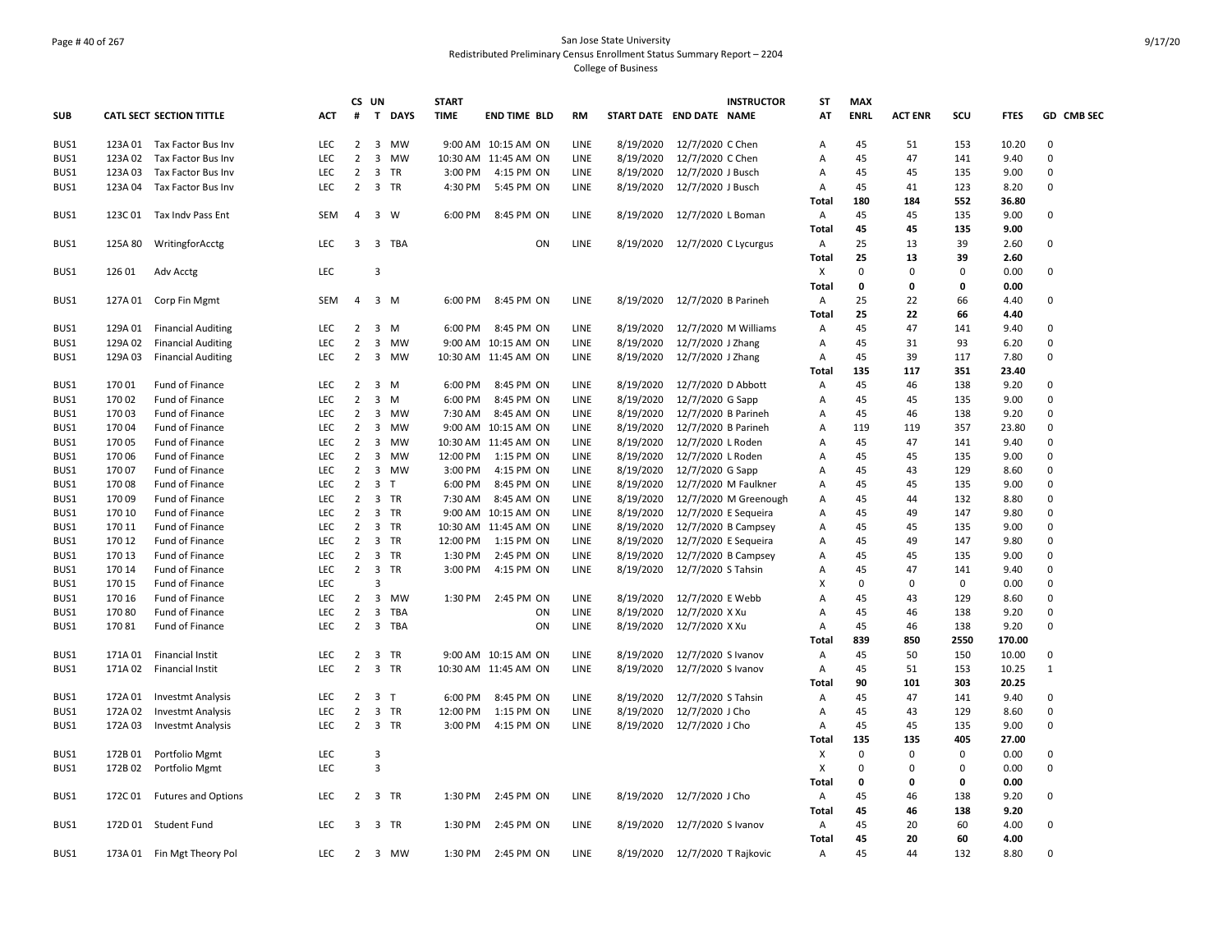# Page # 40 of 267 San Jose State University Redistributed Preliminary Census Enrollment Status Summary Report – 2204 College of Business

|            |         |                                 |            |                | CS UN                   |          | <b>START</b> |                      |             |           | <b>INSTRUCTOR</b>              | ST             | <b>MAX</b>  |                |             |             |              |
|------------|---------|---------------------------------|------------|----------------|-------------------------|----------|--------------|----------------------|-------------|-----------|--------------------------------|----------------|-------------|----------------|-------------|-------------|--------------|
| <b>SUB</b> |         | <b>CATL SECT SECTION TITTLE</b> | <b>ACT</b> | #              |                         | T DAYS   | <b>TIME</b>  | <b>END TIME BLD</b>  | <b>RM</b>   |           | START DATE END DATE NAME       | AT             | <b>ENRL</b> | <b>ACT ENR</b> | SCU         | <b>FTES</b> | GD CMB SEC   |
| BUS1       |         | 123A 01 Tax Factor Bus Inv      | LEC        | $\overline{2}$ |                         | 3 MW     |              | 9:00 AM 10:15 AM ON  | LINE        | 8/19/2020 | 12/7/2020 C Chen               | Α              | 45          | 51             | 153         | 10.20       | 0            |
| BUS1       | 123A 02 | Tax Factor Bus Inv              | <b>LEC</b> | $\overline{2}$ | $\overline{3}$          | MW       |              | 10:30 AM 11:45 AM ON | LINE        | 8/19/2020 | 12/7/2020 C Chen               | $\mathsf{A}$   | 45          | 47             | 141         | 9.40        | 0            |
| BUS1       | 123A 03 | Tax Factor Bus Inv              | <b>LEC</b> | $\overline{2}$ |                         | 3 TR     | 3:00 PM      | 4:15 PM ON           | LINE        | 8/19/2020 | 12/7/2020 J Busch              | Α              | 45          | 45             | 135         | 9.00        | $\mathbf 0$  |
| BUS1       | 123A 04 | Tax Factor Bus Inv              | <b>LEC</b> | $\overline{2}$ |                         | 3 TR     | 4:30 PM      | 5:45 PM ON           | LINE        | 8/19/2020 | 12/7/2020 J Busch              | $\overline{A}$ | 45          | 41             | 123         | 8.20        | $\Omega$     |
|            |         |                                 |            |                |                         |          |              |                      |             |           |                                | Total          | 180         | 184            | 552         | 36.80       |              |
| BUS1       | 123C 01 | Tax Indv Pass Ent               | <b>SEM</b> | $\overline{4}$ |                         | 3 W      | 6:00 PM      | 8:45 PM ON           | LINE        | 8/19/2020 | 12/7/2020 L Boman              | A              | 45          | 45             | 135         | 9.00        | 0            |
|            |         |                                 |            |                |                         |          |              |                      |             |           |                                | Total          | 45          | 45             | 135         | 9.00        |              |
| BUS1       | 125A 80 | WritingforAcctg                 | <b>LEC</b> |                |                         | 3 3 TBA  |              | ON                   | LINE        | 8/19/2020 | 12/7/2020 C Lycurgus           | A              | 25          | 13             | 39          | 2.60        | 0            |
|            |         |                                 |            |                |                         |          |              |                      |             |           |                                | Total          | 25          | 13             | 39          | 2.60        |              |
| BUS1       | 126 01  | Adv Acctg                       | LEC        |                | $\overline{3}$          |          |              |                      |             |           |                                | X              | 0           | $\mathbf 0$    | $\mathbf 0$ | 0.00        | $\mathbf 0$  |
|            |         |                                 |            |                |                         |          |              |                      |             |           |                                | Total          | 0           | 0              | 0           | 0.00        |              |
| BUS1       | 127A 01 | Corp Fin Mgmt                   | SEM        | $\overline{4}$ |                         | 3 M      | 6:00 PM      | 8:45 PM ON           | LINE        | 8/19/2020 | 12/7/2020 B Parineh            | A              | 25          | 22             | 66          | 4.40        | 0            |
|            |         |                                 |            |                |                         |          |              |                      |             |           |                                | Total          | 25          | 22             | 66          | 4.40        |              |
| BUS1       | 129A 01 | <b>Financial Auditing</b>       | LEC        | $\overline{2}$ |                         | $3 \, M$ | 6:00 PM      | 8:45 PM ON           | LINE        | 8/19/2020 | 12/7/2020 M Williams           | A              | 45          | 47             | 141         | 9.40        | $\mathbf 0$  |
| BUS1       | 129A 02 | <b>Financial Auditing</b>       | LEC        | $\overline{2}$ |                         | 3 MW     |              | 9:00 AM 10:15 AM ON  | LINE        | 8/19/2020 | 12/7/2020 J Zhang              | Α              | 45          | 31             | 93          | 6.20        | $\Omega$     |
| BUS1       | 129A 03 | <b>Financial Auditing</b>       | <b>LEC</b> | $\overline{2}$ |                         | 3 MW     |              | 10:30 AM 11:45 AM ON | LINE        | 8/19/2020 | 12/7/2020 J Zhang              | A              | 45          | 39             | 117         | 7.80        | $\mathbf 0$  |
|            |         |                                 |            |                |                         |          |              |                      |             |           |                                | Total          | 135         | 117            | 351         | 23.40       |              |
|            | 170 01  |                                 |            | $\overline{2}$ |                         |          | 6:00 PM      |                      | LINE        |           |                                |                | 45          |                | 138         | 9.20        | $\Omega$     |
| BUS1       |         | Fund of Finance                 | <b>LEC</b> |                |                         | 3 M      |              | 8:45 PM ON           |             | 8/19/2020 | 12/7/2020 D Abbott             | Α              |             | 46             |             |             |              |
| BUS1       | 170 02  | Fund of Finance                 | LEC.       | $\overline{2}$ | $\overline{3}$          | M        | 6:00 PM      | 8:45 PM ON           | LINE        | 8/19/2020 | 12/7/2020 G Sapp               | Α              | 45          | 45             | 135         | 9.00        | $\Omega$     |
| BUS1       | 17003   | Fund of Finance                 | LEC        | $\overline{2}$ |                         | 3 MW     | 7:30 AM      | 8:45 AM ON           | LINE        | 8/19/2020 | 12/7/2020 B Parineh            | Α              | 45          | 46             | 138         | 9.20        | $\mathsf 0$  |
| BUS1       | 17004   | Fund of Finance                 | <b>LEC</b> | $\overline{2}$ |                         | 3 MW     |              | 9:00 AM 10:15 AM ON  | LINE        | 8/19/2020 | 12/7/2020 B Parineh            | A              | 119         | 119            | 357         | 23.80       | $\Omega$     |
| BUS1       | 17005   | Fund of Finance                 | LEC        | $\overline{2}$ | $\overline{3}$          | MW       |              | 10:30 AM 11:45 AM ON | LINE        | 8/19/2020 | 12/7/2020 L Roden              | Α              | 45          | 47             | 141         | 9.40        | $\Omega$     |
| BUS1       | 170 06  | Fund of Finance                 | <b>LEC</b> | $\overline{2}$ |                         | 3 MW     | 12:00 PM     | 1:15 PM ON           | LINE        | 8/19/2020 | 12/7/2020 L Roden              | A              | 45          | 45             | 135         | 9.00        | $\Omega$     |
| BUS1       | 17007   | Fund of Finance                 | LEC        | $\overline{2}$ |                         | 3 MW     | 3:00 PM      | 4:15 PM ON           | LINE        | 8/19/2020 | 12/7/2020 G Sapp               | Α              | 45          | 43             | 129         | 8.60        | $\Omega$     |
| BUS1       | 170 08  | Fund of Finance                 | LEC        | $\overline{2}$ | 3 <sub>T</sub>          |          | 6:00 PM      | 8:45 PM ON           | LINE        | 8/19/2020 | 12/7/2020 M Faulkner           | Α              | 45          | 45             | 135         | 9.00        | $\Omega$     |
| BUS1       | 170 09  | Fund of Finance                 | LEC        | $\overline{2}$ |                         | 3 TR     | 7:30 AM      | 8:45 AM ON           | LINE        | 8/19/2020 | 12/7/2020 M Greenough          | Α              | 45          | 44             | 132         | 8.80        | $\Omega$     |
| BUS1       | 170 10  | Fund of Finance                 | LEC        | $\overline{2}$ |                         | 3 TR     |              | 9:00 AM 10:15 AM ON  | LINE        | 8/19/2020 | 12/7/2020 E Sequeira           | Α              | 45          | 49             | 147         | 9.80        | $\Omega$     |
| BUS1       | 170 11  | Fund of Finance                 | <b>LEC</b> | $\overline{2}$ |                         | 3 TR     |              | 10:30 AM 11:45 AM ON | LINE        | 8/19/2020 | 12/7/2020 B Campsey            | A              | 45          | 45             | 135         | 9.00        | $\Omega$     |
| BUS1       | 170 12  | Fund of Finance                 | LEC        | $\overline{2}$ |                         | 3 TR     | 12:00 PM     | 1:15 PM ON           | LINE        | 8/19/2020 | 12/7/2020 E Sequeira           | Α              | 45          | 49             | 147         | 9.80        | $\Omega$     |
| BUS1       | 170 13  | Fund of Finance                 | <b>LEC</b> | $\overline{2}$ |                         | 3 TR     | 1:30 PM      | 2:45 PM ON           | LINE        | 8/19/2020 | 12/7/2020 B Campsey            | $\mathsf{A}$   | 45          | 45             | 135         | 9.00        | $\Omega$     |
| BUS1       | 170 14  | Fund of Finance                 | LEC        | $\overline{2}$ |                         | 3 TR     | 3:00 PM      | 4:15 PM ON           | LINE        | 8/19/2020 | 12/7/2020 S Tahsin             | A              | 45          | 47             | 141         | 9.40        | $\mathbf 0$  |
| BUS1       | 170 15  | Fund of Finance                 | <b>LEC</b> |                | $\overline{3}$          |          |              |                      |             |           |                                | X              | 0           | $\Omega$       | $\mathbf 0$ | 0.00        | $\Omega$     |
| BUS1       | 170 16  | Fund of Finance                 | LEC        | $\overline{2}$ | $\overline{\mathbf{3}}$ | MW       | 1:30 PM      | 2:45 PM ON           | LINE        | 8/19/2020 | 12/7/2020 E Webb               | Α              | 45          | 43             | 129         | 8.60        | $\Omega$     |
| BUS1       | 17080   | Fund of Finance                 | <b>LEC</b> | $\overline{2}$ |                         | 3 TBA    |              | ON                   | LINE        | 8/19/2020 | 12/7/2020 X Xu                 | $\overline{A}$ | 45          | 46             | 138         | 9.20        | $\Omega$     |
| BUS1       | 17081   | Fund of Finance                 | LEC        | $\overline{2}$ |                         | 3 TBA    |              | ON                   | LINE        | 8/19/2020 | 12/7/2020 X Xu                 | Α              | 45          | 46             | 138         | 9.20        | $\Omega$     |
|            |         |                                 |            |                |                         |          |              |                      |             |           |                                | Total          | 839         | 850            | 2550        | 170.00      |              |
| BUS1       | 171A 01 | Financial Instit                | <b>LEC</b> | $\overline{2}$ |                         | 3 TR     |              | 9:00 AM 10:15 AM ON  | LINE        | 8/19/2020 | 12/7/2020 S Ivanov             | A              | 45          | 50             | 150         | 10.00       | 0            |
| BUS1       | 171A 02 | <b>Financial Instit</b>         | LEC        | $\overline{2}$ |                         | 3 TR     |              | 10:30 AM 11:45 AM ON | LINE        | 8/19/2020 | 12/7/2020 S Ivanov             | A              | 45          | 51             | 153         | 10.25       | $\mathbf{1}$ |
|            |         |                                 |            |                |                         |          |              |                      |             |           |                                | Total          | 90          | 101            | 303         | 20.25       |              |
| BUS1       | 172A 01 | <b>Investmt Analysis</b>        | LEC        | $\overline{2}$ | 3 <sub>1</sub>          |          | 6:00 PM      | 8:45 PM ON           | <b>LINE</b> | 8/19/2020 | 12/7/2020 S Tahsin             | Α              | 45          | 47             | 141         | 9.40        | $\Omega$     |
| BUS1       | 172A 02 | <b>Investmt Analysis</b>        | LEC        | $\overline{2}$ |                         | 3 TR     | 12:00 PM     | 1:15 PM ON           | LINE        | 8/19/2020 | 12/7/2020 J Cho                | A              | 45          | 43             | 129         | 8.60        | $\mathsf 0$  |
| BUS1       | 172A 03 | <b>Investmt Analysis</b>        | <b>LEC</b> | $\overline{2}$ |                         | 3 TR     | 3:00 PM      | 4:15 PM ON           | LINE        | 8/19/2020 | 12/7/2020 J Cho                | A              | 45          | 45             | 135         | 9.00        | 0            |
|            |         |                                 |            |                |                         |          |              |                      |             |           |                                | Total          | 135         | 135            | 405         | 27.00       |              |
| BUS1       | 172B 01 | Portfolio Mgmt                  | LEC        |                | 3                       |          |              |                      |             |           |                                | X              | 0           | $\mathbf 0$    | $\mathbf 0$ | 0.00        | $\mathbf 0$  |
| BUS1       | 172B 02 | Portfolio Mgmt                  | <b>LEC</b> |                | $\overline{3}$          |          |              |                      |             |           |                                | $\mathsf{x}$   | 0           | $\Omega$       | $\mathbf 0$ | 0.00        | 0            |
|            |         |                                 |            |                |                         |          |              |                      |             |           |                                | Total          | 0           | 0              | 0           | 0.00        |              |
| BUS1       | 172C 01 | <b>Futures and Options</b>      | <b>LEC</b> |                | 2 3 TR                  |          | 1:30 PM      | 2:45 PM ON           | LINE        | 8/19/2020 | 12/7/2020 J Cho                | A              | 45          | 46             | 138         | 9.20        | $\Omega$     |
|            |         |                                 |            |                |                         |          |              |                      |             |           |                                | Total          | 45          | 46             | 138         | 9.20        |              |
| BUS1       |         | 172D 01 Student Fund            | <b>LEC</b> | 3              |                         | 3 TR     | 1:30 PM      | 2:45 PM ON           | LINE        | 8/19/2020 | 12/7/2020 S Ivanov             | A              | 45          | 20             | 60          | 4.00        | 0            |
|            |         |                                 |            |                |                         |          |              |                      |             |           |                                | Total          | 45          | 20             | 60          | 4.00        |              |
| BUS1       |         | 173A 01 Fin Mgt Theory Pol      | <b>LEC</b> |                |                         | 2 3 MW   |              | 1:30 PM 2:45 PM ON   | LINE        |           | 8/19/2020 12/7/2020 T Rajkovic | Α              | 45          | 44             | 132         | 8.80        | $\mathbf 0$  |
|            |         |                                 |            |                |                         |          |              |                      |             |           |                                |                |             |                |             |             |              |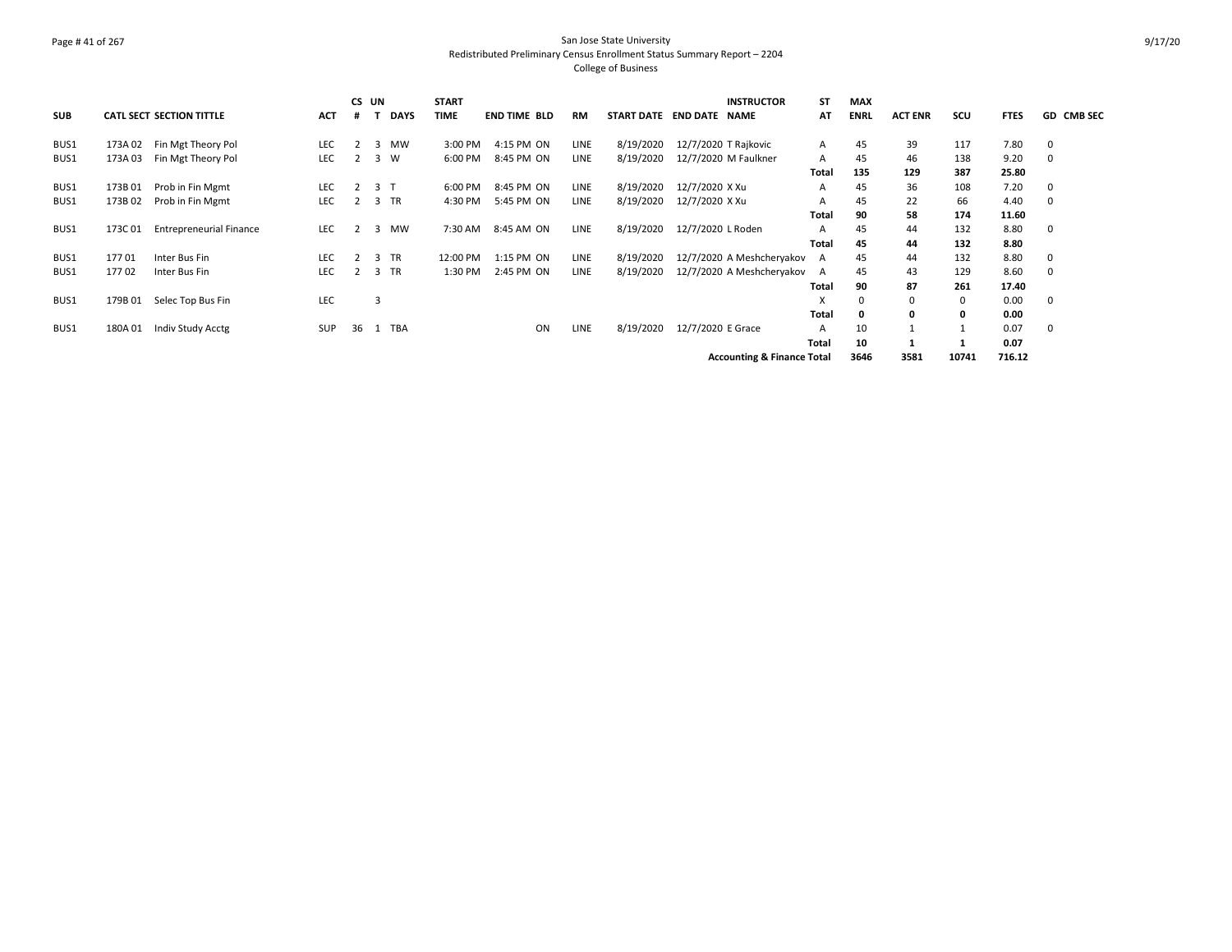# Page # 41 of 267 San Jose State University Redistributed Preliminary Census Enrollment Status Summary Report – 2204 College of Business

| <b>SUB</b> |         | <b>CATL SECT SECTION TITTLE</b> | <b>ACT</b> | CS UN<br># |     | <b>DAYS</b> | <b>START</b><br><b>TIME</b> | <b>END TIME BLD</b> |    | RM          | START DATE END DATE NAME |                   | <b>INSTRUCTOR</b>                     | ST<br>AT     | <b>MAX</b><br><b>ENRL</b> | <b>ACT ENR</b> | scu   | <b>FTES</b> | <b>GD CMB SEC</b> |
|------------|---------|---------------------------------|------------|------------|-----|-------------|-----------------------------|---------------------|----|-------------|--------------------------|-------------------|---------------------------------------|--------------|---------------------------|----------------|-------|-------------|-------------------|
| BUS1       | 173A 02 | Fin Mgt Theory Pol              | LEC        | 2          |     | 3 MW        | 3:00 PM                     | 4:15 PM ON          |    | LINE        | 8/19/2020                |                   | 12/7/2020 T Rajkovic                  | $\mathsf{A}$ | 45                        | 39             | 117   | 7.80        | - 0               |
| BUS1       | 173A 03 | Fin Mgt Theory Pol              | LEC        | 2          |     | 3 W         | 6:00 PM                     | 8:45 PM ON          |    | LINE        | 8/19/2020                |                   | 12/7/2020 M Faulkner                  | $\mathsf{A}$ | 45                        | 46             | 138   | 9.20        | 0                 |
|            |         |                                 |            |            |     |             |                             |                     |    |             |                          |                   |                                       | Total        | 135                       | 129            | 387   | 25.80       |                   |
| BUS1       | 173B 01 | Prob in Fin Mgmt                | LEC        | 2          | 3 T |             | 6:00 PM                     | 8:45 PM ON          |    | LINE        | 8/19/2020                | 12/7/2020 X Xu    |                                       | A            | 45                        | 36             | 108   | 7.20        | - 0               |
| BUS1       | 173B 02 | Prob in Fin Mgmt                | LEC        | 2          |     | 3 TR        | 4:30 PM                     | 5:45 PM ON          |    | LINE        | 8/19/2020                | 12/7/2020 X Xu    |                                       | A            | 45                        | 22             | 66    | 4.40        | - 0               |
|            |         |                                 |            |            |     |             |                             |                     |    |             |                          |                   |                                       | Total        | 90                        | 58             | 174   | 11.60       |                   |
| BUS1       | 173C 01 | <b>Entrepreneurial Finance</b>  | LEC        | 2          |     | 3 MW        | 7:30 AM                     | 8:45 AM ON          |    | <b>LINE</b> | 8/19/2020                | 12/7/2020 L Roden |                                       | $\mathsf{A}$ | 45                        | 44             | 132   | 8.80        | 0                 |
|            |         |                                 |            |            |     |             |                             |                     |    |             |                          |                   |                                       | Total        | 45                        | 44             | 132   | 8.80        |                   |
| BUS1       | 17701   | Inter Bus Fin                   | LEC        | 2          |     | 3 TR        | 12:00 PM                    | 1:15 PM ON          |    | LINE        | 8/19/2020                |                   | 12/7/2020 A Meshcheryakov A           |              | 45                        | 44             | 132   | 8.80        | - 0               |
| BUS1       | 17702   | Inter Bus Fin                   | <b>LEC</b> | 2          |     | 3 TR        | 1:30 PM                     | 2:45 PM ON          |    | <b>LINE</b> | 8/19/2020                |                   | 12/7/2020 A Meshcheryakov A           |              | 45                        | 43             | 129   | 8.60        | 0                 |
|            |         |                                 |            |            |     |             |                             |                     |    |             |                          |                   |                                       | Total        | 90                        | 87             | 261   | 17.40       |                   |
| BUS1       | 179B 01 | Selec Top Bus Fin               | <b>LEC</b> |            | 3   |             |                             |                     |    |             |                          |                   |                                       | x            | 0                         |                | 0     | 0.00        | - 0               |
|            |         |                                 |            |            |     |             |                             |                     |    |             |                          |                   |                                       | Total        | 0                         |                | 0     | 0.00        |                   |
| BUS1       | 180A01  | Indiv Study Acctg               | SUP        | 36         |     | 1 TBA       |                             |                     | ON | LINE        | 8/19/2020                | 12/7/2020 E Grace |                                       | $\mathsf{A}$ | 10                        |                |       | 0.07        | 0                 |
|            |         |                                 |            |            |     |             |                             |                     |    |             |                          |                   |                                       | Total        | 10                        |                |       | 0.07        |                   |
|            |         |                                 |            |            |     |             |                             |                     |    |             |                          |                   | <b>Accounting &amp; Finance Total</b> |              | 3646                      | 3581           | 10741 | 716.12      |                   |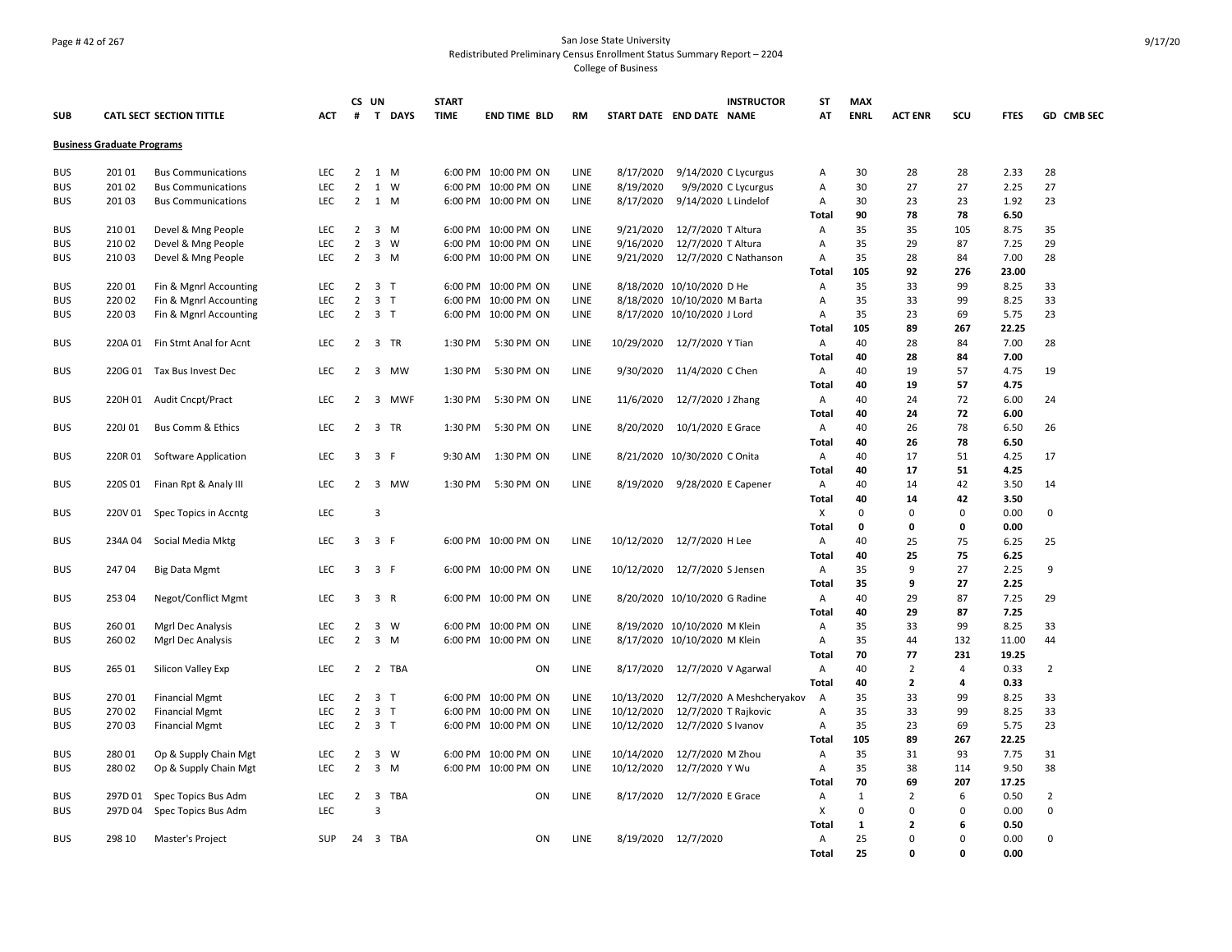#### Page # 42 of 267 San Jose State University Redistributed Preliminary Census Enrollment Status Summary Report – 2204 College of Business

|            |                                   |                                 |            |                | CS UN          |             | <b>START</b> |                     |             |            | <b>INSTRUCTOR</b>             | ST             | <b>MAX</b>   |                |                |             |                |
|------------|-----------------------------------|---------------------------------|------------|----------------|----------------|-------------|--------------|---------------------|-------------|------------|-------------------------------|----------------|--------------|----------------|----------------|-------------|----------------|
| <b>SUB</b> |                                   | <b>CATL SECT SECTION TITTLE</b> | ACT        | #              |                | T DAYS      | <b>TIME</b>  | <b>END TIME BLD</b> | <b>RM</b>   |            | START DATE END DATE NAME      | AT             | <b>ENRL</b>  | <b>ACT ENR</b> | scu            | <b>FTES</b> | GD CMB SEC     |
|            | <b>Business Graduate Programs</b> |                                 |            |                |                |             |              |                     |             |            |                               |                |              |                |                |             |                |
| <b>BUS</b> | 201 01                            | <b>Bus Communications</b>       | LEC        | $\overline{2}$ |                | 1 M         |              | 6:00 PM 10:00 PM ON | LINE        | 8/17/2020  | 9/14/2020 C Lycurgus          | Α              | 30           | 28             | 28             | 2.33        | 28             |
| <b>BUS</b> | 20102                             | <b>Bus Communications</b>       | LEC        | $\overline{2}$ |                | 1 W         |              | 6:00 PM 10:00 PM ON | LINE        | 8/19/2020  | 9/9/2020 C Lycurgus           | Α              | 30           | 27             | 27             | 2.25        | 27             |
| <b>BUS</b> | 20103                             | <b>Bus Communications</b>       | <b>LEC</b> | $\overline{2}$ |                | 1 M         |              | 6:00 PM 10:00 PM ON | LINE        | 8/17/2020  | 9/14/2020 L Lindelof          | Α              | 30           | 23             | 23             | 1.92        | 23             |
|            |                                   |                                 |            |                |                |             |              |                     |             |            |                               | <b>Total</b>   | 90           | 78             | 78             | 6.50        |                |
| <b>BUS</b> | 210 01                            | Devel & Mng People              | LEC        | $\overline{2}$ |                | $3 \, M$    |              | 6:00 PM 10:00 PM ON | LINE        | 9/21/2020  | 12/7/2020 T Altura            | Α              | 35           | 35             | 105            | 8.75        | 35             |
| <b>BUS</b> | 210 02                            | Devel & Mng People              | <b>LEC</b> | $\overline{2}$ |                | $3 \quad W$ |              | 6:00 PM 10:00 PM ON | LINE        | 9/16/2020  | 12/7/2020 T Altura            | Α              | 35           | 29             | 87             | 7.25        | 29             |
| <b>BUS</b> | 21003                             | Devel & Mng People              | <b>LEC</b> | $\overline{2}$ |                | $3 \, M$    |              | 6:00 PM 10:00 PM ON | LINE        | 9/21/2020  | 12/7/2020 C Nathanson         | Α              | 35           | 28             | 84             | 7.00        | 28             |
|            |                                   |                                 |            |                |                |             |              |                     |             |            |                               | <b>Total</b>   | 105          | 92             | 276            | 23.00       |                |
| <b>BUS</b> | 220 01                            | Fin & Mgnrl Accounting          | LEC        | $\overline{2}$ | 3 <sub>T</sub> |             |              | 6:00 PM 10:00 PM ON | LINE        |            | 8/18/2020 10/10/2020 D He     | Α              | 35           | 33             | 99             | 8.25        | 33             |
| <b>BUS</b> | 220 02                            | Fin & Mgnrl Accounting          | LEC        | $\overline{2}$ | 3 <sub>T</sub> |             |              | 6:00 PM 10:00 PM ON | LINE        |            | 8/18/2020 10/10/2020 M Barta  | Α              | 35           | 33             | 99             | 8.25        | 33             |
| <b>BUS</b> | 22003                             | Fin & Mgnrl Accounting          | LEC        | $\overline{2}$ | 3 <sub>T</sub> |             |              | 6:00 PM 10:00 PM ON | LINE        |            | 8/17/2020 10/10/2020 J Lord   | Α              | 35           | 23             | 69             | 5.75        | 23             |
|            |                                   |                                 |            |                |                |             |              |                     |             |            |                               | <b>Total</b>   | 105          | 89             | 267            | 22.25       |                |
| <b>BUS</b> | 220A 01                           | Fin Stmt Anal for Acnt          | <b>LEC</b> | $\overline{2}$ |                | 3 TR        | 1:30 PM      | 5:30 PM ON          | LINE        | 10/29/2020 | 12/7/2020 Y Tian              | Α              | 40           | 28             | 84             | 7.00        | 28             |
|            |                                   |                                 |            |                |                |             |              |                     |             |            |                               | Total          | 40           | 28             | 84             | 7.00        |                |
| <b>BUS</b> | 220G 01                           | Tax Bus Invest Dec              | <b>LEC</b> | 2              |                | 3 MW        | 1:30 PM      | 5:30 PM ON          | LINE        | 9/30/2020  | 11/4/2020 C Chen              | A              | 40           | 19             | 57             | 4.75        | 19             |
|            |                                   |                                 |            |                |                |             |              |                     |             |            |                               | <b>Total</b>   | 40           | 19             | 57             | 4.75        |                |
| <b>BUS</b> | 220H 01                           | Audit Cncpt/Pract               | <b>LEC</b> | $\overline{2}$ |                | 3 MWF       | 1:30 PM      | 5:30 PM ON          | LINE        | 11/6/2020  | 12/7/2020 J Zhang             | Α              | 40           | 24             | 72             | 6.00        | 24             |
|            |                                   |                                 |            |                |                |             |              |                     |             |            |                               | Total          | 40           | 24             | 72             | 6.00        |                |
| <b>BUS</b> | 220J 01                           | <b>Bus Comm &amp; Ethics</b>    | LEC        | $\overline{2}$ |                | 3 TR        | 1:30 PM      | 5:30 PM ON          | LINE        | 8/20/2020  | 10/1/2020 E Grace             | Α              | 40           | 26             | 78             | 6.50        | 26             |
|            |                                   |                                 |            |                |                |             |              |                     |             |            |                               | <b>Total</b>   | 40           | 26             | 78             | 6.50        |                |
| <b>BUS</b> | 220R 01                           | Software Application            | <b>LEC</b> | $\overline{3}$ | 3 F            |             | 9:30 AM      | 1:30 PM ON          | LINE        |            | 8/21/2020 10/30/2020 C Onita  | Α              | 40           | 17             | 51             | 4.25        | 17             |
|            |                                   |                                 |            |                |                |             |              |                     |             |            |                               | <b>Total</b>   | 40           | 17             | 51             | 4.25        |                |
| <b>BUS</b> | 220S 01                           | Finan Rpt & Analy III           | <b>LEC</b> | $\overline{2}$ |                | 3 MW        | 1:30 PM      | 5:30 PM ON          | LINE        | 8/19/2020  | 9/28/2020 E Capener           | Α              | 40           | 14             | 42             | 3.50        | 14             |
|            |                                   |                                 |            |                |                |             |              |                     |             |            |                               | Total          | 40           | 14             | 42             | 3.50        |                |
| <b>BUS</b> | 220V 01                           | Spec Topics in Accntg           | LEC        |                | $\overline{3}$ |             |              |                     |             |            |                               | Χ              | $\Omega$     | $\mathbf 0$    | $\mathbf 0$    | 0.00        | $\mathbf 0$    |
|            |                                   |                                 |            |                |                |             |              |                     |             |            |                               | <b>Total</b>   | $\mathbf{0}$ | $\mathbf 0$    | 0              | 0.00        |                |
| <b>BUS</b> | 234A 04                           | Social Media Mktg               | LEC        | 3              | 3 F            |             |              | 6:00 PM 10:00 PM ON | LINE        | 10/12/2020 | 12/7/2020 H Lee               | Α              | 40           | 25             | 75             | 6.25        | 25             |
|            |                                   |                                 |            |                |                |             |              |                     |             |            |                               | Total          | 40           | 25             | 75             | 6.25        |                |
| <b>BUS</b> | 24704                             | <b>Big Data Mgmt</b>            | <b>LEC</b> | 3              | 3 F            |             |              | 6:00 PM 10:00 PM ON | <b>LINE</b> | 10/12/2020 | 12/7/2020 S Jensen            | Α              | 35           | 9              | 27             | 2.25        | 9              |
|            |                                   |                                 |            |                |                |             |              |                     |             |            |                               | <b>Total</b>   | 35           | 9              | 27             | 2.25        |                |
| <b>BUS</b> | 253 04                            | Negot/Conflict Mgmt             | LEC        | 3              | 3 R            |             |              | 6:00 PM 10:00 PM ON | LINE        |            | 8/20/2020 10/10/2020 G Radine | Α              | 40           | 29             | 87             | 7.25        | 29             |
|            |                                   |                                 |            |                |                |             |              |                     |             |            |                               | Total          | 40           | 29             | 87             | 7.25        |                |
| <b>BUS</b> | 26001                             | Mgrl Dec Analysis               | <b>LEC</b> | 2              | 3              | W           |              | 6:00 PM 10:00 PM ON | <b>LINE</b> |            | 8/19/2020 10/10/2020 M Klein  | A              | 35           | 33             | 99             | 8.25        | 33             |
| <b>BUS</b> | 260 02                            | Mgrl Dec Analysis               | LEC        | 2              |                | $3 \, M$    |              | 6:00 PM 10:00 PM ON | LINE        |            | 8/17/2020 10/10/2020 M Klein  | Α              | 35           | 44             | 132            | 11.00       | 44             |
|            |                                   |                                 |            |                |                |             |              |                     |             |            |                               | Total          | 70           | 77             | 231            | 19.25       |                |
| <b>BUS</b> | 265 01                            | Silicon Valley Exp              | LEC        | $\overline{2}$ |                | 2 TBA       |              | ON                  | LINE        | 8/17/2020  | 12/7/2020 V Agarwal           | Α              | 40           | $\overline{2}$ | $\overline{4}$ | 0.33        | $\overline{2}$ |
|            |                                   |                                 |            |                |                |             |              |                     |             |            |                               | <b>Total</b>   | 40           | $\overline{2}$ | 4              | 0.33        |                |
| <b>BUS</b> | 270 01                            | <b>Financial Mgmt</b>           | LEC        | $\overline{2}$ | 3 <sub>T</sub> |             |              | 6:00 PM 10:00 PM ON | LINE        | 10/13/2020 | 12/7/2020 A Meshcheryakov     | $\overline{A}$ | 35           | 33             | 99             | 8.25        | 33             |
| <b>BUS</b> | 27002                             | <b>Financial Mgmt</b>           | LEC        | $\overline{2}$ | 3 <sub>1</sub> |             |              | 6:00 PM 10:00 PM ON | LINE        | 10/12/2020 | 12/7/2020 T Rajkovic          | Α              | 35           | 33             | 99             | 8.25        | 33             |
| <b>BUS</b> | 27003                             | <b>Financial Mgmt</b>           | LEC        | $\overline{2}$ | 3 <sub>T</sub> |             |              | 6:00 PM 10:00 PM ON | LINE        | 10/12/2020 | 12/7/2020 S Ivanov            | Α              | 35           | 23             | 69             | 5.75        | 23             |
|            |                                   |                                 |            |                |                |             |              |                     |             |            |                               | Total          | 105          | 89             | 267            | 22.25       |                |
| <b>BUS</b> | 28001                             | Op & Supply Chain Mgt           | LEC        | $\overline{2}$ |                | 3 W         | 6:00 PM      | 10:00 PM ON         | LINE        | 10/14/2020 | 12/7/2020 M Zhou              | Α              | 35           | 31             | 93             | 7.75        | 31             |
| <b>BUS</b> | 280 02                            | Op & Supply Chain Mgt           | <b>LEC</b> | $\overline{2}$ |                | $3 \, M$    |              | 6:00 PM 10:00 PM ON | LINE        | 10/12/2020 | 12/7/2020 Y Wu                | Α              | 35           | 38             | 114            | 9.50        | 38             |
|            |                                   |                                 |            |                |                |             |              |                     |             |            |                               | <b>Total</b>   | 70           | 69             | 207            | 17.25       |                |
| <b>BUS</b> | 297D 01                           | Spec Topics Bus Adm             | <b>LEC</b> | $\overline{2}$ |                | 3 TBA       |              | ON                  | LINE        | 8/17/2020  | 12/7/2020 E Grace             | Α              | $\mathbf{1}$ | 2              | 6              | 0.50        | 2              |
| <b>BUS</b> | 297D 04                           | Spec Topics Bus Adm             | LEC        |                | 3              |             |              |                     |             |            |                               | X              | $\Omega$     | $\Omega$       | 0              | 0.00        | 0              |
|            |                                   |                                 |            |                |                |             |              |                     |             |            |                               | Total          | 1            | $\overline{2}$ | 6              | 0.50        |                |
| <b>BUS</b> | 298 10                            | Master's Project                | SUP        |                |                | 24 3 TBA    |              | ON                  | <b>LINE</b> | 8/19/2020  | 12/7/2020                     | A              | 25           | $\Omega$       | $\Omega$       | 0.00        | $\mathbf 0$    |
|            |                                   |                                 |            |                |                |             |              |                     |             |            |                               | <b>Total</b>   | 25           | O              | <sup>0</sup>   | 0.00        |                |
|            |                                   |                                 |            |                |                |             |              |                     |             |            |                               |                |              |                |                |             |                |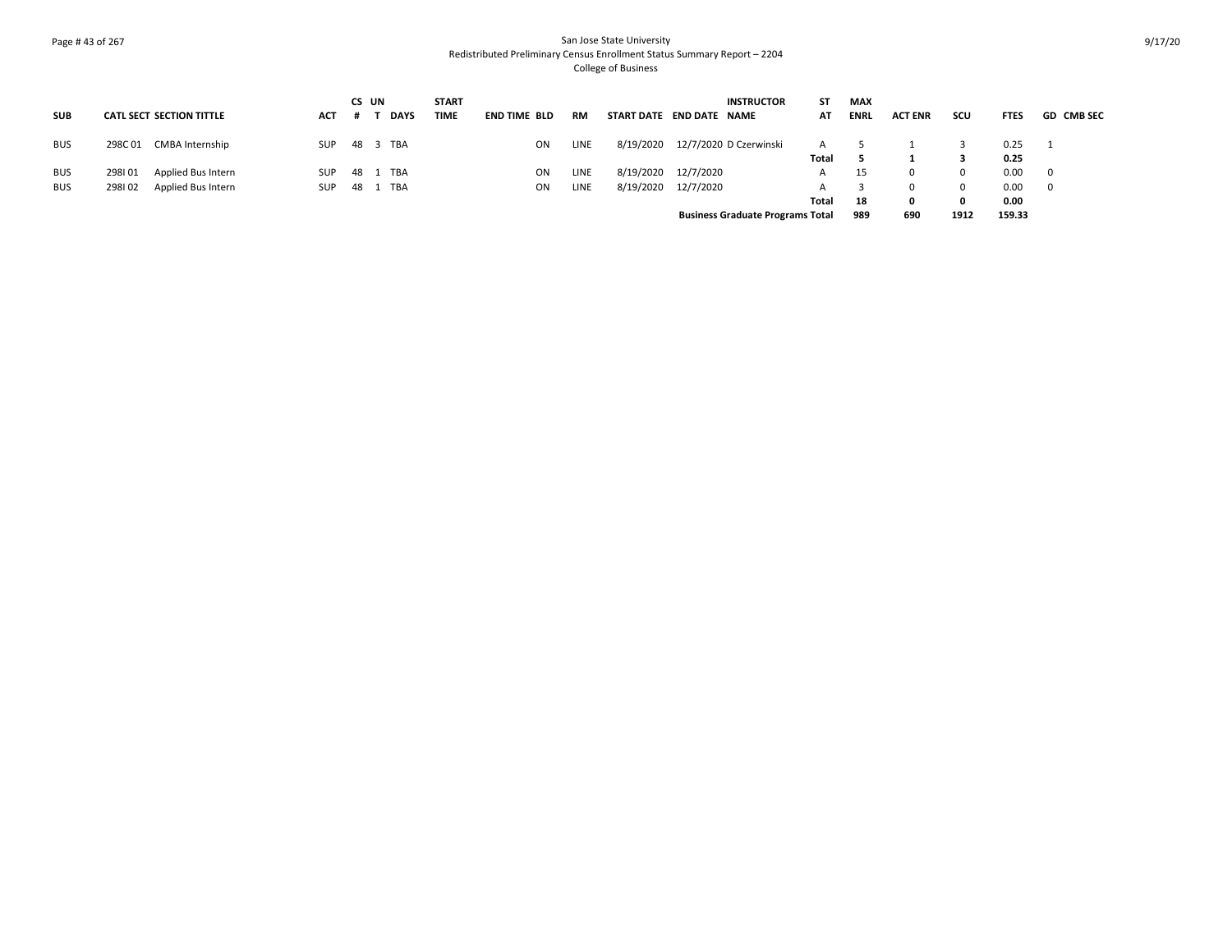# Page # 43 of 267 San Jose State University Redistributed Preliminary Census Enrollment Status Summary Report – 2204 College of Business

|            |        |                                 |            | CS UN |             | <b>START</b> |                     |             |           | <b>INSTRUCTOR</b>                       | ST    | <b>MAX</b>  |                |          |             |                   |
|------------|--------|---------------------------------|------------|-------|-------------|--------------|---------------------|-------------|-----------|-----------------------------------------|-------|-------------|----------------|----------|-------------|-------------------|
| <b>SUB</b> |        | <b>CATL SECT SECTION TITTLE</b> | <b>ACT</b> |       | <b>DAYS</b> | <b>TIME</b>  | <b>END TIME BLD</b> | <b>RM</b>   |           | START DATE END DATE NAME                | AT    | <b>ENRL</b> | <b>ACT ENR</b> | scu      | <b>FTES</b> | <b>GD CMB SEC</b> |
| <b>BUS</b> | 298C01 | CMBA Internship                 | <b>SUP</b> |       | 48 3 TBA    |              | ON                  | <b>LINE</b> |           | 8/19/2020 12/7/2020 D Czerwinski        | A     |             |                |          | 0.25        |                   |
|            |        |                                 |            |       |             |              |                     |             |           |                                         | Total |             |                |          | 0.25        |                   |
| <b>BUS</b> | 298101 | Applied Bus Intern              | <b>SUP</b> |       | 48 1 TBA    |              | ON                  | <b>LINE</b> | 8/19/2020 | 12/7/2020                               | A     | 15          | $\Omega$       | $\Omega$ | 0.00        | 0                 |
| <b>BUS</b> | 298102 | Applied Bus Intern              | <b>SUP</b> | 48    | 1 TBA       |              | ON                  | <b>LINE</b> | 8/19/2020 | 12/7/2020                               |       |             | $\Omega$       | 0        | 0.00        | 0                 |
|            |        |                                 |            |       |             |              |                     |             |           |                                         | Total | 18          | 0              | 0        | 0.00        |                   |
|            |        |                                 |            |       |             |              |                     |             |           | <b>Business Graduate Programs Total</b> |       | 989         | 690            | 1912     | 159.33      |                   |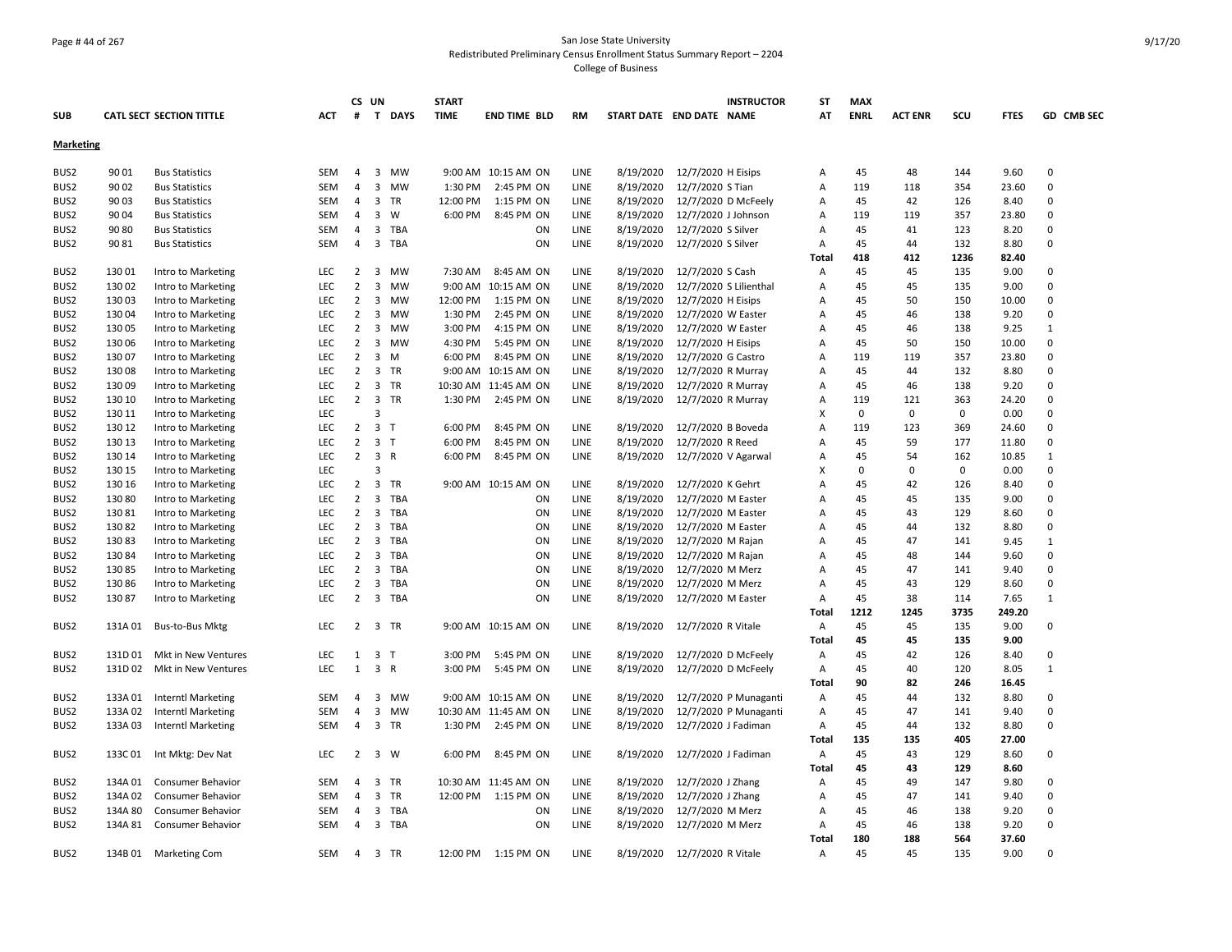#### Page # 44 of 267 San Jose State University Redistributed Preliminary Census Enrollment Status Summary Report – 2204 College of Business

|                  |         |                                 |            |                | CS UN                   |              | <b>START</b> |                       |      |                          |                              | <b>INSTRUCTOR</b>     | ST           | <b>MAX</b>  |                |             |             |              |
|------------------|---------|---------------------------------|------------|----------------|-------------------------|--------------|--------------|-----------------------|------|--------------------------|------------------------------|-----------------------|--------------|-------------|----------------|-------------|-------------|--------------|
| <b>SUB</b>       |         | <b>CATL SECT SECTION TITTLE</b> | ACT        | #              |                         | T DAYS       | <b>TIME</b>  | <b>END TIME BLD</b>   | RM   | START DATE END DATE NAME |                              |                       | AT           | <b>ENRL</b> | <b>ACT ENR</b> | scu         | <b>FTES</b> | GD CMB SEC   |
| <b>Marketing</b> |         |                                 |            |                |                         |              |              |                       |      |                          |                              |                       |              |             |                |             |             |              |
| BUS2             | 90 01   | <b>Bus Statistics</b>           | SEM        | 4              |                         | 3 MW         |              | 9:00 AM 10:15 AM ON   | LINE | 8/19/2020                | 12/7/2020 H Eisips           |                       | Α            | 45          | 48             | 144         | 9.60        | 0            |
| BUS2             | 90 02   | <b>Bus Statistics</b>           | SEM        | $\overline{4}$ | 3                       | MW           | 1:30 PM      | 2:45 PM ON            | LINE | 8/19/2020                | 12/7/2020 S Tian             |                       | Α            | 119         | 118            | 354         | 23.60       | 0            |
| BUS2             | 90 03   | <b>Bus Statistics</b>           | <b>SEM</b> | 4              | $\overline{3}$          | TR           | 12:00 PM     | 1:15 PM ON            | LINE | 8/19/2020                | 12/7/2020 D McFeely          |                       | Α            | 45          | 42             | 126         | 8.40        | $\Omega$     |
| BUS2             | 90 04   | <b>Bus Statistics</b>           | <b>SEM</b> | $\overline{4}$ | 3                       | W            | 6:00 PM      | 8:45 PM ON            | LINE | 8/19/2020                | 12/7/2020 J Johnson          |                       | A            | 119         | 119            | 357         | 23.80       | $\Omega$     |
| BUS2             | 90 80   | <b>Bus Statistics</b>           | <b>SEM</b> | $\overline{4}$ |                         | 3 TBA        |              | ON                    | LINE | 8/19/2020                | 12/7/2020 S Silver           |                       | Α            | 45          | 41             | 123         | 8.20        | $\Omega$     |
| BUS2             | 9081    | <b>Bus Statistics</b>           | SEM        | $\overline{4}$ |                         | 3 TBA        |              | ON                    | LINE | 8/19/2020                | 12/7/2020 S Silver           |                       | Α            | 45          | 44             | 132         | 8.80        | 0            |
|                  |         |                                 |            |                |                         |              |              |                       |      |                          |                              |                       | Total        | 418         | 412            | 1236        | 82.40       |              |
| BUS2             | 130 01  | Intro to Marketing              | <b>LEC</b> | $\overline{2}$ |                         | 3 MW         | 7:30 AM      | 8:45 AM ON            | LINE | 8/19/2020                | 12/7/2020 S Cash             |                       | A            | 45          | 45             | 135         | 9.00        | 0            |
| BUS <sub>2</sub> | 130 02  | Intro to Marketing              | LEC        | $\overline{2}$ | $\overline{3}$          | <b>MW</b>    |              | 9:00 AM 10:15 AM ON   | LINE | 8/19/2020                | 12/7/2020 S Lilienthal       |                       | Α            | 45          | 45             | 135         | 9.00        | 0            |
| BUS <sub>2</sub> | 13003   | Intro to Marketing              | LEC        | $\overline{2}$ | 3                       | MW           | 12:00 PM     | 1:15 PM ON            | LINE | 8/19/2020                | 12/7/2020 H Eisips           |                       | Α            | 45          | 50             | 150         | 10.00       | $\Omega$     |
| BUS <sub>2</sub> | 13004   | Intro to Marketing              | LEC        | 2              |                         | 3 MW         | 1:30 PM      | 2:45 PM ON            | LINE | 8/19/2020                | 12/7/2020 W Easter           |                       | Α            | 45          | 46             | 138         | 9.20        | 0            |
| BUS2             | 130 05  | Intro to Marketing              | <b>LEC</b> | $\overline{2}$ | 3                       | <b>MW</b>    | 3:00 PM      | 4:15 PM ON            | LINE | 8/19/2020                | 12/7/2020 W Easter           |                       | A            | 45          | 46             | 138         | 9.25        | $\mathbf{1}$ |
| BUS2             | 130 06  | Intro to Marketing              | LEC        | $\overline{2}$ |                         | 3 MW         | 4:30 PM      | 5:45 PM ON            | LINE | 8/19/2020                | 12/7/2020 H Eisips           |                       | Α            | 45          | 50             | 150         | 10.00       | 0            |
| BUS2             | 130 07  | Intro to Marketing              | <b>LEC</b> | $\overline{2}$ |                         | $3 \, M$     | 6:00 PM      | 8:45 PM ON            | LINE | 8/19/2020                | 12/7/2020 G Castro           |                       | Α            | 119         | 119            | 357         | 23.80       | $\Omega$     |
| BUS2             | 130 08  | Intro to Marketing              | LEC        | $\overline{2}$ |                         | 3 TR         |              | 9:00 AM 10:15 AM ON   | LINE | 8/19/2020                | 12/7/2020 R Murray           |                       | Α            | 45          | 44             | 132         | 8.80        | 0            |
| BUS2             | 13009   | Intro to Marketing              | LEC        | 2              |                         | 3 TR         |              | 10:30 AM 11:45 AM ON  | LINE | 8/19/2020                | 12/7/2020 R Murray           |                       | Α            | 45          | 46             | 138         | 9.20        | 0            |
| BUS <sub>2</sub> | 130 10  | Intro to Marketing              | <b>LEC</b> | $\overline{2}$ |                         | 3 TR         | 1:30 PM      | 2:45 PM ON            | LINE | 8/19/2020                | 12/7/2020 R Murray           |                       | Α            | 119         | 121            | 363         | 24.20       | $\Omega$     |
| BUS2             | 130 11  | Intro to Marketing              | <b>LEC</b> |                | 3                       |              |              |                       |      |                          |                              |                       | X            | 0           | 0              | $\mathbf 0$ | 0.00        | $\Omega$     |
| BUS2             | 130 12  | Intro to Marketing              | <b>LEC</b> | $\overline{2}$ | 3 <sub>1</sub>          |              | 6:00 PM      | 8:45 PM ON            | LINE | 8/19/2020                | 12/7/2020 B Boveda           |                       | A            | 119         | 123            | 369         | 24.60       | 0            |
| BUS2             | 130 13  | Intro to Marketing              | LEC        | $\overline{2}$ | 3 <sub>1</sub>          |              | 6:00 PM      | 8:45 PM ON            | LINE | 8/19/2020                | 12/7/2020 R Reed             |                       | Α            | 45          | 59             | 177         | 11.80       | $\Omega$     |
| BUS2             | 130 14  | Intro to Marketing              | LEC        | $\overline{2}$ |                         | 3 R          | 6:00 PM      | 8:45 PM ON            | LINE | 8/19/2020                | 12/7/2020 V Agarwal          |                       | Α            | 45          | 54             | 162         | 10.85       | $\mathbf{1}$ |
| BUS2             | 130 15  | Intro to Marketing              | <b>LEC</b> |                | 3                       |              |              |                       |      |                          |                              |                       | X            | 0           | 0              | 0           | 0.00        | 0            |
| BUS <sub>2</sub> | 130 16  | Intro to Marketing              | <b>LEC</b> | $\overline{2}$ | 3                       | TR           |              | 9:00 AM 10:15 AM ON   | LINE | 8/19/2020                | 12/7/2020 K Gehrt            |                       | A            | 45          | 42             | 126         | 8.40        | $\Omega$     |
| BUS2             | 130 80  | Intro to Marketing              | LEC        | $\overline{2}$ |                         | 3 TBA        |              | ON                    | LINE | 8/19/2020                | 12/7/2020 M Easter           |                       | Α            | 45          | 45             | 135         | 9.00        | $\Omega$     |
| BUS2             | 13081   | Intro to Marketing              | LEC        | $\overline{2}$ | 3                       | TBA          |              | ON                    | LINE | 8/19/2020                | 12/7/2020 M Easter           |                       | Α            | 45          | 43             | 129         | 8.60        | 0            |
| BUS2             | 13082   |                                 | LEC        | $\overline{2}$ | 3                       | TBA          |              | ON                    | LINE | 8/19/2020                | 12/7/2020 M Easter           |                       |              | 45          | 44             | 132         | 8.80        | 0            |
| BUS <sub>2</sub> | 13083   | Intro to Marketing              | <b>LEC</b> | $\overline{2}$ | 3                       | TBA          |              | ON                    | LINE | 8/19/2020                |                              |                       | Α            | 45          | 47             | 141         | 9.45        | $\mathbf{1}$ |
| BUS <sub>2</sub> | 130 84  | Intro to Marketing              | <b>LEC</b> | $\overline{2}$ | $\overline{3}$          | TBA          |              | ON                    | LINE | 8/19/2020                | 12/7/2020 M Rajan            |                       | Α            | 45          | 48             | 144         | 9.60        | 0            |
|                  |         | Intro to Marketing              |            |                |                         |              |              |                       |      |                          | 12/7/2020 M Rajan            |                       | Α            |             | 47             |             |             | O            |
| BUS2             | 13085   | Intro to Marketing              | LEC        | $\overline{2}$ | $\overline{3}$          | TBA          |              | ON                    | LINE | 8/19/2020                | 12/7/2020 M Merz             |                       | Α            | 45          |                | 141         | 9.40        |              |
| BUS2             | 130 86  | Intro to Marketing              | LEC        | $\overline{2}$ | 3                       | TBA          |              | ON                    | LINE | 8/19/2020                | 12/7/2020 M Merz             |                       | Α            | 45          | 43             | 129         | 8.60        | 0            |
| BUS2             | 13087   | Intro to Marketing              | <b>LEC</b> | $\overline{2}$ |                         | 3 TBA        |              | ON                    | LINE | 8/19/2020                | 12/7/2020 M Easter           |                       | Α            | 45          | 38             | 114         | 7.65        | $\mathbf{1}$ |
|                  |         |                                 |            |                |                         |              |              |                       |      |                          |                              |                       | Total        | 1212        | 1245           | 3735        | 249.20      |              |
| BUS2             | 131A 01 | Bus-to-Bus Mktg                 | <b>LEC</b> | $\overline{2}$ |                         | 3 TR         |              | 9:00 AM 10:15 AM ON   | LINE | 8/19/2020                | 12/7/2020 R Vitale           |                       | A            | 45          | 45             | 135         | 9.00        | $\Omega$     |
|                  |         |                                 |            |                |                         |              |              |                       |      |                          |                              |                       | Total        | 45          | 45             | 135         | 9.00        |              |
| BUS2             | 131D 01 | Mkt in New Ventures             | LEC        | 1              | $\overline{\mathbf{3}}$ | $\mathsf{T}$ | 3:00 PM      | 5:45 PM ON            | LINE | 8/19/2020                | 12/7/2020 D McFeely          |                       | Α            | 45          | 42             | 126         | 8.40        | 0            |
| BUS2             | 131D 02 | Mkt in New Ventures             | LEC        | $\mathbf{1}$   |                         | 3 R          | 3:00 PM      | 5:45 PM ON            | LINE | 8/19/2020                | 12/7/2020 D McFeely          |                       | Α            | 45          | 40             | 120         | 8.05        | $\mathbf{1}$ |
|                  |         |                                 |            |                |                         |              |              |                       |      |                          |                              |                       | Total        | 90          | 82             | 246         | 16.45       |              |
| BUS2             | 133A 01 | <b>Interntl Marketing</b>       | <b>SEM</b> | $\overline{4}$ | $\overline{3}$          | MW           |              | 9:00 AM 10:15 AM ON   | LINE | 8/19/2020                |                              | 12/7/2020 P Munaganti | Α            | 45          | 44             | 132         | 8.80        | 0            |
| BUS2             | 133A 02 | <b>Interntl Marketing</b>       | SEM        | $\overline{4}$ | $\mathbf{3}$            | MW           |              | 10:30 AM 11:45 AM ON  | LINE | 8/19/2020                |                              | 12/7/2020 P Munaganti | Α            | 45          | 47             | 141         | 9.40        | 0            |
| BUS2             | 133A 03 | <b>Interntl Marketing</b>       | SEM        | $\overline{4}$ |                         | 3 TR         | 1:30 PM      | 2:45 PM ON            | LINE | 8/19/2020                | 12/7/2020 J Fadiman          |                       | Α            | 45          | 44             | 132         | 8.80        | 0            |
|                  |         |                                 |            |                |                         |              |              |                       |      |                          |                              |                       | Total        | 135         | 135            | 405         | 27.00       |              |
| BUS2             |         | 133C 01 Int Mktg: Dev Nat       | <b>LEC</b> | 2              |                         | 3 W          | 6:00 PM      | 8:45 PM ON            | LINE | 8/19/2020                | 12/7/2020 J Fadiman          |                       | A            | 45          | 43             | 129         | 8.60        | 0            |
|                  |         |                                 |            |                |                         |              |              |                       |      |                          |                              |                       | <b>Total</b> | 45          | 43             | 129         | 8.60        |              |
| BUS2             | 134A 01 | <b>Consumer Behavior</b>        | SEM        | 4              |                         | 3 TR         |              | 10:30 AM 11:45 AM ON  | LINE | 8/19/2020                | 12/7/2020 J Zhang            |                       | Α            | 45          | 49             | 147         | 9.80        | 0            |
| BUS2             | 134A 02 | <b>Consumer Behavior</b>        | <b>SEM</b> | $\overline{4}$ |                         | 3 TR         |              | 12:00 PM   1:15 PM ON | LINE | 8/19/2020                | 12/7/2020 J Zhang            |                       | Α            | 45          | 47             | 141         | 9.40        | 0            |
| BUS2             | 134A 80 | <b>Consumer Behavior</b>        | <b>SEM</b> | $\overline{4}$ | $\overline{3}$          | TBA          |              | ON                    | LINE | 8/19/2020                | 12/7/2020 M Merz             |                       | A            | 45          | 46             | 138         | 9.20        | $\Omega$     |
| BUS <sub>2</sub> | 134A 81 | Consumer Behavior               | <b>SEM</b> | $\overline{4}$ |                         | 3 TBA        |              | ON                    | LINE | 8/19/2020                | 12/7/2020 M Merz             |                       | Α            | 45          | 46             | 138         | 9.20        | 0            |
|                  |         |                                 |            |                |                         |              |              |                       |      |                          |                              |                       | Total        | 180         | 188            | 564         | 37.60       |              |
| BUS2             |         | 134B 01 Marketing Com           | SEM        |                | 4 3 TR                  |              |              | 12:00 PM   1:15 PM ON | LINE |                          | 8/19/2020 12/7/2020 R Vitale |                       | Α            | 45          | 45             | 135         | 9.00        | 0            |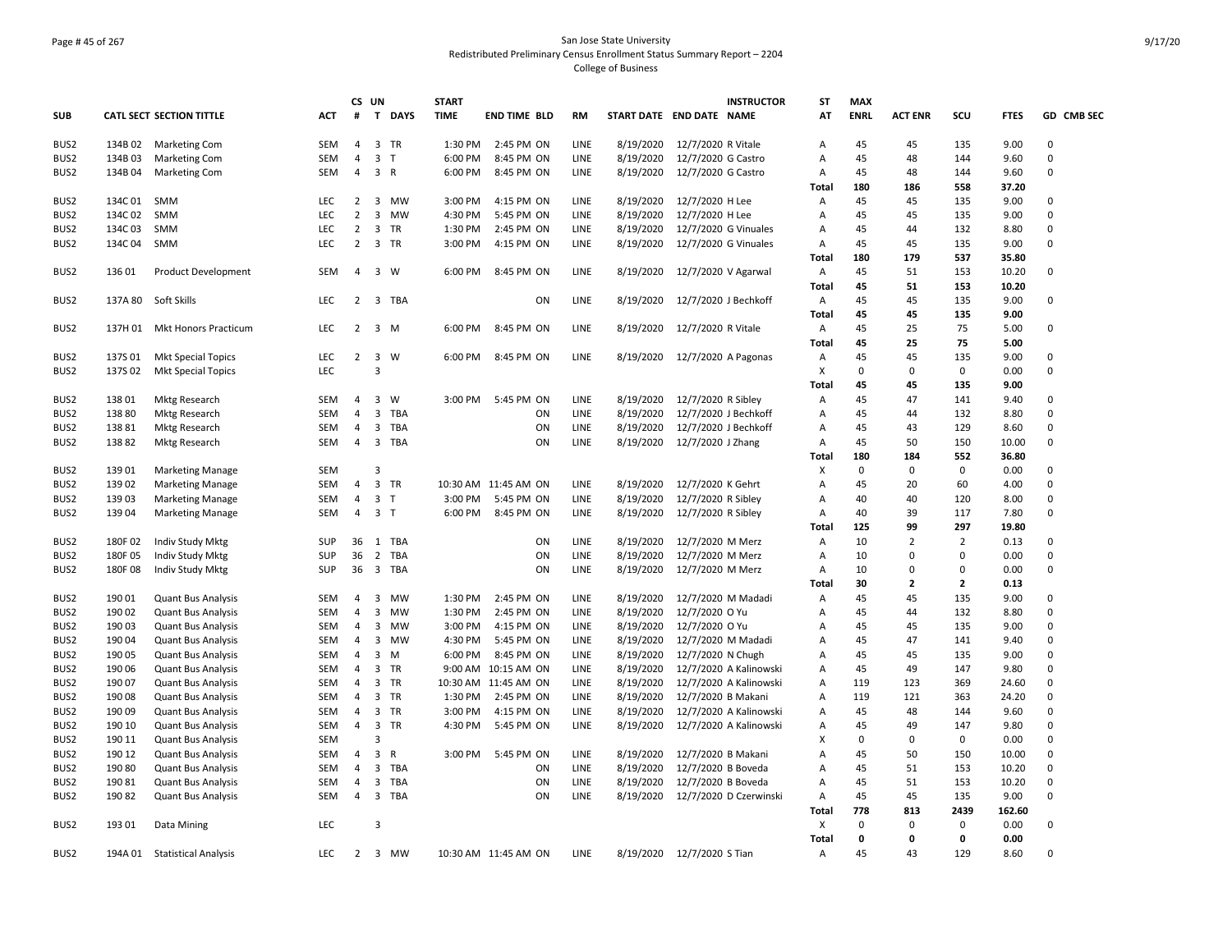## Page # 45 of 267 San Jose State University Redistributed Preliminary Census Enrollment Status Summary Report – 2204 College of Business

|                  |         |                                 |            |                | CS UN                   |           | <b>START</b> |                      |             |                          |                            | <b>INSTRUCTOR</b>      | ST           | <b>MAX</b>  |                |                |             |             |
|------------------|---------|---------------------------------|------------|----------------|-------------------------|-----------|--------------|----------------------|-------------|--------------------------|----------------------------|------------------------|--------------|-------------|----------------|----------------|-------------|-------------|
| <b>SUB</b>       |         | <b>CATL SECT SECTION TITTLE</b> | <b>ACT</b> | #              |                         | T DAYS    | <b>TIME</b>  | <b>END TIME BLD</b>  | <b>RM</b>   | START DATE END DATE NAME |                            |                        | AT           | <b>ENRL</b> | <b>ACT ENR</b> | SCU            | <b>FTES</b> | GD CMB SEC  |
| BUS2             | 134B 02 | <b>Marketing Com</b>            | <b>SEM</b> | 4              |                         | 3 TR      | 1:30 PM      | 2:45 PM ON           | LINE        | 8/19/2020                | 12/7/2020 R Vitale         |                        | Α            | 45          | 45             | 135            | 9.00        | 0           |
| BUS <sub>2</sub> | 134B03  | <b>Marketing Com</b>            | SEM        | 4              | 3                       | $\top$    | 6:00 PM      | 8:45 PM ON           | LINE        | 8/19/2020                | 12/7/2020 G Castro         |                        | Α            | 45          | 48             | 144            | 9.60        | $\mathsf 0$ |
| BUS <sub>2</sub> | 134B 04 | <b>Marketing Com</b>            | SEM        | 4              | 3 R                     |           | 6:00 PM      | 8:45 PM ON           | LINE        | 8/19/2020                | 12/7/2020 G Castro         |                        | Α            | 45          | 48             | 144            | 9.60        | 0           |
|                  |         |                                 |            |                |                         |           |              |                      |             |                          |                            |                        | <b>Total</b> | 180         | 186            | 558            | 37.20       |             |
| BUS <sub>2</sub> | 134C 01 | SMM                             | <b>LEC</b> | 2              |                         | 3 MW      | 3:00 PM      | 4:15 PM ON           | LINE        | 8/19/2020                | 12/7/2020 H Lee            |                        | Α            | 45          | 45             | 135            | 9.00        | 0           |
| BUS <sub>2</sub> | 134C02  | <b>SMM</b>                      | LEC.       | $\overline{2}$ | $\overline{3}$          | <b>MW</b> | 4:30 PM      | 5:45 PM ON           | LINE        | 8/19/2020                | 12/7/2020 H Lee            |                        | Α            | 45          | 45             | 135            | 9.00        | 0           |
| BUS <sub>2</sub> | 134C 03 | <b>SMM</b>                      | LEC        | $\overline{2}$ | $\mathbf{3}$            | <b>TR</b> | 1:30 PM      | 2:45 PM ON           | LINE        | 8/19/2020                |                            | 12/7/2020 G Vinuales   | A            | 45          | 44             | 132            | 8.80        | $\mathbf 0$ |
| BUS <sub>2</sub> | 134C 04 | SMM                             | <b>LEC</b> | $\overline{2}$ |                         | 3 TR      | 3:00 PM      | 4:15 PM ON           | LINE        | 8/19/2020                |                            | 12/7/2020 G Vinuales   | А            | 45          | 45             | 135            | 9.00        | 0           |
|                  |         |                                 |            |                |                         |           |              |                      |             |                          |                            |                        | Total        | 180         | 179            | 537            | 35.80       |             |
| BUS <sub>2</sub> | 136 01  | <b>Product Development</b>      | <b>SEM</b> | $\overline{4}$ |                         | 3 W       | 6:00 PM      | 8:45 PM ON           | LINE        | 8/19/2020                |                            | 12/7/2020 V Agarwal    | Α            | 45          | 51             | 153            | 10.20       | 0           |
|                  |         |                                 |            |                |                         |           |              |                      |             |                          |                            |                        | Total        | 45          | 51             | 153            | 10.20       |             |
| BUS <sub>2</sub> | 137A 80 | Soft Skills                     | <b>LEC</b> | 2              |                         | 3 TBA     |              | ON                   | LINE        | 8/19/2020                |                            | 12/7/2020 J Bechkoff   | Α            | 45          | 45             | 135            | 9.00        | 0           |
|                  |         |                                 |            |                |                         |           |              |                      |             |                          |                            |                        | Total        | 45          | 45             | 135            | 9.00        |             |
| BUS2             | 137H 01 | Mkt Honors Practicum            | <b>LEC</b> | 2              |                         | 3 M       | 6:00 PM      | 8:45 PM ON           | LINE        | 8/19/2020                | 12/7/2020 R Vitale         |                        | Α            | 45          | 25             | 75             | 5.00        | 0           |
|                  |         |                                 |            |                |                         |           |              |                      |             |                          |                            |                        | Total        | 45          | 25             | 75             | 5.00        |             |
| BUS <sub>2</sub> | 137S01  | <b>Mkt Special Topics</b>       | LEC        | $\overline{2}$ | $\overline{3}$          | W         | 6:00 PM      | 8:45 PM ON           | LINE        | 8/19/2020                |                            | 12/7/2020 A Pagonas    | Α            | 45          | 45             | 135            | 9.00        | 0           |
| BUS <sub>2</sub> | 137S 02 | <b>Mkt Special Topics</b>       | <b>LEC</b> |                | 3                       |           |              |                      |             |                          |                            |                        | X            | $\Omega$    | $\Omega$       | $\mathbf 0$    | 0.00        | 0           |
|                  |         |                                 |            |                |                         |           |              |                      |             |                          |                            |                        | Total        | 45          | 45             | 135            | 9.00        |             |
| BUS <sub>2</sub> | 138 01  | <b>Mktg Research</b>            | <b>SEM</b> | $\overline{4}$ | $\overline{\mathbf{3}}$ | <b>W</b>  | 3:00 PM      | 5:45 PM ON           | <b>LINE</b> | 8/19/2020                | 12/7/2020 R Sibley         |                        | Α            | 45          | 47             | 141            | 9.40        | 0           |
| BUS <sub>2</sub> | 13880   | <b>Mktg Research</b>            | <b>SEM</b> | 4              | $\overline{3}$          | TBA       |              | ON                   | LINE        | 8/19/2020                |                            | 12/7/2020 J Bechkoff   | Α            | 45          | 44             | 132            | 8.80        | $\mathbf 0$ |
| BUS <sub>2</sub> | 13881   | <b>Mktg Research</b>            | <b>SEM</b> | 4              |                         | 3 TBA     |              | ON                   | LINE        | 8/19/2020                |                            | 12/7/2020 J Bechkoff   | Α            | 45          | 43             | 129            | 8.60        | $\mathbf 0$ |
|                  | 13882   |                                 |            |                |                         | 3 TBA     |              | ON                   |             | 8/19/2020                |                            |                        | A            | 45          | 50             |                |             | 0           |
| BUS2             |         | Mktg Research                   | SEM        | 4              |                         |           |              |                      | LINE        |                          | 12/7/2020 J Zhang          |                        | Total        | 180         | 184            | 150<br>552     | 10.00       |             |
|                  | 13901   |                                 | <b>SEM</b> |                | $\overline{3}$          |           |              |                      |             |                          |                            |                        | X            | 0           | 0              | 0              | 36.80       | 0           |
| BUS <sub>2</sub> |         | <b>Marketing Manage</b>         |            |                |                         | 3 TR      |              |                      |             |                          |                            |                        |              |             |                |                | 0.00        | $\mathbf 0$ |
| BUS <sub>2</sub> | 139 02  | <b>Marketing Manage</b>         | <b>SEM</b> | 4              | 3 <sub>T</sub>          |           |              | 10:30 AM 11:45 AM ON | LINE        | 8/19/2020                | 12/7/2020 K Gehrt          |                        | Α            | 45<br>40    | 20             | 60             | 4.00        | 0           |
| BUS <sub>2</sub> | 139 03  | <b>Marketing Manage</b>         | <b>SEM</b> | $\overline{4}$ |                         |           | 3:00 PM      | 5:45 PM ON           | LINE        | 8/19/2020                | 12/7/2020 R Sibley         |                        | A            | 40          | 40             | 120            | 8.00        | 0           |
| BUS <sub>2</sub> | 139 04  | <b>Marketing Manage</b>         | <b>SEM</b> | 4              | 3 <sub>T</sub>          |           | 6:00 PM      | 8:45 PM ON           | LINE        | 8/19/2020                | 12/7/2020 R Sibley         |                        | Α            |             | 39             | 117            | 7.80        |             |
|                  |         |                                 |            |                |                         |           |              |                      |             |                          |                            |                        | Total        | 125         | 99             | 297            | 19.80       | 0           |
| BUS2             | 180F02  | Indiv Study Mktg                | SUP        |                |                         | 36 1 TBA  |              | ON                   | LINE        | 8/19/2020                | 12/7/2020 M Merz           |                        | Α            | 10          | $\overline{2}$ | $\overline{2}$ | 0.13        |             |
| BUS2             | 180F05  | Indiv Study Mktg                | SUP        | 36             |                         | 2 TBA     |              | ON                   | LINE        | 8/19/2020                | 12/7/2020 M Merz           |                        | A            | 10          | $\Omega$       | 0              | 0.00        | 0           |
| BUS2             | 180F08  | Indiv Study Mktg                | SUP        | 36             |                         | 3 TBA     |              | ON                   | LINE        | 8/19/2020                | 12/7/2020 M Merz           |                        | Α            | 10          | $\Omega$       | $\mathbf 0$    | 0.00        | 0           |
|                  |         |                                 |            |                |                         |           |              |                      |             |                          |                            |                        | Total        | 30          | $\overline{2}$ | $\overline{2}$ | 0.13        |             |
| BUS2             | 190 01  | <b>Quant Bus Analysis</b>       | <b>SEM</b> | 4              | $\overline{\mathbf{3}}$ | MW        | 1:30 PM      | 2:45 PM ON           | LINE        | 8/19/2020                |                            | 12/7/2020 M Madadi     | Α            | 45          | 45             | 135            | 9.00        | $\mathbf 0$ |
| BUS <sub>2</sub> | 190 02  | <b>Quant Bus Analysis</b>       | <b>SEM</b> | 4              |                         | 3 MW      | 1:30 PM      | 2:45 PM ON           | <b>LINE</b> | 8/19/2020                | 12/7/2020 O Yu             |                        | A            | 45          | 44             | 132            | 8.80        | $\mathbf 0$ |
| BUS <sub>2</sub> | 190 03  | <b>Quant Bus Analysis</b>       | <b>SEM</b> | 4              |                         | 3 MW      | 3:00 PM      | 4:15 PM ON           | LINE        | 8/19/2020                | 12/7/2020 O Yu             |                        | Α            | 45          | 45             | 135            | 9.00        | $\Omega$    |
| BUS2             | 190 04  | <b>Quant Bus Analysis</b>       | SEM        | 4              |                         | 3 MW      | 4:30 PM      | 5:45 PM ON           | LINE        | 8/19/2020                |                            | 12/7/2020 M Madadi     | A            | 45          | 47             | 141            | 9.40        | 0           |
| BUS2             | 190 05  | <b>Quant Bus Analysis</b>       | SEM        | 4              |                         | 3 M       | 6:00 PM      | 8:45 PM ON           | LINE        | 8/19/2020                | 12/7/2020 N Chugh          |                        | Α            | 45          | 45             | 135            | 9.00        | 0           |
| BUS <sub>2</sub> | 190 06  | <b>Quant Bus Analysis</b>       | <b>SEM</b> | 4              | $\overline{\mathbf{3}}$ | TR        |              | 9:00 AM 10:15 AM ON  | LINE        | 8/19/2020                |                            | 12/7/2020 A Kalinowski | A            | 45          | 49             | 147            | 9.80        | $\mathbf 0$ |
| BUS <sub>2</sub> | 190 07  | <b>Quant Bus Analysis</b>       | <b>SEM</b> | 4              |                         | 3 TR      |              | 10:30 AM 11:45 AM ON | LINE        | 8/19/2020                |                            | 12/7/2020 A Kalinowski | A            | 119         | 123            | 369            | 24.60       | 0           |
| BUS <sub>2</sub> | 190 08  | <b>Quant Bus Analysis</b>       | <b>SEM</b> | 4              |                         | 3 TR      | 1:30 PM      | 2:45 PM ON           | LINE        | 8/19/2020                | 12/7/2020 B Makani         |                        | A            | 119         | 121            | 363            | 24.20       | 0           |
| BUS <sub>2</sub> | 190 09  | <b>Quant Bus Analysis</b>       | <b>SEM</b> | $\overline{4}$ |                         | 3 TR      | 3:00 PM      | 4:15 PM ON           | LINE        | 8/19/2020                |                            | 12/7/2020 A Kalinowski | Α            | 45          | 48             | 144            | 9.60        | 0           |
| BUS <sub>2</sub> | 190 10  | <b>Quant Bus Analysis</b>       | <b>SEM</b> | 4              |                         | 3 TR      | 4:30 PM      | 5:45 PM ON           | LINE        | 8/19/2020                |                            | 12/7/2020 A Kalinowski | Α            | 45          | 49             | 147            | 9.80        | $\mathbf 0$ |
| BUS <sub>2</sub> | 190 11  | <b>Quant Bus Analysis</b>       | <b>SEM</b> |                | $\overline{\mathbf{3}}$ |           |              |                      |             |                          |                            |                        | X            | $\Omega$    | 0              | $\mathbf 0$    | 0.00        | 0           |
| BUS <sub>2</sub> | 190 12  | <b>Quant Bus Analysis</b>       | SEM        | 4              | $\overline{3}$          | R         | 3:00 PM      | 5:45 PM ON           | LINE        | 8/19/2020                | 12/7/2020 B Makani         |                        | A            | 45          | 50             | 150            | 10.00       | 0           |
| BUS <sub>2</sub> | 190 80  | <b>Quant Bus Analysis</b>       | <b>SEM</b> | 4              | $\overline{\mathbf{3}}$ | TBA       |              | ON                   | LINE        | 8/19/2020                | 12/7/2020 B Boveda         |                        | A            | 45          | 51             | 153            | 10.20       | 0           |
| BUS <sub>2</sub> | 190 81  | <b>Quant Bus Analysis</b>       | <b>SEM</b> | 4              | $\overline{\mathbf{3}}$ | TBA       |              | ON                   | LINE        | 8/19/2020                | 12/7/2020 B Boveda         |                        | A            | 45          | 51             | 153            | 10.20       | 0           |
| BUS <sub>2</sub> | 190 82  | <b>Quant Bus Analysis</b>       | <b>SEM</b> | $\overline{4}$ |                         | 3 TBA     |              | ON                   | LINE        | 8/19/2020                |                            | 12/7/2020 D Czerwinski | Α            | 45          | 45             | 135            | 9.00        | $\mathbf 0$ |
|                  |         |                                 |            |                |                         |           |              |                      |             |                          |                            |                        | Total        | 778         | 813            | 2439           | 162.60      |             |
| BUS2             | 193 01  | Data Mining                     | LEC        |                | $\overline{3}$          |           |              |                      |             |                          |                            |                        | X            | $\mathbf 0$ | $\Omega$       | $\mathbf 0$    | 0.00        | 0           |
|                  |         |                                 |            |                |                         |           |              |                      |             |                          |                            |                        | Total        | $\mathbf 0$ | $\mathbf 0$    | $\mathbf 0$    | 0.00        |             |
| BUS <sub>2</sub> |         | 194A 01 Statistical Analysis    | <b>LEC</b> |                |                         | 2 3 MW    |              | 10:30 AM 11:45 AM ON | LINE        |                          | 8/19/2020 12/7/2020 S Tian |                        | A            | 45          | 43             | 129            | 8.60        | $\mathbf 0$ |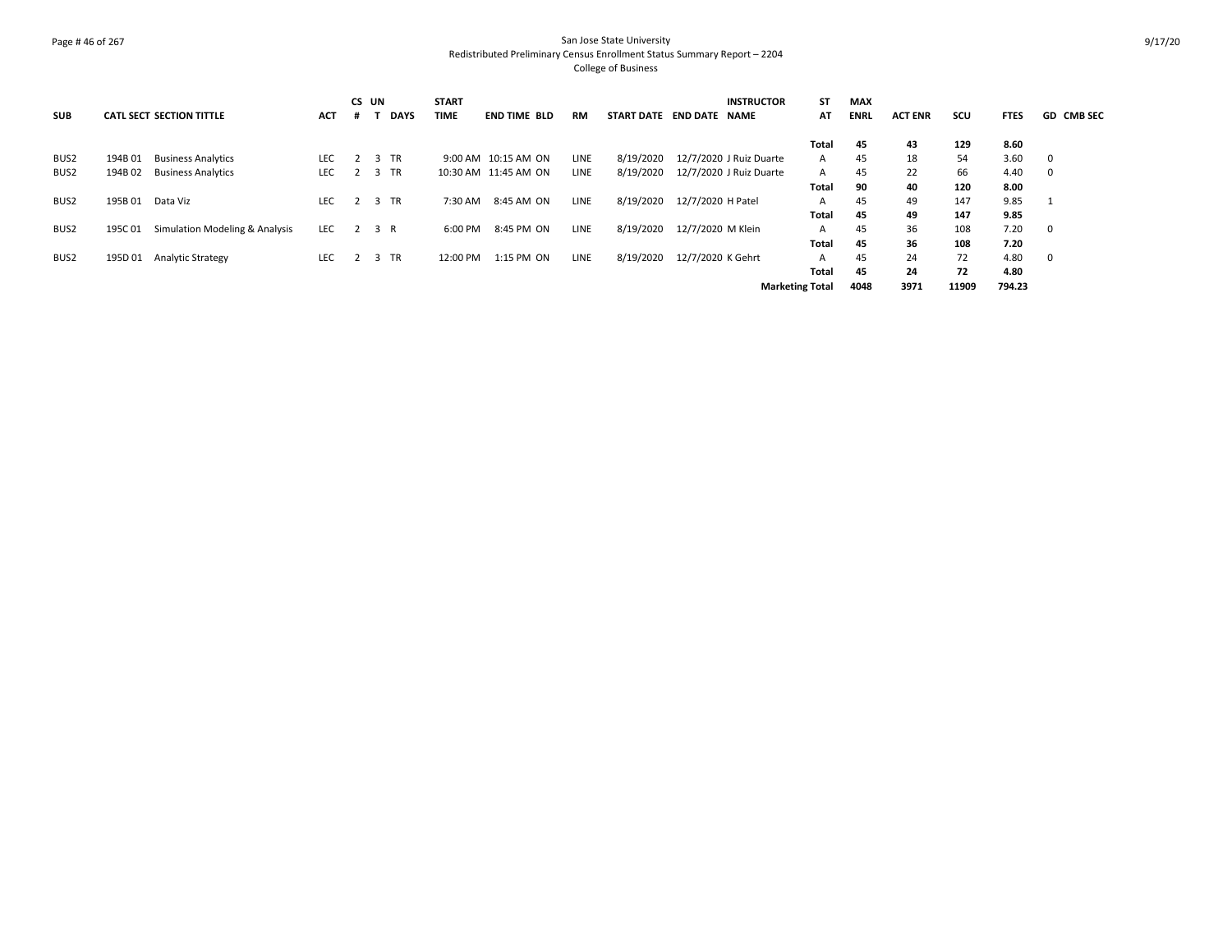#### Page # 46 of 267 San Jose State University Redistributed Preliminary Census Enrollment Status Summary Report – 2204 College of Business

|            |         |                                 |            | CS UN |             | <b>START</b> |                      |             |                          |                   | <b>INSTRUCTOR</b>       | ST                     | <b>MAX</b>  |                |       |             |                   |
|------------|---------|---------------------------------|------------|-------|-------------|--------------|----------------------|-------------|--------------------------|-------------------|-------------------------|------------------------|-------------|----------------|-------|-------------|-------------------|
| <b>SUB</b> |         | <b>CATL SECT SECTION TITTLE</b> | <b>ACT</b> |       | <b>DAYS</b> | <b>TIME</b>  | <b>END TIME BLD</b>  | <b>RM</b>   | START DATE END DATE NAME |                   |                         | AT                     | <b>ENRL</b> | <b>ACT ENR</b> | SCU   | <b>FTES</b> | <b>GD CMB SEC</b> |
|            |         |                                 |            |       |             |              |                      |             |                          |                   |                         | Total                  | 45          | 43             | 129   | 8.60        |                   |
| BUS2       | 194B 01 | <b>Business Analytics</b>       | <b>LEC</b> |       | 2 3 TR      |              | 9:00 AM 10:15 AM ON  | LINE        | 8/19/2020                |                   | 12/7/2020 J Ruiz Duarte | A                      | 45          | 18             | 54    | 3.60        | - 0               |
| BUS2       | 194B 02 | <b>Business Analytics</b>       | <b>LEC</b> | 2     | 3 TR        |              | 10:30 AM 11:45 AM ON | LINE        | 8/19/2020                |                   | 12/7/2020 J Ruiz Duarte | $\mathsf{A}$           | 45          | 22             | 66    | 4.40        | 0                 |
|            |         |                                 |            |       |             |              |                      |             |                          |                   |                         | Total                  | 90          | 40             | 120   | 8.00        |                   |
| BUS2       | 195B 01 | Data Viz                        | <b>LEC</b> | 2     | 3 TR        | 7:30 AM      | 8:45 AM ON           | <b>LINE</b> | 8/19/2020                | 12/7/2020 H Patel |                         | A                      | 45          | 49             | 147   | 9.85        |                   |
|            |         |                                 |            |       |             |              |                      |             |                          |                   |                         | Total                  | 45          | 49             | 147   | 9.85        |                   |
| BUS2       | 195C 01 | Simulation Modeling & Analysis  | LEC        | 2 3 R |             | 6:00 PM      | 8:45 PM ON           | <b>LINE</b> | 8/19/2020                | 12/7/2020 M Klein |                         | $\mathsf{A}$           | 45          | 36             | 108   | 7.20        | - 0               |
|            |         |                                 |            |       |             |              |                      |             |                          |                   |                         | Total                  | 45          | 36             | 108   | 7.20        |                   |
| BUS2       | 195D 01 | <b>Analytic Strategy</b>        | <b>LEC</b> |       | 3 TR        | 12:00 PM     | 1:15 PM ON           | LINE        | 8/19/2020                | 12/7/2020 K Gehrt |                         | A                      | 45          | 24             | 72    | 4.80        | - 0               |
|            |         |                                 |            |       |             |              |                      |             |                          |                   |                         | <b>Total</b>           | 45          | 24             | 72    | 4.80        |                   |
|            |         |                                 |            |       |             |              |                      |             |                          |                   |                         | <b>Marketing Total</b> | 4048        | 3971           | 11909 | 794.23      |                   |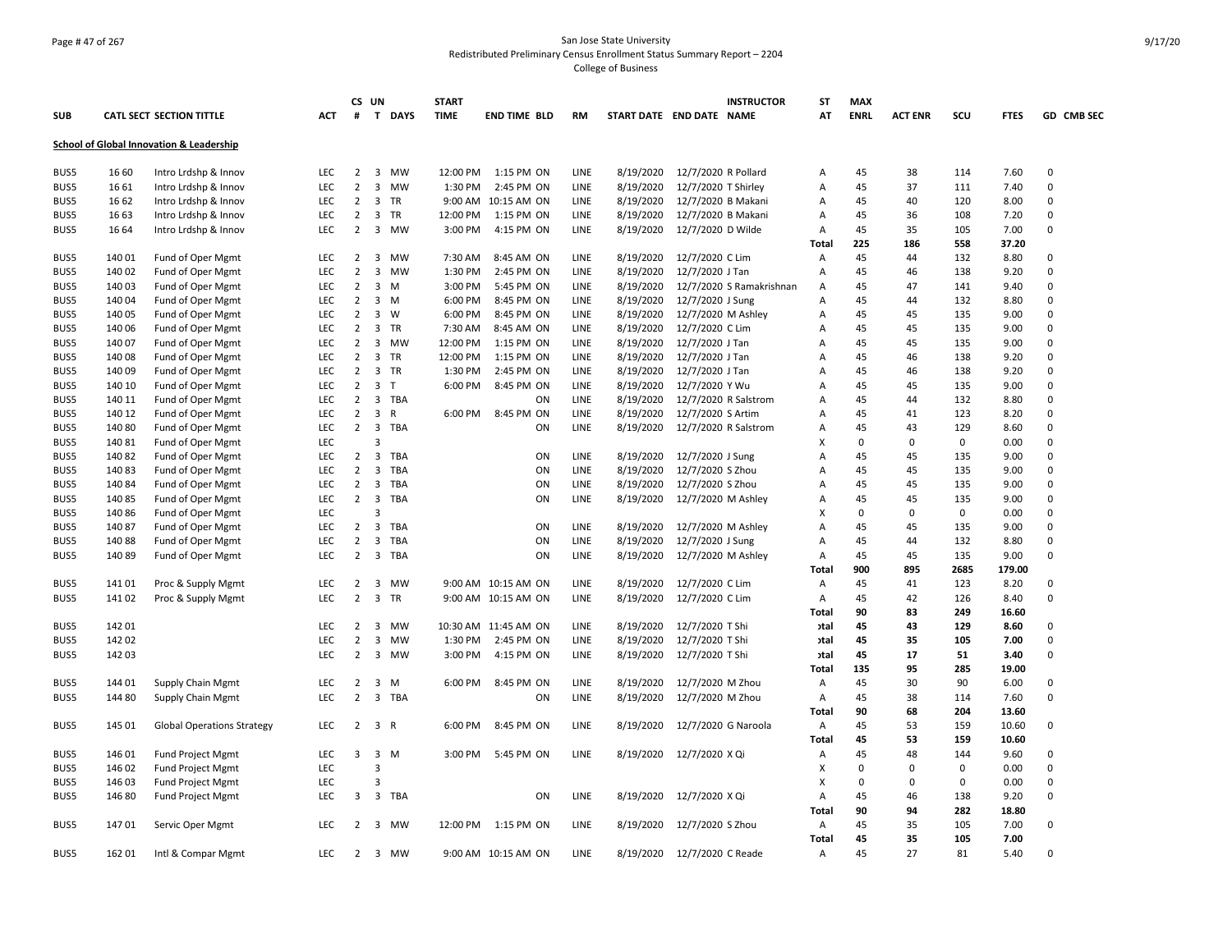## Page # 47 of 267 San Jose State University Redistributed Preliminary Census Enrollment Status Summary Report – 2204 College of Business

|      |        |                                          |                          | CS UN                            |                                      | <b>START</b> |                      |              |           | <b>INSTRUCTOR</b>        | ST           | <b>MAX</b>     |                         |             |             |                  |
|------|--------|------------------------------------------|--------------------------|----------------------------------|--------------------------------------|--------------|----------------------|--------------|-----------|--------------------------|--------------|----------------|-------------------------|-------------|-------------|------------------|
| SUB  |        | <b>CATL SECT SECTION TITTLE</b>          | ACT                      | #                                | T DAYS                               | <b>TIME</b>  | <b>END TIME BLD</b>  | <b>RM</b>    |           | START DATE END DATE NAME | AT           | <b>ENRL</b>    | <b>ACT ENR</b>          | scu         | <b>FTES</b> | GD CMB SEC       |
|      |        | School of Global Innovation & Leadership |                          |                                  |                                      |              |                      |              |           |                          |              |                |                         |             |             |                  |
| BUS5 | 16 60  | Intro Lrdshp & Innov                     | <b>LEC</b>               | $\overline{2}$                   | 3 MW                                 | 12:00 PM     | 1:15 PM ON           | LINE         | 8/19/2020 | 12/7/2020 R Pollard      | Α            | 45             | 38                      | 114         | 7.60        | $\mathbf 0$      |
| BUS5 | 16 61  | Intro Lrdshp & Innov                     | LEC                      | $\overline{2}$                   | 3<br>MW                              | 1:30 PM      | 2:45 PM ON           | LINE         | 8/19/2020 | 12/7/2020 T Shirley      | Α            | 45             | 37                      | 111         | 7.40        | $\mathsf 0$      |
| BUS5 | 16 62  | Intro Lrdshp & Innov                     | <b>LEC</b>               | $\overline{2}$                   | 3 TR                                 |              | 9:00 AM 10:15 AM ON  | LINE         | 8/19/2020 | 12/7/2020 B Makani       | Α            | 45             | 40                      | 120         | 8.00        | 0                |
| BUS5 | 16 63  | Intro Lrdshp & Innov                     | <b>LEC</b>               | 2                                | $\overline{\mathbf{3}}$<br><b>TR</b> | 12:00 PM     | 1:15 PM ON           | LINE         | 8/19/2020 | 12/7/2020 B Makani       | A            | 45             | 36                      | 108         | 7.20        | 0                |
| BUS5 | 16 64  | Intro Lrdshp & Innov                     | LEC                      | $\overline{2}$                   | 3 MW                                 | 3:00 PM      | 4:15 PM ON           | LINE         | 8/19/2020 | 12/7/2020 D Wilde        | Α            | 45             | 35                      | 105         | 7.00        | 0                |
|      |        |                                          |                          |                                  |                                      |              |                      |              |           |                          | Total        | 225            | 186                     | 558         | 37.20       |                  |
| BUS5 | 140 01 | Fund of Oper Mgmt                        | LEC                      | $\overline{2}$                   | 3<br>MW                              | 7:30 AM      | 8:45 AM ON           | LINE         | 8/19/2020 | 12/7/2020 C Lim          | Α            | 45             | 44                      | 132         | 8.80        | 0                |
| BUS5 | 140 02 | Fund of Oper Mgmt                        | LEC                      | $\overline{2}$                   | $\overline{3}$<br>MW                 | 1:30 PM      | 2:45 PM ON           | LINE         | 8/19/2020 | 12/7/2020 J Tan          | A            | 45             | 46                      | 138         | 9.20        | 0                |
| BUS5 | 140 03 | Fund of Oper Mgmt                        | LEC                      | $\overline{2}$                   | 3<br>M                               | 3:00 PM      | 5:45 PM ON           | LINE         | 8/19/2020 | 12/7/2020 S Ramakrishnan | A            | 45             | 47                      | 141         | 9.40        | 0                |
| BUS5 | 140 04 | Fund of Oper Mgmt                        | <b>LEC</b>               | $\overline{2}$                   | 3<br>M                               | 6:00 PM      | 8:45 PM ON           | LINE         | 8/19/2020 | 12/7/2020 J Sung         | Α            | 45             | 44                      | 132         | 8.80        | 0                |
| BUS5 | 140 05 | Fund of Oper Mgmt                        | <b>LEC</b>               | $\overline{2}$                   | 3 W                                  | 6:00 PM      | 8:45 PM ON           | LINE         | 8/19/2020 | 12/7/2020 M Ashley       | Α            | 45             | 45                      | 135         | 9.00        | $\mathbf 0$      |
| BUS5 | 140 06 | Fund of Oper Mgmt                        | LEC                      | $\overline{2}$                   | $\overline{3}$<br>TR                 | 7:30 AM      | 8:45 AM ON           | LINE         | 8/19/2020 | 12/7/2020 C Lim          | A            | 45             | 45                      | 135         | 9.00        | $\mathbf 0$      |
| BUS5 | 140 07 | Fund of Oper Mgmt                        | LEC                      | $\overline{2}$                   | 3 MW                                 | 12:00 PM     | 1:15 PM ON           | LINE         | 8/19/2020 | 12/7/2020 J Tan          | Α            | 45             | 45                      | 135         | 9.00        | 0                |
| BUS5 | 140 08 | Fund of Oper Mgmt                        | LEC                      | $\overline{2}$                   | 3 TR                                 | 12:00 PM     | 1:15 PM ON           | LINE         | 8/19/2020 | 12/7/2020 J Tan          | Α            | 45             | 46                      | 138         | 9.20        | $\mathsf 0$      |
| BUS5 | 140 09 | Fund of Oper Mgmt                        | LEC                      | $\overline{2}$                   | 3 TR                                 | 1:30 PM      | 2:45 PM ON           | LINE         | 8/19/2020 | 12/7/2020 J Tan          | Α            | 45             | 46                      | 138         | 9.20        | 0                |
| BUS5 | 140 10 | Fund of Oper Mgmt                        | <b>LEC</b>               | $\overline{2}$                   | 3 <sub>T</sub>                       | 6:00 PM      | 8:45 PM ON           | LINE         | 8/19/2020 | 12/7/2020 Y Wu           | A            | 45             | 45                      | 135         | 9.00        | $\mathbf 0$      |
| BUS5 | 140 11 | Fund of Oper Mgmt                        | <b>LEC</b>               | $\overline{2}$                   | 3<br>TBA                             |              | ON                   | LINE         | 8/19/2020 | 12/7/2020 R Salstrom     | A            | 45             | 44                      | 132         | 8.80        | 0                |
| BUS5 | 140 12 | Fund of Oper Mgmt                        | <b>LEC</b>               | $\overline{2}$                   | 3 R                                  | 6:00 PM      | 8:45 PM ON           | LINE         | 8/19/2020 | 12/7/2020 S Artim        | Α            | 45             | 41                      | 123         | 8.20        | $\mathbf 0$      |
| BUS5 | 14080  | Fund of Oper Mgmt                        | LEC                      | $\overline{2}$                   | 3 TBA                                |              | ON                   | LINE         | 8/19/2020 | 12/7/2020 R Salstrom     | Α            | 45             | 43                      | 129         | 8.60        | 0                |
| BUS5 | 140 81 | Fund of Oper Mgmt                        | LEC                      |                                  | $\overline{3}$                       |              |                      |              |           |                          | X            | $\Omega$       | 0                       | $\mathbf 0$ | 0.00        | 0                |
| BUS5 | 14082  | Fund of Oper Mgmt                        | <b>LEC</b>               | $\overline{2}$                   | $\overline{\mathbf{3}}$<br>TBA       |              | ON                   | LINE         | 8/19/2020 | 12/7/2020 J Sung         | A            | 45             | 45                      | 135         | 9.00        | 0                |
| BUS5 | 14083  | Fund of Oper Mgmt                        | <b>LEC</b>               | $\overline{2}$                   | 3<br>TBA                             |              | ON                   | LINE         | 8/19/2020 | 12/7/2020 S Zhou         | A            | 45             | 45                      | 135         | 9.00        | 0                |
| BUS5 | 14084  | Fund of Oper Mgmt                        | <b>LEC</b>               | $\overline{2}$                   | $\overline{\mathbf{3}}$<br>TBA       |              | ON                   | LINE         | 8/19/2020 | 12/7/2020 S Zhou         | Α            | 45             | 45                      | 135         | 9.00        | 0                |
| BUS5 | 14085  | Fund of Oper Mgmt                        | LEC                      | $\overline{2}$                   | 3 TBA                                |              | ON                   | LINE         | 8/19/2020 | 12/7/2020 M Ashley       | Α            | 45             | 45                      | 135         | 9.00        | 0                |
| BUS5 | 14086  | Fund of Oper Mgmt                        | LEC                      |                                  | $\mathbf{a}$                         |              |                      |              |           |                          | х            | $\Omega$       | $\Omega$                | $\mathbf 0$ | 0.00        | 0                |
| BUS5 | 140 87 | Fund of Oper Mgmt                        | LEC                      | $\overline{2}$                   | $\overline{\mathbf{3}}$<br>TBA       |              | ON                   | LINE         | 8/19/2020 | 12/7/2020 M Ashley       | Α            | 45             | 45                      | 135         | 9.00        | 0                |
| BUS5 | 14088  | Fund of Oper Mgmt                        | <b>LEC</b>               | $\overline{2}$                   | $\overline{\mathbf{3}}$<br>TBA       |              | ON                   | LINE         | 8/19/2020 | 12/7/2020 J Sung         | Α            | 45             | 44                      | 132         | 8.80        | 0                |
| BUS5 | 140 89 | Fund of Oper Mgmt                        | <b>LEC</b>               | 2                                | 3 TBA                                |              | ON                   | LINE         | 8/19/2020 | 12/7/2020 M Ashley       | Α            | 45             | 45                      | 135         | 9.00        | $\mathbf 0$      |
|      |        |                                          |                          |                                  |                                      |              |                      |              |           |                          | <b>Total</b> | 900            | 895                     | 2685        | 179.00      |                  |
| BUS5 | 14101  | Proc & Supply Mgmt                       | LEC                      | 2                                | 3<br>MW                              |              | 9:00 AM 10:15 AM ON  | LINE         | 8/19/2020 | 12/7/2020 C Lim          | Α            | 45             | 41                      | 123         | 8.20        | 0                |
| BUS5 | 14102  | Proc & Supply Mgmt                       | LEC                      | $\overline{2}$                   | 3 TR                                 |              | 9:00 AM 10:15 AM ON  | LINE         | 8/19/2020 | 12/7/2020 C Lim          | Α            | 45             | 42                      | 126         | 8.40        | 0                |
|      |        |                                          |                          |                                  |                                      |              |                      |              |           |                          | Total        | 90             | 83                      | 249         | 16.60       |                  |
| BUS5 | 142 01 |                                          | LEC                      | 2                                | $\overline{\mathbf{3}}$<br>MW        |              | 10:30 AM 11:45 AM ON | LINE         | 8/19/2020 | 12/7/2020 T Shi          | วtal         | 45             | 43                      | 129         | 8.60        | $\mathbf 0$<br>0 |
| BUS5 | 142 02 |                                          | <b>LEC</b><br><b>LEC</b> | $\overline{2}$<br>$\overline{2}$ | $\overline{\mathbf{3}}$<br>MW        | 1:30 PM      | 2:45 PM ON           | LINE<br>LINE | 8/19/2020 | 12/7/2020 T Shi          | วtal         | 45<br>45       | 35                      | 105         | 7.00        | $\mathbf 0$      |
| BUS5 | 142 03 |                                          |                          |                                  | 3 MW                                 | 3:00 PM      | 4:15 PM ON           |              | 8/19/2020 | 12/7/2020 T Shi          | otal         |                | 17                      | 51          | 3.40        |                  |
|      |        |                                          |                          |                                  |                                      |              |                      |              |           |                          | Total        | 135            | 95                      | 285         | 19.00       | 0                |
| BUS5 | 144 01 | Supply Chain Mgmt                        | <b>LEC</b>               | 2                                | 3 M                                  | 6:00 PM      | 8:45 PM ON           | LINE         | 8/19/2020 | 12/7/2020 M Zhou         | Α            | 45             | 30                      | 90          | 6.00        | 0                |
| BUS5 | 144 80 | Supply Chain Mgmt                        | <b>LEC</b>               | $\overline{2}$                   | $\overline{3}$<br>TBA                |              | ON                   | LINE         | 8/19/2020 | 12/7/2020 M Zhou         | Α            | 45             | 38                      | 114         | 7.60        |                  |
|      |        |                                          |                          |                                  |                                      |              |                      |              |           |                          | Total        | 90             | 68                      | 204         | 13.60       |                  |
| BUS5 | 145 01 | <b>Global Operations Strategy</b>        | <b>LEC</b>               | 2                                | 3 R                                  | 6:00 PM      | 8:45 PM ON           | LINE         | 8/19/2020 | 12/7/2020 G Naroola      | Α            | 45             | 53                      | 159         | 10.60       | 0                |
|      |        |                                          |                          |                                  |                                      |              |                      |              |           |                          | Total        | 45             | 53                      | 159         | 10.60       |                  |
| BUS5 | 146 01 | Fund Project Mgmt                        | LEC                      | 3                                | $3 \, M$<br>$\overline{3}$           | 3:00 PM      | 5:45 PM ON           | LINE         | 8/19/2020 | 12/7/2020 X Qi           | Α            | 45<br>$\Omega$ | 48                      | 144         | 9.60        | 0                |
| BUS5 | 146 02 | <b>Fund Project Mgmt</b>                 | LEC                      |                                  |                                      |              |                      |              |           |                          | X            |                | $\mathbf 0$<br>$\Omega$ | 0           | 0.00        | 0                |
| BUS5 | 146 03 | <b>Fund Project Mgmt</b>                 | LEC                      |                                  | 3                                    |              |                      |              |           |                          | х            | 0              |                         | 0           | 0.00        | 0                |
| BUS5 | 146 80 | <b>Fund Project Mgmt</b>                 | <b>LEC</b>               | 3                                | 3 TBA                                |              | ON                   | LINE         | 8/19/2020 | 12/7/2020 X Qi           | Α            | 45             | 46<br>94                | 138         | 9.20        | $\mathbf 0$      |
|      |        |                                          |                          |                                  |                                      |              |                      |              |           |                          | Total        | 90             |                         | 282         | 18.80       |                  |
| BUS5 | 14701  | Servic Oper Mgmt                         | <b>LEC</b>               | $\overline{2}$                   | 3 MW                                 | 12:00 PM     | 1:15 PM ON           | LINE         | 8/19/2020 | 12/7/2020 S Zhou         | Α            | 45             | 35                      | 105         | 7.00        | 0                |
|      |        |                                          |                          |                                  |                                      |              |                      |              |           |                          | Total        | 45             | 35                      | 105         | 7.00        |                  |
| BUS5 | 162 01 | Intl & Compar Mgmt                       | <b>LEC</b>               | $\mathbf{2}$                     | 3 MW                                 |              | 9:00 AM 10:15 AM ON  | LINE         | 8/19/2020 | 12/7/2020 C Reade        | A            | 45             | 27                      | 81          | 5.40        | 0                |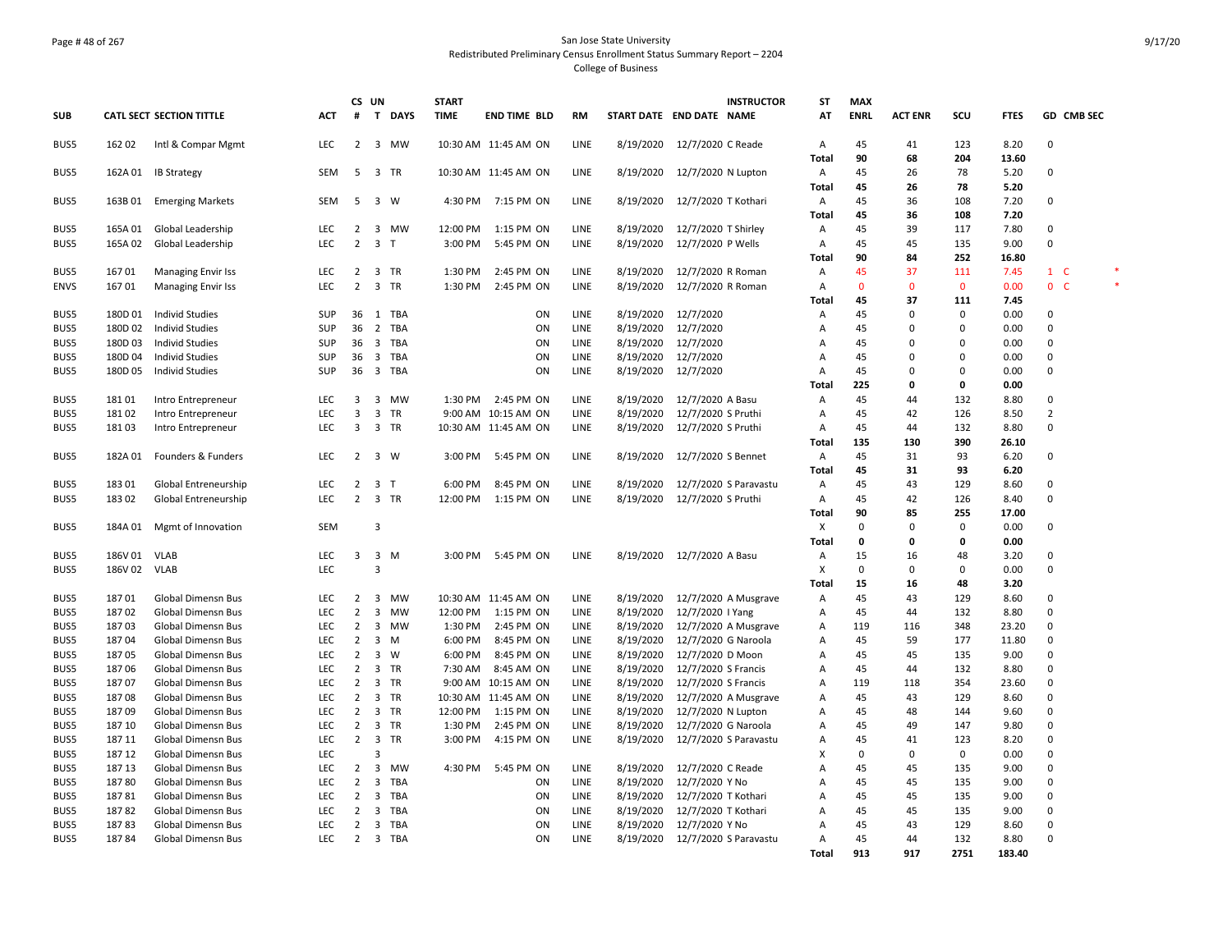#### Page # 48 of 267 San Jose State University Redistributed Preliminary Census Enrollment Status Summary Report – 2204 College of Business

|              |                    |                                                  |                   | CS UN                            |                         |              | <b>START</b> |                      |              |           | <b>INSTRUCTOR</b>          | ST           | <b>MAX</b>         |                   |                    |               |                |  |
|--------------|--------------------|--------------------------------------------------|-------------------|----------------------------------|-------------------------|--------------|--------------|----------------------|--------------|-----------|----------------------------|--------------|--------------------|-------------------|--------------------|---------------|----------------|--|
| <b>SUB</b>   |                    | <b>CATL SECT SECTION TITTLE</b>                  | <b>ACT</b>        | #                                | $\mathbf{T}$            | <b>DAYS</b>  | <b>TIME</b>  | <b>END TIME BLD</b>  | <b>RM</b>    |           | START DATE END DATE NAME   | AT           | <b>ENRL</b>        | <b>ACT ENR</b>    | SCU                | <b>FTES</b>   | GD CMB SEC     |  |
| BUS5         | 162 02             | Intl & Compar Mgmt                               | LEC               | 2                                | 3                       | MW           |              | 10:30 AM 11:45 AM ON | LINE         | 8/19/2020 | 12/7/2020 C Reade          | Α            | 45                 | 41                | 123                | 8.20          | $\mathbf 0$    |  |
|              |                    |                                                  |                   |                                  |                         |              |              |                      |              |           |                            | <b>Total</b> | 90                 | 68                | 204                | 13.60         |                |  |
| BUS5         | 162A 01            | <b>IB Strategy</b>                               | <b>SEM</b>        | 5                                |                         | 3 TR         |              | 10:30 AM 11:45 AM ON | <b>LINE</b>  | 8/19/2020 | 12/7/2020 N Lupton         | Α            | 45                 | 26                | 78                 | 5.20          | 0              |  |
|              |                    |                                                  |                   |                                  |                         |              |              |                      |              |           |                            | Total        | 45                 | 26                | 78                 | 5.20          |                |  |
| BUS5         | 163B 01            | <b>Emerging Markets</b>                          | SEM               | -5                               |                         | 3 W          |              | 4:30 PM 7:15 PM ON   | LINE         | 8/19/2020 | 12/7/2020 T Kothari        | А            | 45                 | 36                | 108                | 7.20          | $\Omega$       |  |
|              |                    |                                                  |                   |                                  |                         |              |              |                      |              |           |                            | Total        | 45                 | 36                | 108                | 7.20          |                |  |
| BUS5         | 165A 01            | Global Leadership                                | <b>LEC</b>        | $\overline{2}$                   |                         | 3 MW         | 12:00 PM     | 1:15 PM ON           | LINE         | 8/19/2020 | 12/7/2020 T Shirley        | Α            | 45                 | 39                | 117                | 7.80          | 0              |  |
| BUS5         | 165A 02            | Global Leadership                                | LEC               | $\overline{2}$                   | 3 <sub>T</sub>          |              | 3:00 PM      | 5:45 PM ON           | LINE         | 8/19/2020 | 12/7/2020 P Wells          | А            | 45<br>90           | 45<br>84          | 135<br>252         | 9.00<br>16.80 | $\mathbf 0$    |  |
|              |                    |                                                  |                   |                                  |                         |              |              |                      |              |           |                            | <b>Total</b> |                    |                   |                    |               |                |  |
| BUS5         | 167 01             | <b>Managing Envir Iss</b>                        | <b>LEC</b>        | $\overline{2}$<br>$\overline{2}$ | 3                       | TR           | 1:30 PM      | 2:45 PM ON           | LINE         | 8/19/2020 | 12/7/2020 R Roman          | А            | 45                 | 37                | 111                | 7.45          | $1 \quad C$    |  |
| <b>ENVS</b>  | 16701              | <b>Managing Envir Iss</b>                        | <b>LEC</b>        |                                  | 3                       | TR           | 1:30 PM      | 2:45 PM ON           | LINE         | 8/19/2020 | 12/7/2020 R Roman          | Α            | $\mathbf{0}$<br>45 | $\mathbf 0$<br>37 | $\mathbf 0$<br>111 | 0.00          | 0 <sub>c</sub> |  |
|              |                    |                                                  |                   |                                  |                         |              |              |                      |              | 8/19/2020 |                            | Total        |                    | 0                 | $\Omega$           | 7.45<br>0.00  |                |  |
| BUS5<br>BUS5 | 180D 01<br>180D 02 | <b>Individ Studies</b><br><b>Individ Studies</b> | SUP<br><b>SUP</b> | 36<br>36                         | $\overline{2}$          | 1 TBA<br>TBA |              | ON<br>ON             | LINE<br>LINE | 8/19/2020 | 12/7/2020<br>12/7/2020     | Α<br>A       | 45<br>45           | $\Omega$          | $\Omega$           | 0.00          | 0<br>0         |  |
| BUS5         | 180D03             | <b>Individ Studies</b>                           | SUP               | 36                               |                         | 3 TBA        |              | ON                   | LINE         | 8/19/2020 | 12/7/2020                  | А            | 45                 | 0                 | $\Omega$           | 0.00          | 0              |  |
| BUS5         | 180D 04            | <b>Individ Studies</b>                           | SUP               | 36                               |                         | 3 TBA        |              | ON                   | LINE         | 8/19/2020 | 12/7/2020                  | А            | 45                 | 0                 | $\Omega$           | 0.00          | 0              |  |
| BUS5         | 180D 05            | <b>Individ Studies</b>                           | SUP               | 36                               |                         | 3 TBA        |              | ON                   | LINE         | 8/19/2020 | 12/7/2020                  | А            | 45                 | 0                 | $\Omega$           | 0.00          | 0              |  |
|              |                    |                                                  |                   |                                  |                         |              |              |                      |              |           |                            | <b>Total</b> | 225                | 0                 | 0                  | 0.00          |                |  |
| BUS5         | 18101              | Intro Entrepreneur                               | <b>LEC</b>        | 3                                | 3                       | MW           | 1:30 PM      | 2:45 PM ON           | LINE         | 8/19/2020 | 12/7/2020 A Basu           | А            | 45                 | 44                | 132                | 8.80          | 0              |  |
| BUS5         | 181 02             | Intro Entrepreneur                               | LEC               | 3                                | $\overline{\mathbf{3}}$ | TR           |              | 9:00 AM 10:15 AM ON  | LINE         | 8/19/2020 | 12/7/2020 S Pruthi         | Α            | 45                 | 42                | 126                | 8.50          | $\overline{2}$ |  |
| BUS5         | 18103              | Intro Entrepreneur                               | LEC               | 3                                |                         | 3 TR         |              | 10:30 AM 11:45 AM ON | LINE         | 8/19/2020 | 12/7/2020 S Pruthi         | А            | 45                 | 44                | 132                | 8.80          | 0              |  |
|              |                    |                                                  |                   |                                  |                         |              |              |                      |              |           |                            | Total        | 135                | 130               | 390                | 26.10         |                |  |
| BUS5         | 182A 01            | Founders & Funders                               | <b>LEC</b>        | $\overline{2}$                   |                         | 3 W          | 3:00 PM      | 5:45 PM ON           | LINE         | 8/19/2020 | 12/7/2020 S Bennet         | А            | 45                 | 31                | 93                 | 6.20          | 0              |  |
|              |                    |                                                  |                   |                                  |                         |              |              |                      |              |           |                            | Total        | 45                 | 31                | 93                 | 6.20          |                |  |
| BUS5         | 18301              | Global Entreneurship                             | LEC               | $\overline{2}$                   | 3 <sub>T</sub>          |              | 6:00 PM      | 8:45 PM ON           | LINE         | 8/19/2020 | 12/7/2020 S Paravastu      | Α            | 45                 | 43                | 129                | 8.60          | 0              |  |
| BUS5         | 18302              | Global Entreneurship                             | LEC               | 2                                |                         | 3 TR         | 12:00 PM     | 1:15 PM ON           | LINE         | 8/19/2020 | 12/7/2020 S Pruthi         | А            | 45                 | 42                | 126                | 8.40          | 0              |  |
|              |                    |                                                  |                   |                                  |                         |              |              |                      |              |           |                            | <b>Total</b> | 90                 | 85                | 255                | 17.00         |                |  |
| BUS5         | 184A 01            | Mgmt of Innovation                               | <b>SEM</b>        |                                  | 3                       |              |              |                      |              |           |                            | X            | 0                  | 0                 | $\mathbf 0$        | 0.00          | 0              |  |
|              |                    |                                                  |                   |                                  |                         |              |              |                      |              |           |                            | <b>Total</b> | 0                  | 0                 | 0                  | 0.00          |                |  |
| BUS5         | 186V 01            | <b>VLAB</b>                                      | LEC               | 3                                |                         | 3 M          |              | 3:00 PM 5:45 PM ON   | LINE         |           | 8/19/2020 12/7/2020 A Basu | Α            | 15                 | 16                | 48                 | 3.20          | 0              |  |
| BUS5         | 186V 02            | <b>VLAB</b>                                      | <b>LEC</b>        |                                  | $\overline{3}$          |              |              |                      |              |           |                            | X            | 0                  | $\mathbf 0$       | $\mathbf 0$        | 0.00          | 0              |  |
|              |                    |                                                  |                   |                                  |                         |              |              |                      |              |           |                            | <b>Total</b> | 15                 | 16                | 48                 | 3.20          |                |  |
| BUS5         | 18701              | Global Dimensn Bus                               | LEC               | $\overline{2}$                   |                         | 3 MW         |              | 10:30 AM 11:45 AM ON | LINE         | 8/19/2020 | 12/7/2020 A Musgrave       | А            | 45                 | 43                | 129                | 8.60          | 0              |  |
| BUS5         | 18702              | <b>Global Dimensn Bus</b>                        | LEC.              | $\overline{2}$                   | $\overline{3}$          | <b>MW</b>    | 12:00 PM     | 1:15 PM ON           | LINE         | 8/19/2020 | 12/7/2020   Yang           | А            | 45                 | 44                | 132                | 8.80          | $\mathbf 0$    |  |
| BUS5         | 18703              | Global Dimensn Bus                               | LEC               | $\overline{2}$                   | $\overline{3}$          | <b>MW</b>    | 1:30 PM      | 2:45 PM ON           | LINE         | 8/19/2020 | 12/7/2020 A Musgrave       | А            | 119                | 116               | 348                | 23.20         | $\mathbf 0$    |  |
| BUS5         | 18704              | Global Dimensn Bus                               | LEC               | $\overline{2}$                   |                         | $3 \, M$     | 6:00 PM      | 8:45 PM ON           | <b>LINE</b>  | 8/19/2020 | 12/7/2020 G Naroola        | A            | 45                 | 59                | 177                | 11.80         | $\mathbf 0$    |  |
| BUS5         | 18705              | Global Dimensn Bus                               | LEC               | $\overline{2}$                   | $\overline{\mathbf{3}}$ | W            | 6:00 PM      | 8:45 PM ON           | LINE         | 8/19/2020 | 12/7/2020 D Moon           | A            | 45                 | 45                | 135                | 9.00          | 0              |  |
| BUS5         | 18706              | Global Dimensn Bus                               | LEC               | $\overline{2}$                   |                         | 3 TR         | 7:30 AM      | 8:45 AM ON           | LINE         | 8/19/2020 | 12/7/2020 S Francis        | Α            | 45                 | 44                | 132                | 8.80          | 0              |  |
| BUS5         | 18707              | Global Dimensn Bus                               | LEC               | $\overline{2}$                   |                         | 3 TR         |              | 9:00 AM 10:15 AM ON  | LINE         | 8/19/2020 | 12/7/2020 S Francis        | А            | 119                | 118               | 354                | 23.60         | 0              |  |
| BUS5         | 18708              | Global Dimensn Bus                               | <b>LEC</b>        | $\overline{2}$                   | $\overline{3}$          | TR           |              | 10:30 AM 11:45 AM ON | LINE         | 8/19/2020 | 12/7/2020 A Musgrave       | А            | 45                 | 43                | 129                | 8.60          | 0              |  |
| BUS5         | 18709              | Global Dimensn Bus                               | <b>LEC</b>        | 2                                | $\overline{3}$          | <b>TR</b>    | 12:00 PM     | 1:15 PM ON           | LINE         | 8/19/2020 | 12/7/2020 N Lupton         | A            | 45                 | 48                | 144                | 9.60          | $\mathbf 0$    |  |
| BUS5         | 187 10             | Global Dimensn Bus                               | LEC               | $\overline{2}$                   | $\overline{3}$          | TR           | 1:30 PM      | 2:45 PM ON           | LINE         | 8/19/2020 | 12/7/2020 G Naroola        | A            | 45                 | 49                | 147                | 9.80          | 0              |  |
| BUS5         | 187 11             | <b>Global Dimensn Bus</b>                        | <b>LEC</b>        | $\overline{2}$                   |                         | 3 TR         | 3:00 PM      | 4:15 PM ON           | LINE         | 8/19/2020 | 12/7/2020 S Paravastu      | Α            | 45                 | 41                | 123                | 8.20          | $\mathbf 0$    |  |
| BUS5         | 18712              | Global Dimensn Bus                               | LEC               |                                  | $\overline{3}$          |              |              |                      |              |           |                            | X            | $\mathbf 0$        | $\mathbf 0$       | $\mathbf 0$        | 0.00          | 0              |  |
| BUS5         | 187 13             | Global Dimensn Bus                               | LEC.              | $\overline{2}$                   | $\overline{3}$          | <b>MW</b>    | 4:30 PM      | 5:45 PM ON           | LINE         | 8/19/2020 | 12/7/2020 C Reade          | A            | 45                 | 45                | 135                | 9.00          | $\mathbf 0$    |  |
| BUS5         | 18780              | Global Dimensn Bus                               | LEC               | $\overline{2}$                   | $\overline{3}$          | <b>TBA</b>   |              | ON                   | LINE         | 8/19/2020 | 12/7/2020 Y No             | A            | 45                 | 45                | 135                | 9.00          | 0              |  |
| BUS5         | 18781              | Global Dimensn Bus                               | LEC               | $\overline{2}$                   | 3                       | TBA          |              | ON                   | LINE         | 8/19/2020 | 12/7/2020 T Kothari        | Α            | 45                 | 45                | 135                | 9.00          | 0              |  |
| BUS5         | 18782              | Global Dimensn Bus                               | LEC               | $\overline{2}$                   | 3                       | TBA          |              | ON                   | LINE         | 8/19/2020 | 12/7/2020 T Kothari        | А            | 45                 | 45                | 135                | 9.00          | 0              |  |
| BUS5         | 18783              | Global Dimensn Bus                               | LEC               | 2                                | $\overline{\mathbf{3}}$ | TBA          |              | ON                   | LINE         | 8/19/2020 | 12/7/2020 Y No             | A            | 45                 | 43                | 129                | 8.60          | 0              |  |
| BUS5         | 18784              | <b>Global Dimensn Bus</b>                        | <b>LEC</b>        | 2                                |                         | 3 TBA        |              | ON                   | <b>LINE</b>  | 8/19/2020 | 12/7/2020 S Paravastu      | A            | 45                 | 44                | 132                | 8.80          | $\mathbf 0$    |  |
|              |                    |                                                  |                   |                                  |                         |              |              |                      |              |           |                            | Total        | 913                | 917               | 2751               | 183.40        |                |  |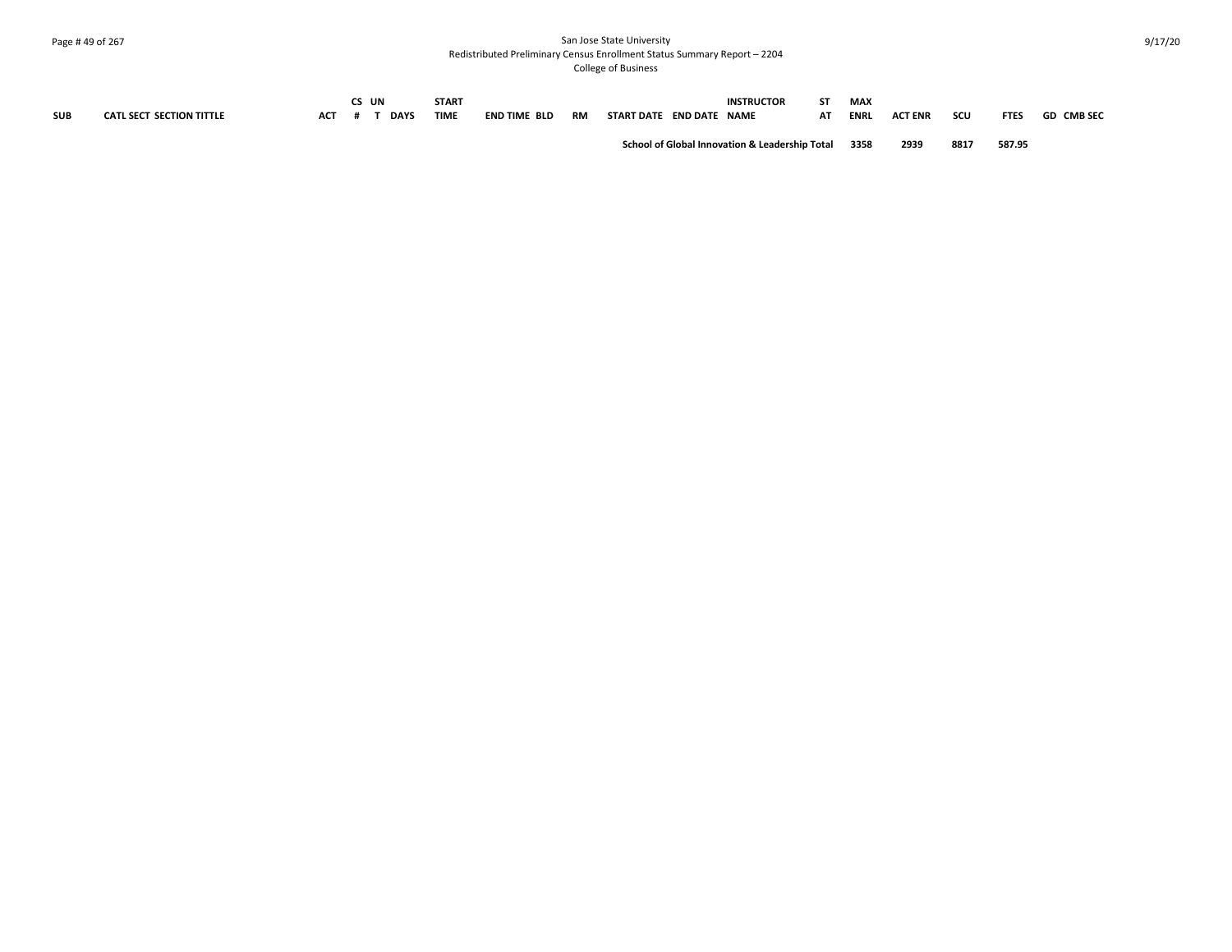## Page # 49 of 267 San Jose State University Redistributed Preliminary Census Enrollment Status Summary Report – 2204 College of Business

|            |                                 |            | CS UN |             | <b>START</b> |                     |           |                                                           | <b>INSTRUCTOR</b> | CT. | <b>MAX</b>  |                |      |             |                   |
|------------|---------------------------------|------------|-------|-------------|--------------|---------------------|-----------|-----------------------------------------------------------|-------------------|-----|-------------|----------------|------|-------------|-------------------|
| <b>SUB</b> | <b>CATL SECT SECTION TITTLE</b> | <b>ACT</b> |       | <b>DAYS</b> | <b>TIME</b>  | <b>END TIME BLD</b> | <b>RM</b> | START DATE END DATE NAME                                  |                   | AT  | <b>ENRL</b> | <b>ACT ENR</b> | scu  | <b>FTES</b> | <b>GD CMB SEC</b> |
|            |                                 |            |       |             |              |                     |           | <b>School of Global Innovation &amp; Leadership Total</b> |                   |     | 3358        | 2939           | 8817 | 587.95      |                   |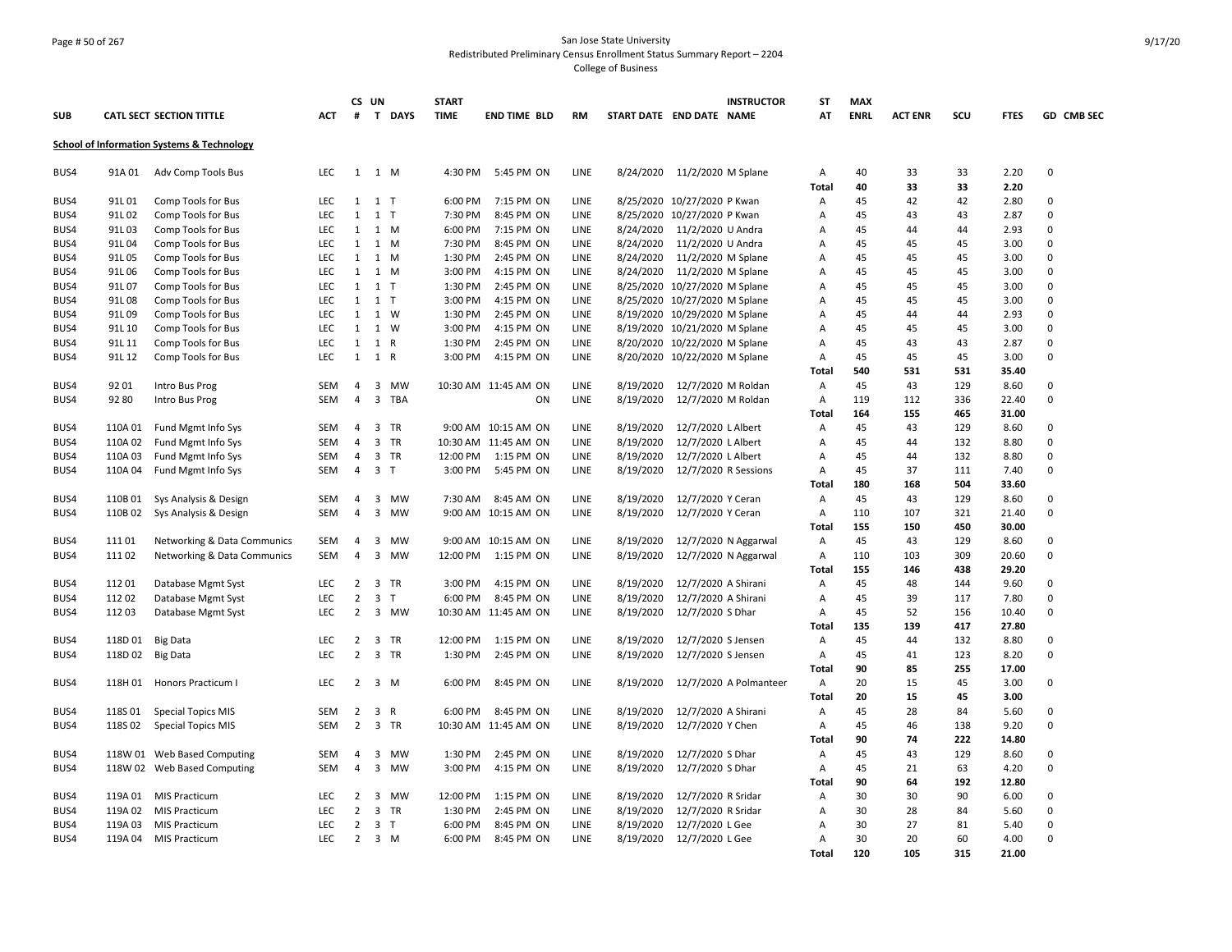#### Page # 50 of 267 San Jose State University Redistributed Preliminary Census Enrollment Status Summary Report – 2204 College of Business

|      |         |                                                       |            |                | CS UN          |                | <b>START</b> |                      |             |           | <b>INSTRUCTOR</b>             | ST           | <b>MAX</b>  |                |           |               |             |
|------|---------|-------------------------------------------------------|------------|----------------|----------------|----------------|--------------|----------------------|-------------|-----------|-------------------------------|--------------|-------------|----------------|-----------|---------------|-------------|
| SUB  |         | <b>CATL SECT SECTION TITTLE</b>                       | ACT        | #              |                | T DAYS         | <b>TIME</b>  | <b>END TIME BLD</b>  | <b>RM</b>   |           | START DATE END DATE NAME      | AT           | <b>ENRL</b> | <b>ACT ENR</b> | scu       | <b>FTES</b>   | GD CMB SEC  |
|      |         | <b>School of Information Systems &amp; Technology</b> |            |                |                |                |              |                      |             |           |                               |              |             |                |           |               |             |
| BUS4 | 91A 01  | Adv Comp Tools Bus                                    | LEC        | 1              |                | 1 M            | 4:30 PM      | 5:45 PM ON           | LINE        | 8/24/2020 | 11/2/2020 M Splane            | Α            | 40          | 33             | 33        | 2.20          | 0           |
| BUS4 | 91L01   | Comp Tools for Bus                                    | LEC        | 1              |                | $1$ T          | 6:00 PM      | 7:15 PM ON           | LINE        |           | 8/25/2020 10/27/2020 P Kwan   | Total<br>Α   | 40<br>45    | 33<br>42       | 33<br>42  | 2.20<br>2.80  | 0           |
| BUS4 | 91L02   | Comp Tools for Bus                                    | <b>LEC</b> | 1              |                | $1$ T          | 7:30 PM      | 8:45 PM ON           | LINE        |           | 8/25/2020 10/27/2020 P Kwan   | Α            | 45          | 43             | 43        | 2.87          | 0           |
| BUS4 | 91L03   | Comp Tools for Bus                                    | <b>LEC</b> | 1              |                | 1 M            | 6:00 PM      | 7:15 PM ON           | LINE        | 8/24/2020 | 11/2/2020 U Andra             | Α            | 45          | 44             | 44        | 2.93          | 0           |
| BUS4 | 91L04   | Comp Tools for Bus                                    | <b>LEC</b> | 1              |                | 1 M            | 7:30 PM      | 8:45 PM ON           | <b>LINE</b> | 8/24/2020 | 11/2/2020 U Andra             | Α            | 45          | 45             | 45        | 3.00          | 0           |
| BUS4 | 91L05   | Comp Tools for Bus                                    | <b>LEC</b> | 1              |                | 1 M            | 1:30 PM      | 2:45 PM ON           | LINE        | 8/24/2020 | 11/2/2020 M Splane            | A            | 45          | 45             | 45        | 3.00          | $\mathbf 0$ |
| BUS4 | 91L06   | Comp Tools for Bus                                    | LEC        | 1              |                | $1 \, M$       | 3:00 PM      | 4:15 PM ON           | <b>LINE</b> | 8/24/2020 | 11/2/2020 M Splane            | Α            | 45          | 45             | 45        | 3.00          | 0           |
| BUS4 | 91L07   | Comp Tools for Bus                                    | LEC        | 1              |                | $1$ T          | 1:30 PM      | 2:45 PM ON           | LINE        |           | 8/25/2020 10/27/2020 M Splane | A            | 45          | 45             | 45        | 3.00          | 0           |
| BUS4 | 91L08   | Comp Tools for Bus                                    | LEC        | 1              |                | $1$ T          | 3:00 PM      | 4:15 PM ON           | LINE        |           | 8/25/2020 10/27/2020 M Splane | Α            | 45          | 45             | 45        | 3.00          | 0           |
| BUS4 | 91L09   | Comp Tools for Bus                                    | <b>LEC</b> | $\mathbf{1}$   |                | 1 W            | 1:30 PM      | 2:45 PM ON           | LINE        |           | 8/19/2020 10/29/2020 M Splane | Α            | 45          | 44             | 44        | 2.93          | 0           |
| BUS4 | 91L 10  | Comp Tools for Bus                                    | <b>LEC</b> | 1              |                | 1 W            | 3:00 PM      | 4:15 PM ON           | LINE        |           | 8/19/2020 10/21/2020 M Splane | Α            | 45          | 45             | 45        | 3.00          | $\mathbf 0$ |
| BUS4 | 91L 11  | Comp Tools for Bus                                    | <b>LEC</b> | 1              |                | 1 R            | 1:30 PM      | 2:45 PM ON           | LINE        |           | 8/20/2020 10/22/2020 M Splane | Α            | 45          | 43             | 43        | 2.87          | $\mathbf 0$ |
| BUS4 | 91L 12  | Comp Tools for Bus                                    | <b>LEC</b> | 1              |                | 1 R            | 3:00 PM      | 4:15 PM ON           | LINE        |           | 8/20/2020 10/22/2020 M Splane | A            | 45          | 45             | 45        | 3.00          | 0           |
|      |         |                                                       |            |                |                |                |              |                      |             |           |                               | Total        | 540         | 531            | 531       | 35.40         |             |
| BUS4 | 92 01   | Intro Bus Prog                                        | SEM        | $\overline{4}$ |                | 3 MW           |              | 10:30 AM 11:45 AM ON | LINE        | 8/19/2020 | 12/7/2020 M Roldan            | Α            | 45          | 43             | 129       | 8.60          | 0           |
| BUS4 | 92 80   | Intro Bus Prog                                        | <b>SEM</b> | 4              |                | 3 TBA          |              | ON                   | LINE        | 8/19/2020 | 12/7/2020 M Roldan            | Α            | 119         | 112            | 336       | 22.40         | 0           |
|      |         |                                                       |            |                |                |                |              |                      |             |           |                               | Total        | 164         | 155            | 465       | 31.00         |             |
| BUS4 | 110A 01 | Fund Mgmt Info Sys                                    | <b>SEM</b> | $\overline{4}$ |                | 3 TR           |              | 9:00 AM 10:15 AM ON  | <b>LINE</b> | 8/19/2020 | 12/7/2020 L Albert            | Α            | 45          | 43             | 129       | 8.60          | 0           |
| BUS4 | 110A 02 | Fund Mgmt Info Sys                                    | <b>SEM</b> | $\overline{4}$ |                | 3 TR           |              | 10:30 AM 11:45 AM ON | LINE        | 8/19/2020 | 12/7/2020 L Albert            | A            | 45          | 44             | 132       | 8.80          | $\mathbf 0$ |
| BUS4 | 110A03  | Fund Mgmt Info Sys                                    | SEM        | 4              |                | 3 TR           | 12:00 PM     | 1:15 PM ON           | LINE        | 8/19/2020 | 12/7/2020 L Albert            | Α            | 45          | 44             | 132       | 8.80          | 0           |
| BUS4 | 110A 04 | Fund Mgmt Info Sys                                    | SEM        | 4              |                | 3 <sub>T</sub> | 3:00 PM      | 5:45 PM ON           | LINE        | 8/19/2020 | 12/7/2020 R Sessions          | A            | 45          | 37             | 111       | 7.40          | 0           |
|      |         |                                                       |            |                |                |                |              |                      |             |           |                               | Total        | 180         | 168            | 504       | 33.60         |             |
| BUS4 | 110B 01 | Sys Analysis & Design                                 | SEM        | 4              |                | 3 MW           | 7:30 AM      | 8:45 AM ON           | LINE        | 8/19/2020 | 12/7/2020 Y Ceran             | Α            | 45          | 43             | 129       | 8.60          | 0           |
| BUS4 | 110B02  | Sys Analysis & Design                                 | <b>SEM</b> | $\overline{4}$ |                | 3 MW           |              | 9:00 AM 10:15 AM ON  | LINE        | 8/19/2020 | 12/7/2020 Y Ceran             | Α            | 110         | 107            | 321       | 21.40         | $\mathbf 0$ |
|      |         |                                                       |            |                |                |                |              |                      |             |           |                               | Total        | 155         | 150            | 450       | 30.00         |             |
| BUS4 | 11101   | Networking & Data Communics                           | SEM        | 4              | 3              | MW             |              | 9:00 AM 10:15 AM ON  | LINE        | 8/19/2020 | 12/7/2020 N Aggarwal          | Α            | 45          | 43             | 129       | 8.60          | 0           |
| BUS4 | 11102   | <b>Networking &amp; Data Communics</b>                | SEM        | 4              | $\overline{3}$ | MW             | 12:00 PM     | 1:15 PM ON           | LINE        | 8/19/2020 | 12/7/2020 N Aggarwal          | Α            | 110         | 103            | 309       | 20.60         | 0           |
|      |         |                                                       |            |                |                |                |              |                      |             |           |                               | Total        | 155         | 146            | 438       | 29.20         |             |
| BUS4 | 11201   | Database Mgmt Syst                                    | <b>LEC</b> | $\overline{2}$ | 3              | TR             | 3:00 PM      | 4:15 PM ON           | <b>LINE</b> | 8/19/2020 | 12/7/2020 A Shirani           | A            | 45          | 48             | 144       | 9.60          | 0           |
| BUS4 | 112 02  | Database Mgmt Syst                                    | <b>LEC</b> | $\overline{2}$ |                | 3 <sub>T</sub> | 6:00 PM      | 8:45 PM ON           | LINE        | 8/19/2020 | 12/7/2020 A Shirani           | Α            | 45          | 39             | 117       | 7.80          | 0           |
| BUS4 | 11203   | Database Mgmt Syst                                    | <b>LEC</b> | $\overline{2}$ |                | 3 MW           |              | 10:30 AM 11:45 AM ON | LINE        | 8/19/2020 | 12/7/2020 S Dhar              | Α            | 45          | 52             | 156       | 10.40         | 0           |
|      |         |                                                       |            |                |                |                |              |                      |             |           |                               | Total        | 135         | 139            | 417       | 27.80         |             |
| BUS4 | 118D 01 | <b>Big Data</b>                                       | LEC        | $\overline{2}$ |                | 3 TR           | 12:00 PM     | 1:15 PM ON           | LINE        | 8/19/2020 | 12/7/2020 S Jensen            | Α            | 45          | 44             | 132       | 8.80          | 0           |
| BUS4 | 118D 02 | <b>Big Data</b>                                       | LEC        | $\overline{2}$ |                | 3 TR           | 1:30 PM      | 2:45 PM ON           | LINE        | 8/19/2020 | 12/7/2020 S Jensen            | Α            | 45          | 41             | 123       | 8.20          | 0           |
|      |         |                                                       |            |                |                |                |              |                      |             |           |                               | Total        | 90          | 85             | 255       | 17.00         |             |
| BUS4 | 118H 01 | Honors Practicum I                                    | <b>LEC</b> | $\overline{2}$ |                | 3 M            | 6:00 PM      | 8:45 PM ON           | LINE        | 8/19/2020 | 12/7/2020 A Polmanteer        | Α            | 20          | 15             | 45        | 3.00          | 0           |
|      |         |                                                       |            |                |                |                |              |                      |             |           |                               | <b>Total</b> | 20          | 15             | 45        | 3.00          |             |
| BUS4 | 118S 01 | <b>Special Topics MIS</b>                             | <b>SEM</b> | $\overline{2}$ |                | 3 R            | 6:00 PM      | 8:45 PM ON           | LINE        | 8/19/2020 | 12/7/2020 A Shirani           | A            | 45          | 28             | 84        | 5.60          | 0           |
| BUS4 | 118S 02 | <b>Special Topics MIS</b>                             | SEM        | $\overline{2}$ |                | 3 TR           |              | 10:30 AM 11:45 AM ON | LINE        | 8/19/2020 | 12/7/2020 Y Chen              | Α            | 45          | 46             | 138       | 9.20          | 0           |
|      |         |                                                       |            |                |                |                |              |                      |             |           |                               | Total        | 90          | 74             | 222       | 14.80         |             |
| BUS4 |         | 118W 01 Web Based Computing                           | <b>SEM</b> | 4              |                | 3 MW           | 1:30 PM      | 2:45 PM ON           | LINE        | 8/19/2020 | 12/7/2020 S Dhar              | Α            | 45          | 43             | 129       | 8.60          | 0<br>0      |
| BUS4 | 118W 02 | <b>Web Based Computing</b>                            | <b>SEM</b> | $\overline{4}$ |                | 3 MW           | 3:00 PM      | 4:15 PM ON           | <b>LINE</b> | 8/19/2020 | 12/7/2020 S Dhar              | Α<br>Total   | 45<br>90    | 21<br>64       | 63<br>192 | 4.20<br>12.80 |             |
| BUS4 | 119A 01 | <b>MIS Practicum</b>                                  | <b>LEC</b> | $\overline{2}$ |                | 3 MW           | 12:00 PM     | 1:15 PM ON           | LINE        | 8/19/2020 | 12/7/2020 R Sridar            | Α            | 30          | 30             | 90        | 6.00          | 0           |
| BUS4 | 119A 02 | <b>MIS Practicum</b>                                  | LEC        | $\overline{2}$ |                | 3 TR           | 1:30 PM      | 2:45 PM ON           | LINE        | 8/19/2020 | 12/7/2020 R Sridar            | Α            | 30          | 28             | 84        | 5.60          | 0           |
| BUS4 | 119A 03 | <b>MIS Practicum</b>                                  | LEC        | $\overline{2}$ |                | 3 <sub>T</sub> | 6:00 PM      | 8:45 PM ON           | LINE        | 8/19/2020 | 12/7/2020 L Gee               | A            | 30          | 27             | 81        | 5.40          | 0           |
| BUS4 | 119A 04 | <b>MIS Practicum</b>                                  | <b>LEC</b> | $\overline{2}$ |                | 3 M            | 6:00 PM      | 8:45 PM ON           | LINE        | 8/19/2020 | 12/7/2020 L Gee               | Α            | 30          | 20             | 60        | 4.00          | $\mathbf 0$ |
|      |         |                                                       |            |                |                |                |              |                      |             |           |                               | <b>Total</b> | 120         | 105            | 315       | 21.00         |             |
|      |         |                                                       |            |                |                |                |              |                      |             |           |                               |              |             |                |           |               |             |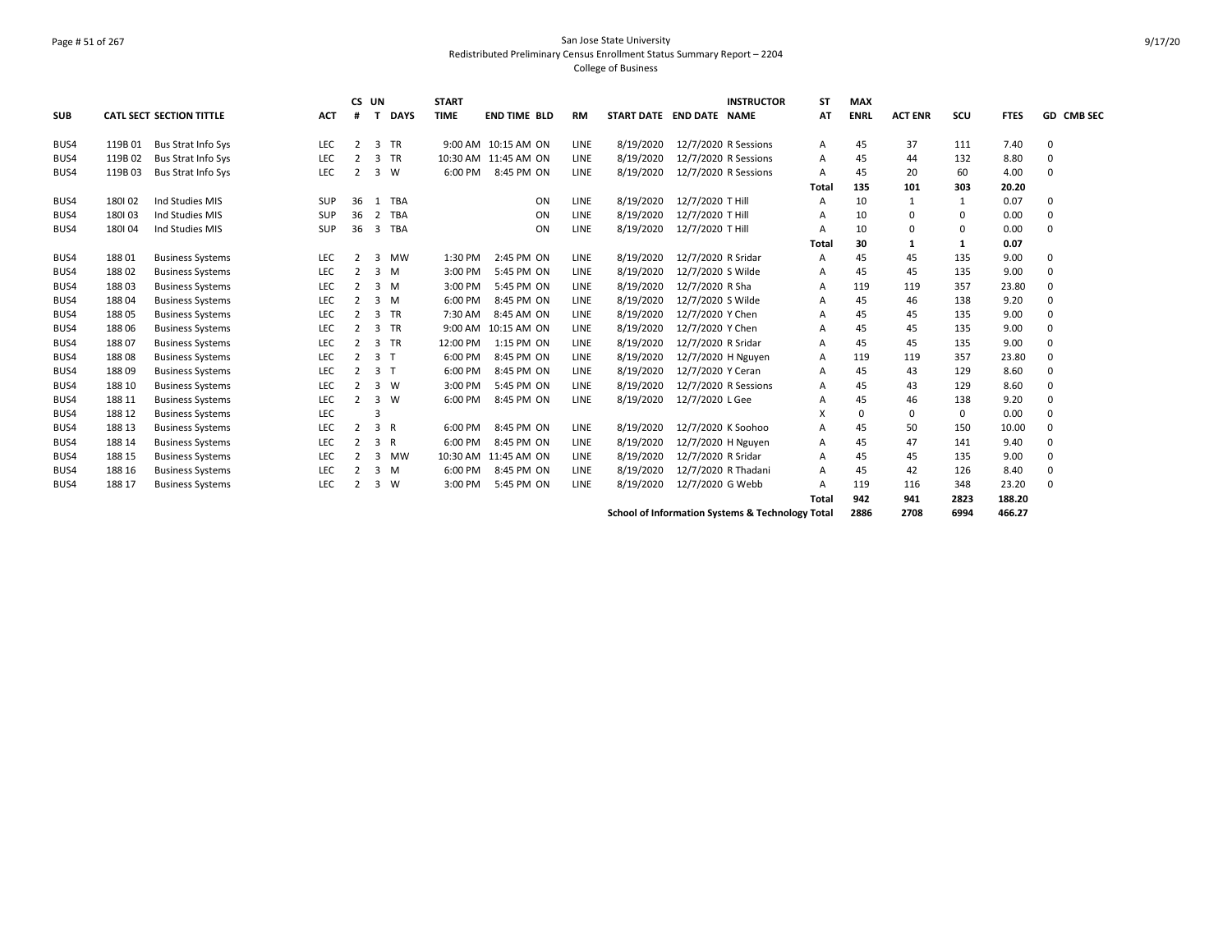## Page # 51 of 267 San Jose State University Redistributed Preliminary Census Enrollment Status Summary Report – 2204 College of Business

|            |        |                                 |            | CS UN          |                |              | <b>START</b> |                      |           |                          |                      | <b>INSTRUCTOR</b>                                | <b>ST</b> | <b>MAX</b>  |                |             |             |                   |
|------------|--------|---------------------------------|------------|----------------|----------------|--------------|--------------|----------------------|-----------|--------------------------|----------------------|--------------------------------------------------|-----------|-------------|----------------|-------------|-------------|-------------------|
| <b>SUB</b> |        | <b>CATL SECT SECTION TITTLE</b> | <b>ACT</b> | #              | Т              | <b>DAYS</b>  | <b>TIME</b>  | <b>END TIME BLD</b>  | <b>RM</b> | START DATE END DATE NAME |                      |                                                  | AT        | <b>ENRL</b> | <b>ACT ENR</b> | scu         | <b>FTES</b> | <b>GD CMB SEC</b> |
| BUS4       | 119B01 | <b>Bus Strat Info Sys</b>       | LEC        | $\overline{2}$ | 3              | TR           |              | 9:00 AM 10:15 AM ON  | LINE      | 8/19/2020                | 12/7/2020 R Sessions |                                                  | A         | 45          | 37             | 111         | 7.40        | $\Omega$          |
| BUS4       | 119B02 | <b>Bus Strat Info Sys</b>       | LEC        | $\overline{2}$ | 3 TR           |              |              | 10:30 AM 11:45 AM ON | LINE      | 8/19/2020                | 12/7/2020 R Sessions |                                                  | A         | 45          | 44             | 132         | 8.80        | $\Omega$          |
| BUS4       | 119B03 | <b>Bus Strat Info Sys</b>       | LEC        | $\overline{2}$ | 3 W            |              | 6:00 PM      | 8:45 PM ON           | LINE      | 8/19/2020                | 12/7/2020 R Sessions |                                                  | A         | 45          | 20             | 60          | 4.00        | $\Omega$          |
|            |        |                                 |            |                |                |              |              |                      |           |                          |                      |                                                  | Total     | 135         | 101            | 303         | 20.20       |                   |
| BUS4       | 180102 | Ind Studies MIS                 | <b>SUP</b> | 36             | 1              | <b>TBA</b>   |              | ON                   | LINE      | 8/19/2020                | 12/7/2020 T Hill     |                                                  | A         | 10          |                | 1           | 0.07        | 0                 |
| BUS4       | 180103 | Ind Studies MIS                 | <b>SUP</b> | 36             |                | 2 TBA        |              | ON                   | LINE      | 8/19/2020                | 12/7/2020 T Hill     |                                                  | А         | 10          | $\Omega$       | 0           | 0.00        | $\Omega$          |
| BUS4       | 180104 | Ind Studies MIS                 | SUP        | 36             |                | 3 TBA        |              | ON                   | LINE      | 8/19/2020                | 12/7/2020 T Hill     |                                                  | А         | 10          | $\Omega$       | $\mathbf 0$ | 0.00        | $\Omega$          |
|            |        |                                 |            |                |                |              |              |                      |           |                          |                      |                                                  | Total     | 30          | 1              | 1           | 0.07        |                   |
| BUS4       | 188 01 | <b>Business Systems</b>         | LEC        | $\overline{2}$ | $\mathbf{3}$   | MW           | 1:30 PM      | 2:45 PM ON           | LINE      | 8/19/2020                | 12/7/2020 R Sridar   |                                                  | A         | 45          | 45             | 135         | 9.00        | $\Omega$          |
| BUS4       | 18802  | <b>Business Systems</b>         | <b>LEC</b> | $\overline{2}$ | $3 \, M$       |              | 3:00 PM      | 5:45 PM ON           | LINE      | 8/19/2020                | 12/7/2020 S Wilde    |                                                  | A         | 45          | 45             | 135         | 9.00        | $\Omega$          |
| BUS4       | 18803  | <b>Business Systems</b>         | LEC        | 2              | 3M             |              | 3:00 PM      | 5:45 PM ON           | LINE      | 8/19/2020                | 12/7/2020 R Sha      |                                                  | A         | 119         | 119            | 357         | 23.80       | $\Omega$          |
| BUS4       | 18804  | <b>Business Systems</b>         | LEC        | 2              | $3 \, M$       |              | 6:00 PM      | 8:45 PM ON           | LINE      | 8/19/2020                | 12/7/2020 S Wilde    |                                                  | A         | 45          | 46             | 138         | 9.20        | $\Omega$          |
| BUS4       | 18805  | <b>Business Systems</b>         | LEC        | $\overline{2}$ | 3 TR           |              | 7:30 AM      | 8:45 AM ON           | LINE      | 8/19/2020                | 12/7/2020 Y Chen     |                                                  | A         | 45          | 45             | 135         | 9.00        | $\Omega$          |
| BUS4       | 18806  | <b>Business Systems</b>         | LEC        | $\overline{2}$ | 3 TR           |              |              | 9:00 AM 10:15 AM ON  | LINE      | 8/19/2020                | 12/7/2020 Y Chen     |                                                  | A         | 45          | 45             | 135         | 9.00        | $\Omega$          |
| BUS4       | 18807  | <b>Business Systems</b>         | LEC        | $\overline{2}$ | 3 TR           |              | 12:00 PM     | 1:15 PM ON           | LINE      | 8/19/2020                | 12/7/2020 R Sridar   |                                                  | A         | 45          | 45             | 135         | 9.00        | $\Omega$          |
| BUS4       | 18808  | <b>Business Systems</b>         | LEC        | $\overline{2}$ | 3 <sub>T</sub> |              | 6:00 PM      | 8:45 PM ON           | LINE      | 8/19/2020                | 12/7/2020 H Nguyen   |                                                  | A         | 119         | 119            | 357         | 23.80       | $\Omega$          |
| BUS4       | 18809  | <b>Business Systems</b>         | LEC        | $\overline{2}$ | 3              | $\top$       | 6:00 PM      | 8:45 PM ON           | LINE      | 8/19/2020                | 12/7/2020 Y Ceran    |                                                  | A         | 45          | 43             | 129         | 8.60        | 0                 |
| BUS4       | 188 10 | <b>Business Systems</b>         | LEC        | $\overline{2}$ | 3              | <b>W</b>     | 3:00 PM      | 5:45 PM ON           | LINE      | 8/19/2020                | 12/7/2020 R Sessions |                                                  | A         | 45          | 43             | 129         | 8.60        | $\Omega$          |
| BUS4       | 188 11 | <b>Business Systems</b>         | LEC        | $\overline{2}$ | 3              | <b>W</b>     | 6:00 PM      | 8:45 PM ON           | LINE      | 8/19/2020                | 12/7/2020 L Gee      |                                                  | А         | 45          | 46             | 138         | 9.20        | $\Omega$          |
| BUS4       | 188 12 | <b>Business Systems</b>         | LEC        |                | 3              |              |              |                      |           |                          |                      |                                                  | X         | 0           | $\Omega$       | $\mathbf 0$ | 0.00        | $\Omega$          |
| BUS4       | 188 13 | <b>Business Systems</b>         | <b>LEC</b> | $\overline{2}$ | 3 R            |              | 6:00 PM      | 8:45 PM ON           | LINE      | 8/19/2020                | 12/7/2020 K Soohoo   |                                                  | A         | 45          | 50             | 150         | 10.00       | $\Omega$          |
| BUS4       | 188 14 | <b>Business Systems</b>         | LEC        | $\overline{2}$ | 3              | $\mathsf{R}$ | 6:00 PM      | 8:45 PM ON           | LINE      | 8/19/2020                | 12/7/2020 H Nguyen   |                                                  | A         | 45          | 47             | 141         | 9.40        |                   |
| BUS4       | 188 15 | <b>Business Systems</b>         | LEC        | $\overline{2}$ | 3              | MW           |              | 10:30 AM 11:45 AM ON | LINE      | 8/19/2020                | 12/7/2020 R Sridar   |                                                  | A         | 45          | 45             | 135         | 9.00        | $\Omega$          |
| BUS4       | 188 16 | <b>Business Systems</b>         | LEC        | $\overline{2}$ | 3 M            |              | 6:00 PM      | 8:45 PM ON           | LINE      | 8/19/2020                | 12/7/2020 R Thadani  |                                                  | A         | 45          | 42             | 126         | 8.40        | $\Omega$          |
| BUS4       | 188 17 | <b>Business Systems</b>         | LEC        | $\overline{2}$ | 3              | <b>W</b>     | 3:00 PM      | 5:45 PM ON           | LINE      | 8/19/2020                | 12/7/2020 G Webb     |                                                  | Α         | 119         | 116            | 348         | 23.20       | $\Omega$          |
|            |        |                                 |            |                |                |              |              |                      |           |                          |                      |                                                  | Total     | 942         | 941            | 2823        | 188.20      |                   |
|            |        |                                 |            |                |                |              |              |                      |           |                          |                      | School of Information Systems & Technology Total |           | 2886        | 2708           | 6994        | 466.27      |                   |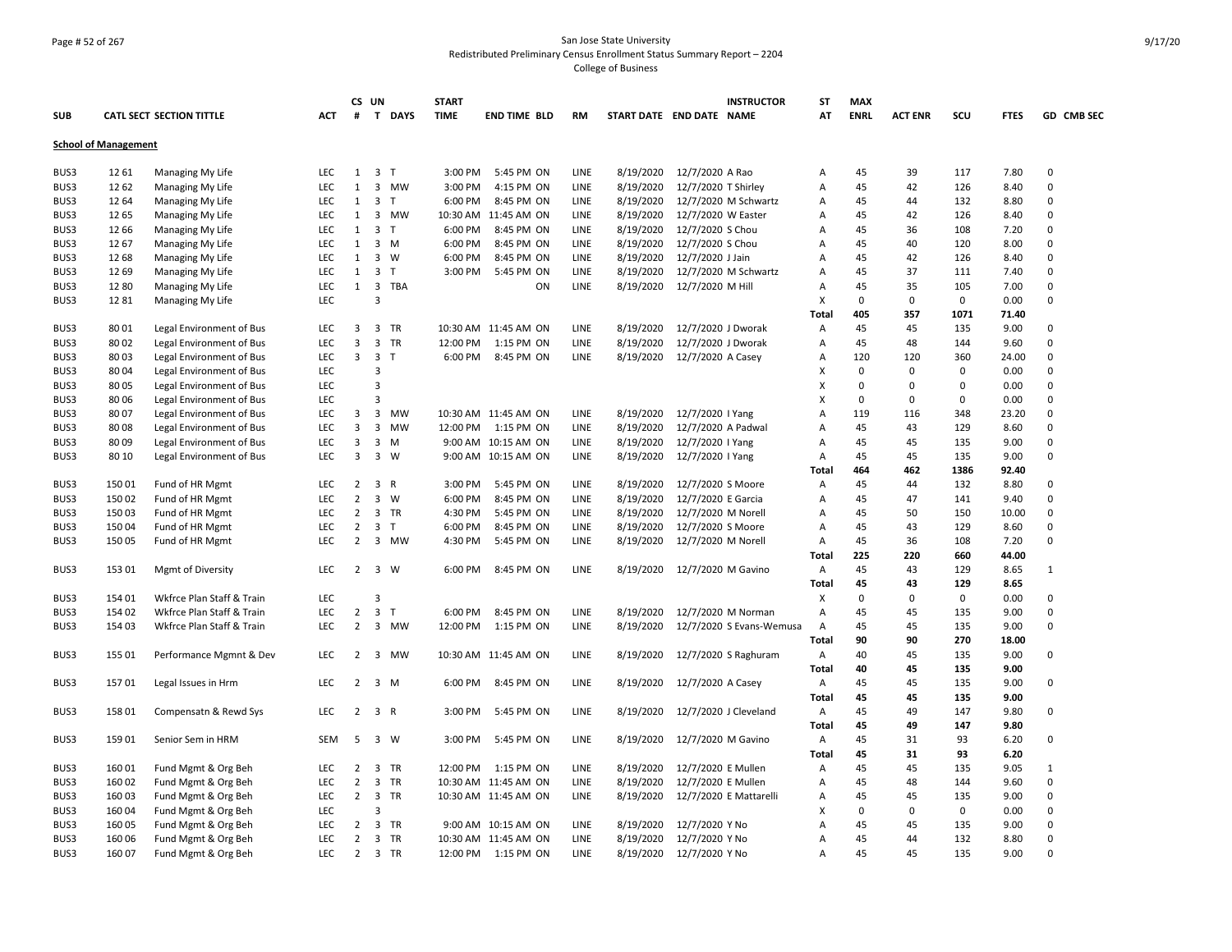## Page # 52 of 267 San Jose State University Redistributed Preliminary Census Enrollment Status Summary Report – 2204 College of Business

|                             |        |                                 |            |                | CS UN               |             | <b>START</b> |                      |      |                          |                     | <b>INSTRUCTOR</b>        | SΤ           | <b>MAX</b>  |                |             |             |              |
|-----------------------------|--------|---------------------------------|------------|----------------|---------------------|-------------|--------------|----------------------|------|--------------------------|---------------------|--------------------------|--------------|-------------|----------------|-------------|-------------|--------------|
| SUB                         |        | <b>CATL SECT SECTION TITTLE</b> | ACT        | #              |                     | T DAYS      | <b>TIME</b>  | <b>END TIME BLD</b>  | RM   | START DATE END DATE NAME |                     |                          | AT           | <b>ENRL</b> | <b>ACT ENR</b> | SCU         | <b>FTES</b> | GD CMB SEC   |
| <b>School of Management</b> |        |                                 |            |                |                     |             |              |                      |      |                          |                     |                          |              |             |                |             |             |              |
| BUS3                        | 12 61  | Managing My Life                | LEC        | 1              | 3 <sub>T</sub>      |             | 3:00 PM      | 5:45 PM ON           | LINE | 8/19/2020                | 12/7/2020 A Rao     |                          | Α            | 45          | 39             | 117         | 7.80        | $\mathsf 0$  |
| BUS3                        | 12 62  | Managing My Life                | LEC        | $\mathbf{1}$   |                     | 3 MW        | 3:00 PM      | 4:15 PM ON           | LINE | 8/19/2020                | 12/7/2020 T Shirley |                          | Α            | 45          | 42             | 126         | 8.40        | $\mathsf 0$  |
| BUS3                        | 12 64  | Managing My Life                | LEC        | 1              | 3 <sub>7</sub>      |             | 6:00 PM      | 8:45 PM ON           | LINE | 8/19/2020                |                     | 12/7/2020 M Schwartz     | Α            | 45          | 44             | 132         | 8.80        | 0            |
| BUS3                        | 12 65  | Managing My Life                | <b>LEC</b> | 1              | $\overline{3}$      | <b>MW</b>   |              | 10:30 AM 11:45 AM ON | LINE | 8/19/2020                | 12/7/2020 W Easter  |                          | Α            | 45          | 42             | 126         | 8.40        | $\mathbf 0$  |
| BUS3                        | 12 66  | Managing My Life                | LEC        | 1              | 3 <sub>1</sub>      |             | 6:00 PM      | 8:45 PM ON           | LINE | 8/19/2020                | 12/7/2020 S Chou    |                          | Α            | 45          | 36             | 108         | 7.20        | $\mathbf 0$  |
| BUS3                        | 1267   | Managing My Life                | LEC        | $\mathbf{1}$   |                     | $3 \, M$    | 6:00 PM      | 8:45 PM ON           | LINE | 8/19/2020                | 12/7/2020 S Chou    |                          | Α            | 45          | 40             | 120         | 8.00        | 0            |
| BUS3                        | 12 68  | Managing My Life                | LEC        | $\mathbf{1}$   |                     | 3 W         | 6:00 PM      | 8:45 PM ON           | LINE | 8/19/2020                | 12/7/2020 J Jain    |                          | Α            | 45          | 42             | 126         | 8.40        | $\mathsf 0$  |
| BUS3                        | 12 69  | Managing My Life                | LEC        | 1              | 3 <sub>T</sub>      |             | 3:00 PM      | 5:45 PM ON           | LINE | 8/19/2020                |                     | 12/7/2020 M Schwartz     | Α            | 45          | 37             | 111         | 7.40        | $\mathbf 0$  |
| BUS3                        | 1280   | Managing My Life                | LEC        | 1              |                     | 3 TBA       |              | ON                   | LINE | 8/19/2020                | 12/7/2020 M Hill    |                          | Α            | 45          | 35             | 105         | 7.00        | 0            |
| BUS3                        | 1281   | Managing My Life                | LEC        |                | $\overline{3}$      |             |              |                      |      |                          |                     |                          | Х            | 0           | $\mathbf 0$    | $\mathbf 0$ | 0.00        | $\mathbf 0$  |
|                             |        |                                 |            |                |                     |             |              |                      |      |                          |                     |                          | Total        | 405         | 357            | 1071        | 71.40       |              |
| BUS3                        | 80 01  | Legal Environment of Bus        | LEC        | 3              |                     | 3 TR        |              | 10:30 AM 11:45 AM ON | LINE | 8/19/2020                | 12/7/2020 J Dworak  |                          | Α            | 45          | 45             | 135         | 9.00        | $\mathbf 0$  |
| BUS3                        | 80 02  | Legal Environment of Bus        | LEC        | 3              |                     | 3 TR        | 12:00 PM     | 1:15 PM ON           | LINE | 8/19/2020                | 12/7/2020 J Dworak  |                          | Α            | 45          | 48             | 144         | 9.60        | 0            |
| BUS3                        | 8003   | Legal Environment of Bus        | LEC        | 3              | 3 <sub>1</sub>      |             | 6:00 PM      | 8:45 PM ON           | LINE | 8/19/2020                | 12/7/2020 A Casey   |                          | Α            | 120         | 120            | 360         | 24.00       | 0            |
| BUS3                        | 8004   | Legal Environment of Bus        | LEC        |                | $\overline{3}$      |             |              |                      |      |                          |                     |                          | X            | $\Omega$    | 0              | $\mathbf 0$ | 0.00        | 0            |
| BUS3                        | 8005   | Legal Environment of Bus        | LEC        |                | 3                   |             |              |                      |      |                          |                     |                          | X            | $\Omega$    | $\Omega$       | 0           | 0.00        | 0            |
| BUS3                        | 80 06  | Legal Environment of Bus        | <b>LEC</b> |                | $\overline{3}$      |             |              |                      |      |                          |                     |                          | X            | $\Omega$    | 0              | 0           | 0.00        | $\Omega$     |
| BUS3                        | 80 07  | Legal Environment of Bus        | LEC        | 3              |                     | 3 MW        |              | 10:30 AM 11:45 AM ON | LINE | 8/19/2020                | 12/7/2020   Yang    |                          | Α            | 119         | 116            | 348         | 23.20       | 0            |
| BUS3                        | 8008   | Legal Environment of Bus        | <b>LEC</b> | 3              |                     | 3 MW        | 12:00 PM     | 1:15 PM ON           | LINE | 8/19/2020                | 12/7/2020 A Padwal  |                          | Α            | 45          | 43             | 129         | 8.60        | 0            |
| BUS3                        | 8009   | Legal Environment of Bus        | LEC        | 3              |                     | $3 \, M$    |              | 9:00 AM 10:15 AM ON  | LINE | 8/19/2020                | 12/7/2020   Yang    |                          | Α            | 45          | 45             | 135         | 9.00        | $\mathbf 0$  |
| BUS3                        | 80 10  | Legal Environment of Bus        | LEC        | 3              |                     | $3 \quad W$ |              | 9:00 AM 10:15 AM ON  | LINE | 8/19/2020                | 12/7/2020   Yang    |                          | Α            | 45          | 45             | 135         | 9.00        | 0            |
|                             |        |                                 |            |                |                     |             |              |                      |      |                          |                     |                          | Total        | 464         | 462            | 1386        | 92.40       |              |
| BUS3                        | 15001  | Fund of HR Mgmt                 | LEC        | $\overline{2}$ | 3 R                 |             | 3:00 PM      | 5:45 PM ON           | LINE | 8/19/2020                | 12/7/2020 S Moore   |                          | Α            | 45          | 44             | 132         | 8.80        | 0            |
| BUS3                        | 150 02 | Fund of HR Mgmt                 | LEC        | $\overline{2}$ |                     | $3 \quad W$ | 6:00 PM      | 8:45 PM ON           | LINE | 8/19/2020                | 12/7/2020 E Garcia  |                          | Α            | 45          | 47             | 141         | 9.40        | 0            |
| BUS3                        | 15003  | Fund of HR Mgmt                 | <b>LEC</b> | 2              |                     | 3 TR        | 4:30 PM      | 5:45 PM ON           | LINE | 8/19/2020                | 12/7/2020 M Norell  |                          | Α            | 45          | 50             | 150         | 10.00       | $\mathbf 0$  |
| BUS3                        | 15004  | Fund of HR Mgmt                 | LEC        | $\overline{2}$ | 3 <sub>T</sub>      |             | 6:00 PM      | 8:45 PM ON           | LINE | 8/19/2020                | 12/7/2020 S Moore   |                          | Α            | 45          | 43             | 129         | 8.60        | $\Omega$     |
| BUS3                        | 15005  | Fund of HR Mgmt                 | LEC        | $\overline{2}$ |                     | 3 MW        | 4:30 PM      | 5:45 PM ON           | LINE | 8/19/2020                | 12/7/2020 M Norell  |                          | Α            | 45          | 36             | 108         | 7.20        | 0            |
|                             |        |                                 |            |                |                     |             |              |                      |      |                          |                     |                          | Total        | 225         | 220            | 660         | 44.00       |              |
| BUS3                        | 153 01 | <b>Mgmt of Diversity</b>        | LEC        |                | $2 \quad 3 \quad W$ |             | 6:00 PM      | 8:45 PM ON           | LINE | 8/19/2020                | 12/7/2020 M Gavino  |                          | Α            | 45          | 43             | 129         | 8.65        | $\mathbf{1}$ |
|                             |        |                                 |            |                |                     |             |              |                      |      |                          |                     |                          | <b>Total</b> | 45          | 43             | 129         | 8.65        |              |
| BUS3                        | 154 01 | Wkfrce Plan Staff & Train       | LEC        |                | $\overline{3}$      |             |              |                      |      |                          |                     |                          | X            | $\Omega$    | $\mathbf 0$    | $\mathbf 0$ | 0.00        | 0            |
| BUS3                        | 154 02 | Wkfrce Plan Staff & Train       | LEC        | $\overline{2}$ | $\mathbf{3}$        | T           | 6:00 PM      | 8:45 PM ON           | LINE | 8/19/2020                |                     | 12/7/2020 M Norman       | Α            | 45          | 45             | 135         | 9.00        | 0            |
| BUS3                        | 154 03 | Wkfrce Plan Staff & Train       | LEC        | $\overline{2}$ |                     | 3 MW        | 12:00 PM     | 1:15 PM ON           | LINE | 8/19/2020                |                     | 12/7/2020 S Evans-Wemusa | Α            | 45          | 45             | 135         | 9.00        | 0            |
|                             |        |                                 |            |                |                     |             |              |                      |      |                          |                     |                          | Total        | 90          | 90             | 270         | 18.00       |              |
| BUS3                        | 155 01 | Performance Mgmnt & Dev         | LEC        | $\overline{2}$ |                     | 3 MW        |              | 10:30 AM 11:45 AM ON | LINE | 8/19/2020                |                     | 12/7/2020 S Raghuram     | Α            | 40          | 45             | 135         | 9.00        | 0            |
|                             |        |                                 |            |                |                     |             |              |                      |      |                          |                     |                          | Total        | 40          | 45             | 135         | 9.00        |              |
| BUS3                        | 157 01 | Legal Issues in Hrm             | LEC        | $\overline{2}$ |                     | $3 \, M$    | 6:00 PM      | 8:45 PM ON           | LINE | 8/19/2020                | 12/7/2020 A Casey   |                          | Α            | 45          | 45             | 135         | 9.00        | $\mathsf 0$  |
|                             |        |                                 |            |                |                     |             |              |                      |      |                          |                     |                          | Total        | 45          | 45             | 135         | 9.00        |              |
| BUS3                        | 158 01 | Compensatn & Rewd Sys           | LEC        | $\overline{2}$ | 3 R                 |             | 3:00 PM      | 5:45 PM ON           | LINE | 8/19/2020                |                     | 12/7/2020 J Cleveland    | A            | 45          | 49             | 147         | 9.80        | 0            |
|                             |        |                                 |            |                |                     |             |              |                      |      |                          |                     |                          | Total        | 45          | 49             | 147         | 9.80        |              |
| BUS3                        | 15901  | Senior Sem in HRM               | <b>SEM</b> | 5              |                     | 3 W         | 3:00 PM      | 5:45 PM ON           | LINE | 8/19/2020                | 12/7/2020 M Gavino  |                          | Α            | 45          | 31             | 93          | 6.20        | $\mathbf 0$  |
|                             |        |                                 |            |                |                     |             |              |                      |      |                          |                     |                          | Total        | 45          | 31             | 93          | 6.20        |              |
| BUS3                        | 16001  | Fund Mgmt & Org Beh             | LEC        | $\overline{2}$ | 3                   | TR          | 12:00 PM     | 1:15 PM ON           | LINE | 8/19/2020                | 12/7/2020 E Mullen  |                          | Α            | 45          | 45             | 135         | 9.05        | $\mathbf{1}$ |
| BUS3                        | 160 02 | Fund Mgmt & Org Beh             | LEC        | $\overline{2}$ |                     | 3 TR        |              | 10:30 AM 11:45 AM ON | LINE | 8/19/2020                | 12/7/2020 E Mullen  |                          | Α            | 45          | 48             | 144         | 9.60        | 0            |
| BUS3                        | 160 03 | Fund Mgmt & Org Beh             | <b>LEC</b> | $\overline{2}$ |                     | 3 TR        |              | 10:30 AM 11:45 AM ON | LINE | 8/19/2020                |                     | 12/7/2020 E Mattarelli   | Α            | 45          | 45             | 135         | 9.00        | $\mathbf 0$  |
| BUS3                        | 16004  | Fund Mgmt & Org Beh             | LEC        |                | $\overline{3}$      |             |              |                      |      |                          |                     |                          | X            | 0           | $\mathbf 0$    | $\mathbf 0$ | 0.00        | $\mathbf 0$  |
| BUS3                        | 160 05 | Fund Mgmt & Org Beh             | LEC        | $\overline{2}$ |                     | 3 TR        |              | 9:00 AM 10:15 AM ON  | LINE | 8/19/2020                | 12/7/2020 Y No      |                          | Α            | 45          | 45             | 135         | 9.00        | 0            |
| BUS3                        | 160 06 | Fund Mgmt & Org Beh             | LEC        | 2              |                     | 3 TR        |              | 10:30 AM 11:45 AM ON | LINE | 8/19/2020                | 12/7/2020 Y No      |                          | Α            | 45          | 44             | 132         | 8.80        | 0            |
| BUS3                        | 160 07 | Fund Mgmt & Org Beh             | <b>LEC</b> | 2              |                     | 3 TR        |              | 12:00 PM 1:15 PM ON  | LINE | 8/19/2020                | 12/7/2020 Y No      |                          | A            | 45          | 45             | 135         | 9.00        | $\Omega$     |
|                             |        |                                 |            |                |                     |             |              |                      |      |                          |                     |                          |              |             |                |             |             |              |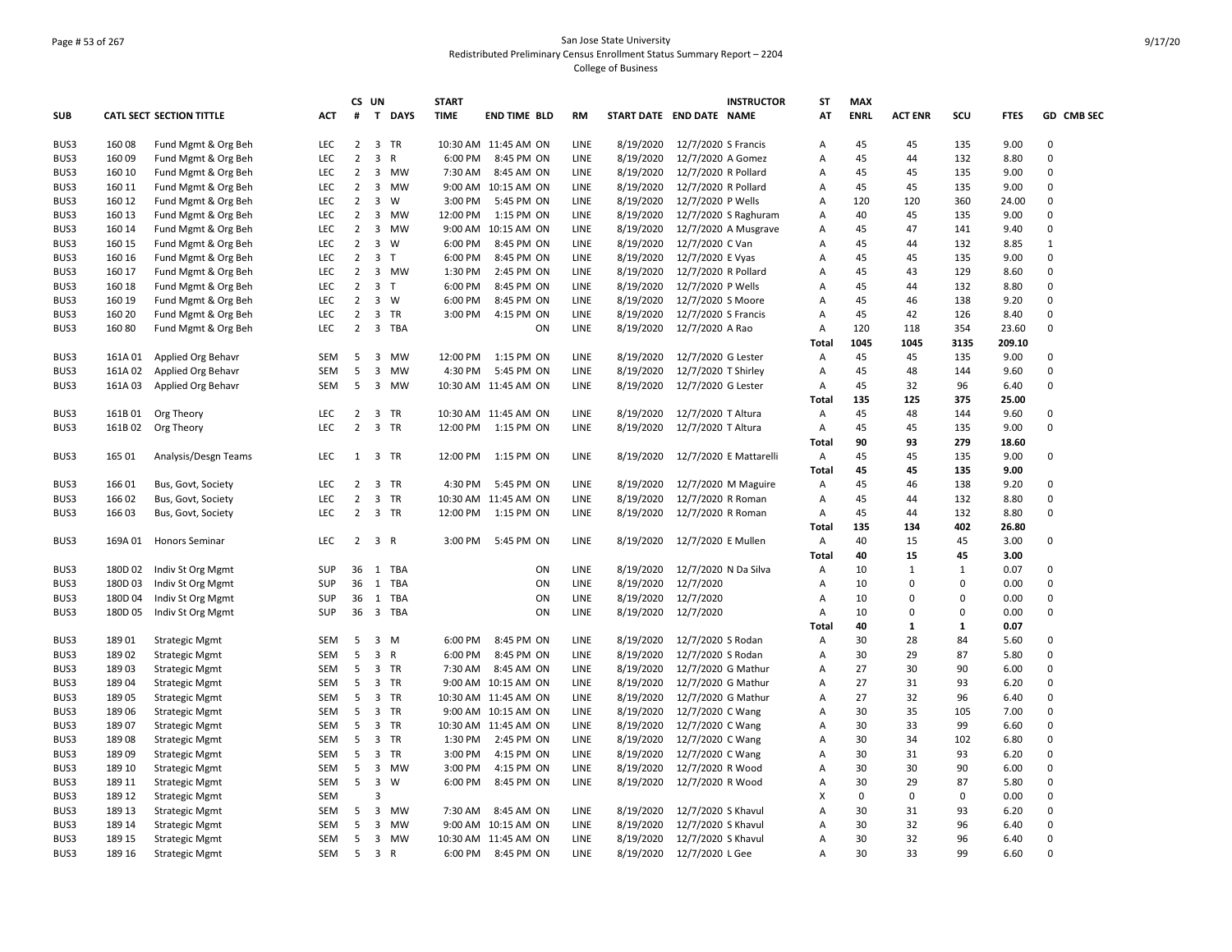## Page # 53 of 267 San Jose State University Redistributed Preliminary Census Enrollment Status Summary Report – 2204 College of Business

|            |         |                                 |            |                | CS UN                   |             | <b>START</b> |                      |           |                          |                                  | <b>INSTRUCTOR</b>    | ST             | <b>MAX</b>  |                |              |             |              |
|------------|---------|---------------------------------|------------|----------------|-------------------------|-------------|--------------|----------------------|-----------|--------------------------|----------------------------------|----------------------|----------------|-------------|----------------|--------------|-------------|--------------|
| <b>SUB</b> |         | <b>CATL SECT SECTION TITTLE</b> | <b>ACT</b> | #              |                         | T DAYS      | <b>TIME</b>  | <b>END TIME BLD</b>  | <b>RM</b> | START DATE END DATE NAME |                                  |                      | AT             | <b>ENRL</b> | <b>ACT ENR</b> | SCU          | <b>FTES</b> | GD CMB SEC   |
| BUS3       | 160 08  | Fund Mgmt & Org Beh             | LEC        | $\overline{2}$ |                         | 3 TR        |              | 10:30 AM 11:45 AM ON | LINE      | 8/19/2020                | 12/7/2020 S Francis              |                      | Α              | 45          | 45             | 135          | 9.00        | $\Omega$     |
| BUS3       | 160 09  | Fund Mgmt & Org Beh             | LEC        | $\overline{2}$ | 3 R                     |             | 6:00 PM      | 8:45 PM ON           | LINE      | 8/19/2020                | 12/7/2020 A Gomez                |                      | Α              | 45          | 44             | 132          | 8.80        | $\Omega$     |
| BUS3       | 160 10  | Fund Mgmt & Org Beh             | <b>LEC</b> | $\overline{2}$ |                         | 3 MW        | 7:30 AM      | 8:45 AM ON           | LINE      | 8/19/2020                | 12/7/2020 R Pollard              |                      | Α              | 45          | 45             | 135          | 9.00        | $\Omega$     |
| BUS3       | 160 11  | Fund Mgmt & Org Beh             | LEC        | $\overline{2}$ |                         | 3 MW        |              | 9:00 AM 10:15 AM ON  | LINE      | 8/19/2020                | 12/7/2020 R Pollard              |                      | A              | 45          | 45             | 135          | 9.00        | $\mathbf 0$  |
| BUS3       | 160 12  | Fund Mgmt & Org Beh             | <b>LEC</b> | $\overline{2}$ | $\overline{3}$          | W           | 3:00 PM      | 5:45 PM ON           | LINE      | 8/19/2020                | 12/7/2020 P Wells                |                      | $\mathsf{A}$   | 120         | 120            | 360          | 24.00       | $\Omega$     |
| BUS3       | 160 13  | Fund Mgmt & Org Beh             | LEC        | $\overline{2}$ |                         | 3 MW        | 12:00 PM     | 1:15 PM ON           | LINE      | 8/19/2020                |                                  | 12/7/2020 S Raghuram | Α              | 40          | 45             | 135          | 9.00        | $\Omega$     |
| BUS3       | 160 14  | Fund Mgmt & Org Beh             | LEC        | $\overline{2}$ |                         | 3 MW        |              | 9:00 AM 10:15 AM ON  | LINE      | 8/19/2020                |                                  | 12/7/2020 A Musgrave | Α              | 45          | 47             | 141          | 9.40        | $\Omega$     |
| BUS3       | 160 15  | Fund Mgmt & Org Beh             | LEC        | $\overline{2}$ |                         | $3 \quad W$ | 6:00 PM      | 8:45 PM ON           | LINE      | 8/19/2020                | 12/7/2020 C Van                  |                      | Α              | 45          | 44             | 132          | 8.85        | $\mathbf{1}$ |
| BUS3       | 160 16  | Fund Mgmt & Org Beh             | LEC        | $\overline{2}$ | 3 <sub>T</sub>          |             | 6:00 PM      | 8:45 PM ON           | LINE      | 8/19/2020                | 12/7/2020 E Vyas                 |                      | Α              | 45          | 45             | 135          | 9.00        | $\Omega$     |
| BUS3       | 160 17  | Fund Mgmt & Org Beh             | LEC        | $\overline{2}$ |                         | 3 MW        | 1:30 PM      | 2:45 PM ON           | LINE      | 8/19/2020                | 12/7/2020 R Pollard              |                      | Α              | 45          | 43             | 129          | 8.60        | $\Omega$     |
| BUS3       | 160 18  | Fund Mgmt & Org Beh             | LEC        | $\overline{2}$ | 3 <sub>T</sub>          |             | 6:00 PM      | 8:45 PM ON           | LINE      | 8/19/2020                | 12/7/2020 P Wells                |                      | Α              | 45          | 44             | 132          | 8.80        | $\Omega$     |
| BUS3       | 160 19  | Fund Mgmt & Org Beh             | <b>LEC</b> | $\overline{2}$ |                         | 3 W         | 6:00 PM      | 8:45 PM ON           | LINE      | 8/19/2020                | 12/7/2020 S Moore                |                      | A              | 45          | 46             | 138          | 9.20        | $\Omega$     |
| BUS3       | 160 20  | Fund Mgmt & Org Beh             | LEC        | $\overline{2}$ |                         | 3 TR        | 3:00 PM      | 4:15 PM ON           | LINE      | 8/19/2020                | 12/7/2020 S Francis              |                      | Α              | 45          | 42             | 126          | 8.40        | $\Omega$     |
| BUS3       | 160 80  | Fund Mgmt & Org Beh             | <b>LEC</b> | 2              |                         | 3 TBA       |              | ON                   | LINE      | 8/19/2020                | 12/7/2020 A Rao                  |                      | $\overline{A}$ | 120         | 118            | 354          | 23.60       | $\mathbf 0$  |
|            |         |                                 |            |                |                         |             |              |                      |           |                          |                                  |                      | <b>Total</b>   | 1045        | 1045           | 3135         | 209.10      |              |
| BUS3       | 161A 01 | Applied Org Behavr              | SEM        | -5             |                         | 3 MW        | 12:00 PM     | 1:15 PM ON           | LINE      | 8/19/2020                | 12/7/2020 G Lester               |                      | A              | 45          | 45             | 135          | 9.00        | $\mathbf 0$  |
| BUS3       | 161A02  | Applied Org Behavr              | <b>SEM</b> | 5              |                         | 3 MW        | 4:30 PM      | 5:45 PM ON           | LINE      | 8/19/2020                | 12/7/2020 T Shirley              |                      | A              | 45          | 48             | 144          | 9.60        | $\mathbf 0$  |
| BUS3       | 161A03  | Applied Org Behavr              | SEM        | 5              |                         | 3 MW        |              | 10:30 AM 11:45 AM ON | LINE      | 8/19/2020                | 12/7/2020 G Lester               |                      | A              | 45          | 32             | 96           | 6.40        | $\Omega$     |
|            |         |                                 |            |                |                         |             |              |                      |           |                          |                                  |                      | Total          | 135         | 125            | 375          | 25.00       |              |
| BUS3       | 161B01  | Org Theory                      | <b>LEC</b> | $\overline{2}$ |                         | 3 TR        |              | 10:30 AM 11:45 AM ON | LINE      | 8/19/2020                | 12/7/2020 T Altura               |                      | A              | 45          | 48             | 144          | 9.60        | $\Omega$     |
| BUS3       | 161B 02 | Org Theory                      | <b>LEC</b> | $\overline{2}$ |                         | 3 TR        | 12:00 PM     | 1:15 PM ON           | LINE      | 8/19/2020                | 12/7/2020 T Altura               |                      | A              | 45          | 45             | 135          | 9.00        | $\Omega$     |
|            |         |                                 |            |                |                         |             |              |                      |           |                          |                                  |                      | <b>Total</b>   | 90          | 93             | 279          | 18.60       |              |
| BUS3       | 165 01  | Analysis/Desgn Teams            | <b>LEC</b> |                | 1 3 TR                  |             | 12:00 PM     | 1:15 PM ON           | LINE      |                          | 8/19/2020 12/7/2020 E Mattarelli |                      | $\mathsf{A}$   | 45          | 45             | 135          | 9.00        | $\Omega$     |
|            |         |                                 |            |                |                         |             |              |                      |           |                          |                                  |                      | Total          | 45          | 45             | 135          | 9.00        |              |
| BUS3       | 166 01  | Bus, Govt, Society              | LEC        | $\overline{2}$ | $\overline{3}$          | TR          | 4:30 PM      | 5:45 PM ON           | LINE      | 8/19/2020                |                                  | 12/7/2020 M Maguire  | Α              | 45          | 46             | 138          | 9.20        | $\Omega$     |
| BUS3       | 166 02  | Bus, Govt, Society              | LEC        | $\overline{2}$ |                         | 3 TR        |              | 10:30 AM 11:45 AM ON | LINE      | 8/19/2020                | 12/7/2020 R Roman                |                      | Α              | 45          | 44             | 132          | 8.80        | $\mathbf 0$  |
| BUS3       | 16603   | Bus, Govt, Society              | <b>LEC</b> | $\overline{2}$ |                         | 3 TR        | 12:00 PM     | 1:15 PM ON           | LINE      | 8/19/2020                | 12/7/2020 R Roman                |                      | A              | 45          | 44             | 132          | 8.80        | 0            |
|            |         |                                 |            |                |                         |             |              |                      |           |                          |                                  |                      | Total          | 135         | 134            | 402          | 26.80       |              |
| BUS3       | 169A 01 | <b>Honors Seminar</b>           | <b>LEC</b> | $\overline{2}$ | 3 R                     |             | 3:00 PM      | 5:45 PM ON           | LINE      | 8/19/2020                | 12/7/2020 E Mullen               |                      | Α              | 40          | 15             | 45           | 3.00        | $\Omega$     |
|            |         |                                 |            |                |                         |             |              |                      |           |                          |                                  |                      | Total          | 40          | 15             | 45           | 3.00        |              |
| BUS3       | 180D 02 | Indiv St Org Mgmt               | SUP        |                |                         | 36 1 TBA    |              | ON                   | LINE      | 8/19/2020                | 12/7/2020 N Da Silva             |                      | Α              | 10          | $\mathbf{1}$   | $\mathbf{1}$ | 0.07        | $\Omega$     |
| BUS3       | 180D 03 | Indiv St Org Mgmt               | SUP        | 36             |                         | 1 TBA       |              | ON                   | LINE      | 8/19/2020                | 12/7/2020                        |                      | A              | 10          | $\Omega$       | 0            | 0.00        | $\pmb{0}$    |
| BUS3       | 180D 04 | Indiv St Org Mgmt               | SUP        |                |                         | 36 1 TBA    |              | ON                   | LINE      | 8/19/2020                | 12/7/2020                        |                      | Α              | 10          | $\mathbf 0$    | 0            | 0.00        | $\Omega$     |
| BUS3       | 180D 05 | Indiv St Org Mgmt               | SUP        | 36             |                         | 3 TBA       |              | ON                   | LINE      | 8/19/2020                | 12/7/2020                        |                      | A              | 10          | $\Omega$       | $\mathbf 0$  | 0.00        | $\Omega$     |
|            |         |                                 |            |                |                         |             |              |                      |           |                          |                                  |                      | Total          | 40          | 1              | $\mathbf{1}$ | 0.07        |              |
| BUS3       | 18901   | <b>Strategic Mgmt</b>           | SEM        | 5              |                         | 3 M         | 6:00 PM      | 8:45 PM ON           | LINE      | 8/19/2020                | 12/7/2020 S Rodan                |                      | A              | 30          | 28             | 84           | 5.60        | $\Omega$     |
| BUS3       | 18902   | <b>Strategic Mgmt</b>           | SEM        | 5              | 3 R                     |             | 6:00 PM      | 8:45 PM ON           | LINE      | 8/19/2020                | 12/7/2020 S Rodan                |                      | Α              | 30          | 29             | 87           | 5.80        | $\mathbf 0$  |
| BUS3       | 18903   | <b>Strategic Mgmt</b>           | <b>SEM</b> | 5              |                         | 3 TR        | 7:30 AM      | 8:45 AM ON           | LINE      | 8/19/2020                | 12/7/2020 G Mathur               |                      | Α              | 27          | 30             | 90           | 6.00        | $\Omega$     |
| BUS3       | 189 04  | <b>Strategic Mgmt</b>           | SEM        | 5              |                         | 3 TR        |              | 9:00 AM 10:15 AM ON  | LINE      | 8/19/2020                | 12/7/2020 G Mathur               |                      | Α              | 27          | 31             | 93           | 6.20        | $\Omega$     |
| BUS3       | 189 05  | <b>Strategic Mgmt</b>           | SEM        | 5              |                         | 3 TR        |              | 10:30 AM 11:45 AM ON | LINE      | 8/19/2020                | 12/7/2020 G Mathur               |                      | Α              | 27          | 32             | 96           | 6.40        | $\Omega$     |
| BUS3       | 18906   | <b>Strategic Mgmt</b>           | SEM        | 5              |                         | 3 TR        |              | 9:00 AM 10:15 AM ON  | LINE      | 8/19/2020                | 12/7/2020 C Wang                 |                      | A              | 30          | 35             | 105          | 7.00        | $\Omega$     |
| BUS3       | 18907   | <b>Strategic Mgmt</b>           | SEM        | 5              |                         | 3 TR        |              | 10:30 AM 11:45 AM ON | LINE      | 8/19/2020                | 12/7/2020 C Wang                 |                      | Α              | 30          | 33             | 99           | 6.60        | $\Omega$     |
| BUS3       | 18908   | <b>Strategic Mgmt</b>           | SEM        | 5              |                         | 3 TR        | 1:30 PM      | 2:45 PM ON           | LINE      | 8/19/2020                | 12/7/2020 C Wang                 |                      | A              | 30          | 34             | 102          | 6.80        | $\Omega$     |
| BUS3       | 18909   | <b>Strategic Mgmt</b>           | SEM        | 5              |                         | 3 TR        | 3:00 PM      | 4:15 PM ON           | LINE      | 8/19/2020                | 12/7/2020 C Wang                 |                      | Α              | 30          | 31             | 93           | 6.20        | $\Omega$     |
| BUS3       | 189 10  | <b>Strategic Mgmt</b>           | <b>SEM</b> | -5             |                         | 3 MW        | 3:00 PM      | 4:15 PM ON           | LINE      | 8/19/2020                | 12/7/2020 R Wood                 |                      | $\overline{A}$ | 30          | 30             | 90           | 6.00        | $\Omega$     |
| BUS3       | 189 11  | <b>Strategic Mgmt</b>           | SEM        | 5              | $\overline{\mathbf{3}}$ | W           | 6:00 PM      | 8:45 PM ON           | LINE      | 8/19/2020                | 12/7/2020 R Wood                 |                      | Α              | 30          | 29             | 87           | 5.80        | $\Omega$     |
| BUS3       | 189 12  |                                 | <b>SEM</b> |                | 3                       |             |              |                      |           |                          |                                  |                      |                | 0           | $\Omega$       | $\mathbf 0$  | 0.00        | $\Omega$     |
|            |         | <b>Strategic Mgmt</b>           |            |                |                         |             |              |                      | LINE      |                          |                                  |                      | Х              | 30          | 31             | 93           |             | $\mathbf 0$  |
| BUS3       | 189 13  | <b>Strategic Mgmt</b>           | SEM        | 5              | $\overline{3}$          | MW          | 7:30 AM      | 8:45 AM ON           |           | 8/19/2020                | 12/7/2020 S Khavul               |                      | Α              |             |                |              | 6.20        | $\Omega$     |
| BUS3       | 189 14  | <b>Strategic Mgmt</b>           | SEM        | 5              |                         | 3 MW        |              | 9:00 AM 10:15 AM ON  | LINE      | 8/19/2020                | 12/7/2020 S Khavul               |                      | Α              | 30          | 32             | 96           | 6.40        |              |
| BUS3       | 189 15  | <b>Strategic Mgmt</b>           | <b>SEM</b> | 5              |                         | 3 MW        |              | 10:30 AM 11:45 AM ON | LINE      | 8/19/2020                | 12/7/2020 S Khavul               |                      | Α              | 30          | 32             | 96           | 6.40        | $\Omega$     |
| BUS3       | 189 16  | <b>Strategic Mgmt</b>           | <b>SEM</b> | 5 <sup>7</sup> | 3 R                     |             |              | 6:00 PM 8:45 PM ON   | LINE      | 8/19/2020                | 12/7/2020 L Gee                  |                      | A              | 30          | 33             | 99           | 6.60        | $\Omega$     |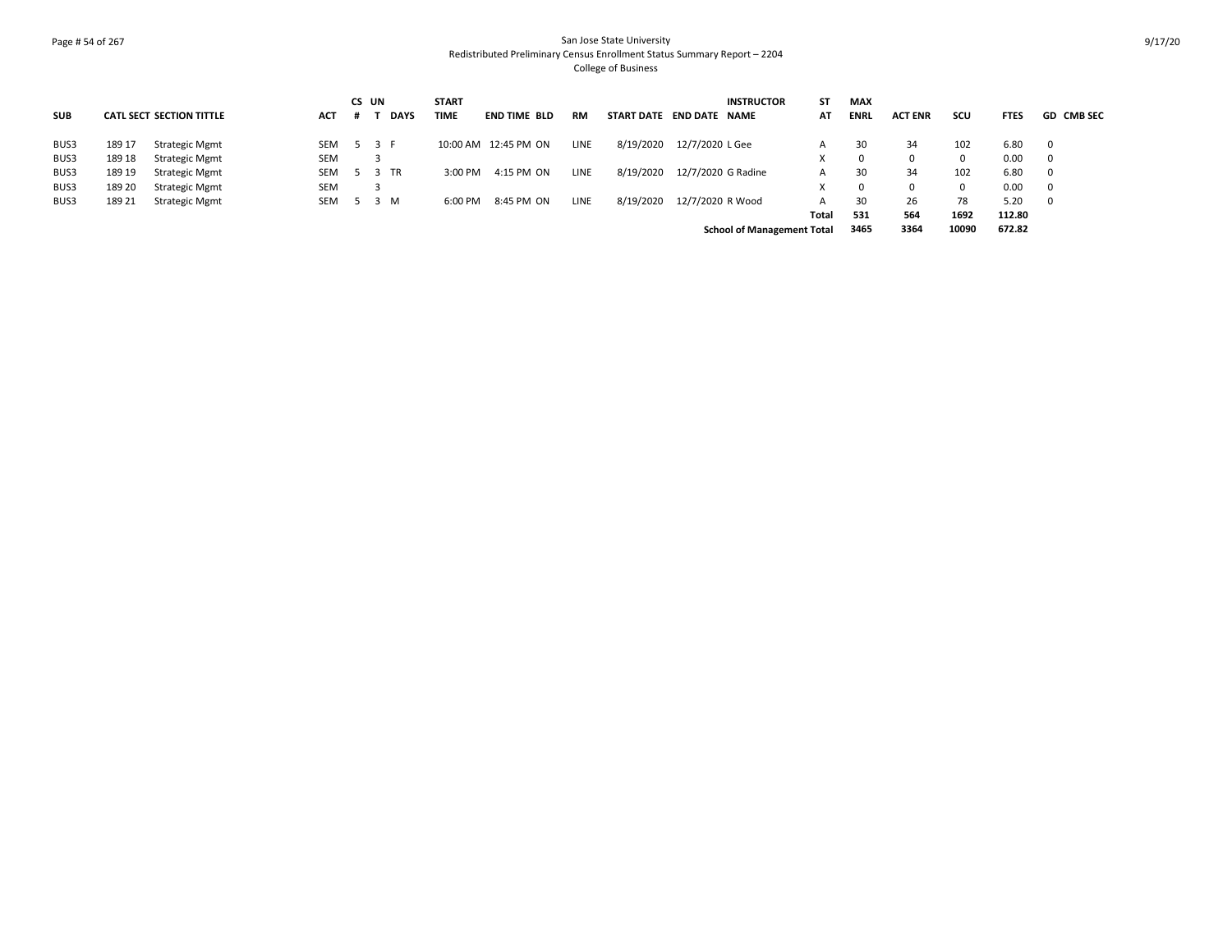## Page # 54 of 267 San Jose State University Redistributed Preliminary Census Enrollment Status Summary Report – 2204 College of Business

|            |        |                                 |            | CS UN |   |             | <b>START</b> |                       |           |                          |                    | <b>INSTRUCTOR</b>                 | ST    | <b>MAX</b>  |                |       |             |                   |
|------------|--------|---------------------------------|------------|-------|---|-------------|--------------|-----------------------|-----------|--------------------------|--------------------|-----------------------------------|-------|-------------|----------------|-------|-------------|-------------------|
| <b>SUB</b> |        | <b>CATL SECT SECTION TITTLE</b> | <b>ACT</b> | $\pm$ |   | <b>DAYS</b> | <b>TIME</b>  | <b>END TIME BLD</b>   | <b>RM</b> | START DATE END DATE NAME |                    |                                   | AT    | <b>ENRL</b> | <b>ACT ENR</b> | scu   | <b>FTES</b> | <b>GD CMB SEC</b> |
| BUS3       | 189 17 | Strategic Mgmt                  | SEM 5 3 F  |       |   |             |              | 10:00 AM  12:45 PM ON | LINE      | 8/19/2020                | 12/7/2020 L Gee    |                                   | A     | 30          | 34             | 102   | 6.80        |                   |
| BUS3       | 189 18 | <b>Strategic Mgmt</b>           | <b>SEM</b> |       |   |             |              |                       |           |                          |                    |                                   |       | $\Omega$    |                | 0     | 0.00        |                   |
| BUS3       | 189 19 | <b>Strategic Mgmt</b>           | SEM 5 3 TR |       |   |             | $3:00$ PM    | 4:15 PM ON            | LINE      | 8/19/2020                | 12/7/2020 G Radine |                                   | A     | 30          | 34             | 102   | 6.80        |                   |
| BUS3       | 189 20 | <b>Strategic Mgmt</b>           | <b>SEM</b> |       | 3 |             |              |                       |           |                          |                    |                                   |       | 0           |                | 0     | 0.00        |                   |
| BUS3       | 189 21 | <b>Strategic Mgmt</b>           | <b>SEM</b> | 5 3 M |   |             | 6:00 PM      | 8:45 PM ON            | LINE      | 8/19/2020                | 12/7/2020 R Wood   |                                   | A     | 30          | 26             | 78    | 5.20        |                   |
|            |        |                                 |            |       |   |             |              |                       |           |                          |                    |                                   | Total | 531         | 564            | 1692  | 112.80      |                   |
|            |        |                                 |            |       |   |             |              |                       |           |                          |                    | <b>School of Management Total</b> |       | 3465        | 3364           | 10090 | 672.82      |                   |